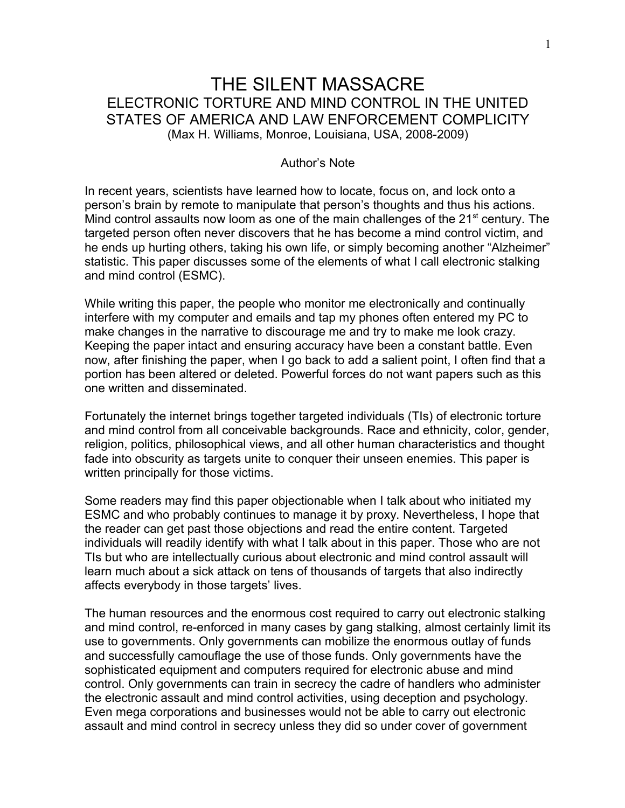# THE SILENT MASSACRE ELECTRONIC TORTURE AND MIND CONTROL IN THE UNITED STATES OF AMERICA AND LAW ENFORCEMENT COMPLICITY (Max H. Williams, Monroe, Louisiana, USA, 2008-2009)

# Author's Note

In recent years, scientists have learned how to locate, focus on, and lock onto a person's brain by remote to manipulate that person's thoughts and thus his actions. Mind control assaults now loom as one of the main challenges of the  $21<sup>st</sup>$  century. The targeted person often never discovers that he has become a mind control victim, and he ends up hurting others, taking his own life, or simply becoming another "Alzheimer" statistic. This paper discusses some of the elements of what I call electronic stalking and mind control (ESMC).

While writing this paper, the people who monitor me electronically and continually interfere with my computer and emails and tap my phones often entered my PC to make changes in the narrative to discourage me and try to make me look crazy. Keeping the paper intact and ensuring accuracy have been a constant battle. Even now, after finishing the paper, when I go back to add a salient point, I often find that a portion has been altered or deleted. Powerful forces do not want papers such as this one written and disseminated.

Fortunately the internet brings together targeted individuals (TIs) of electronic torture and mind control from all conceivable backgrounds. Race and ethnicity, color, gender, religion, politics, philosophical views, and all other human characteristics and thought fade into obscurity as targets unite to conquer their unseen enemies. This paper is written principally for those victims.

Some readers may find this paper objectionable when I talk about who initiated my ESMC and who probably continues to manage it by proxy. Nevertheless, I hope that the reader can get past those objections and read the entire content. Targeted individuals will readily identify with what I talk about in this paper. Those who are not TIs but who are intellectually curious about electronic and mind control assault will learn much about a sick attack on tens of thousands of targets that also indirectly affects everybody in those targets' lives.

The human resources and the enormous cost required to carry out electronic stalking and mind control, re-enforced in many cases by gang stalking, almost certainly limit its use to governments. Only governments can mobilize the enormous outlay of funds and successfully camouflage the use of those funds. Only governments have the sophisticated equipment and computers required for electronic abuse and mind control. Only governments can train in secrecy the cadre of handlers who administer the electronic assault and mind control activities, using deception and psychology. Even mega corporations and businesses would not be able to carry out electronic assault and mind control in secrecy unless they did so under cover of government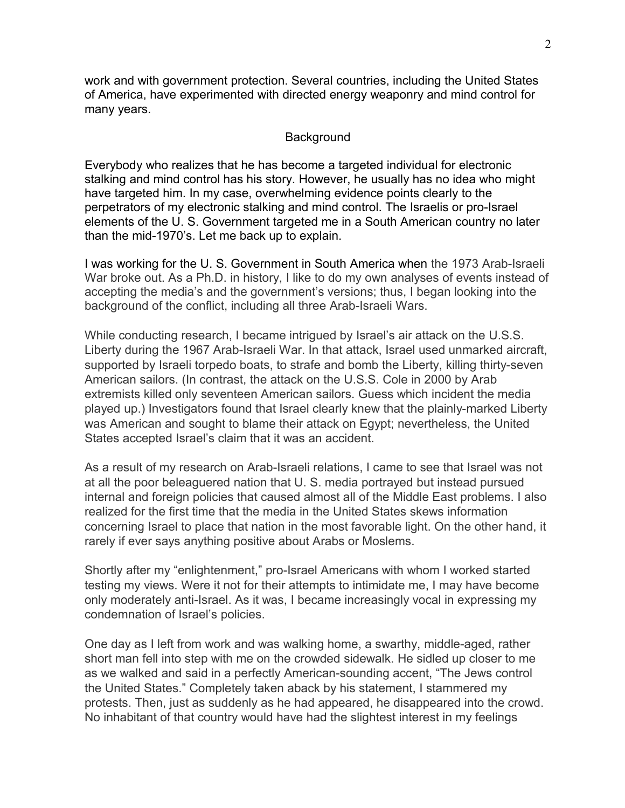work and with government protection. Several countries, including the United States of America, have experimented with directed energy weaponry and mind control for many years.

## Background

Everybody who realizes that he has become a targeted individual for electronic stalking and mind control has his story. However, he usually has no idea who might have targeted him. In my case, overwhelming evidence points clearly to the perpetrators of my electronic stalking and mind control. The Israelis or pro-Israel elements of the U. S. Government targeted me in a South American country no later than the mid-1970's. Let me back up to explain.

I was working for the U. S. Government in South America when the 1973 Arab-Israeli War broke out. As a Ph.D. in history, I like to do my own analyses of events instead of accepting the media's and the government's versions; thus, I began looking into the background of the conflict, including all three Arab-Israeli Wars.

While conducting research, I became intrigued by Israel's air attack on the U.S.S. Liberty during the 1967 Arab-Israeli War. In that attack, Israel used unmarked aircraft, supported by Israeli torpedo boats, to strafe and bomb the Liberty, killing thirty-seven American sailors. (In contrast, the attack on the U.S.S. Cole in 2000 by Arab extremists killed only seventeen American sailors. Guess which incident the media played up.) Investigators found that Israel clearly knew that the plainly-marked Liberty was American and sought to blame their attack on Egypt; nevertheless, the United States accepted Israel's claim that it was an accident.

As a result of my research on Arab-Israeli relations, I came to see that Israel was not at all the poor beleaguered nation that U. S. media portrayed but instead pursued internal and foreign policies that caused almost all of the Middle East problems. I also realized for the first time that the media in the United States skews information concerning Israel to place that nation in the most favorable light. On the other hand, it rarely if ever says anything positive about Arabs or Moslems.

Shortly after my "enlightenment," pro-Israel Americans with whom I worked started testing my views. Were it not for their attempts to intimidate me, I may have become only moderately anti-Israel. As it was, I became increasingly vocal in expressing my condemnation of Israel's policies.

One day as I left from work and was walking home, a swarthy, middle-aged, rather short man fell into step with me on the crowded sidewalk. He sidled up closer to me as we walked and said in a perfectly American-sounding accent, "The Jews control the United States." Completely taken aback by his statement, I stammered my protests. Then, just as suddenly as he had appeared, he disappeared into the crowd. No inhabitant of that country would have had the slightest interest in my feelings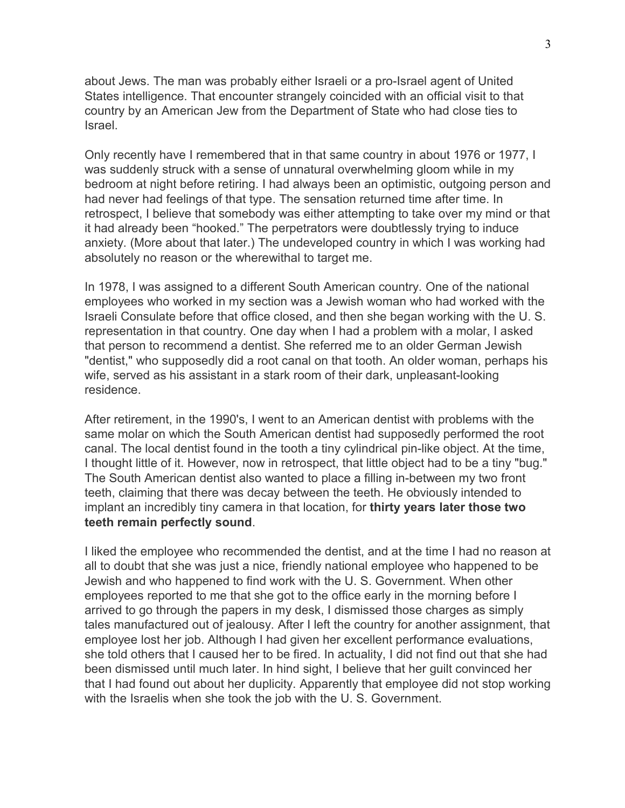about Jews. The man was probably either Israeli or a pro-Israel agent of United States intelligence. That encounter strangely coincided with an official visit to that country by an American Jew from the Department of State who had close ties to Israel.

Only recently have I remembered that in that same country in about 1976 or 1977, I was suddenly struck with a sense of unnatural overwhelming gloom while in my bedroom at night before retiring. I had always been an optimistic, outgoing person and had never had feelings of that type. The sensation returned time after time. In retrospect, I believe that somebody was either attempting to take over my mind or that it had already been "hooked." The perpetrators were doubtlessly trying to induce anxiety. (More about that later.) The undeveloped country in which I was working had absolutely no reason or the wherewithal to target me.

In 1978, I was assigned to a different South American country. One of the national employees who worked in my section was a Jewish woman who had worked with the Israeli Consulate before that office closed, and then she began working with the U. S. representation in that country. One day when I had a problem with a molar, I asked that person to recommend a dentist. She referred me to an older German Jewish "dentist," who supposedly did a root canal on that tooth. An older woman, perhaps his wife, served as his assistant in a stark room of their dark, unpleasant-looking residence.

After retirement, in the 1990's, I went to an American dentist with problems with the same molar on which the South American dentist had supposedly performed the root canal. The local dentist found in the tooth a tiny cylindrical pin-like object. At the time, I thought little of it. However, now in retrospect, that little object had to be a tiny "bug." The South American dentist also wanted to place a filling in-between my two front teeth, claiming that there was decay between the teeth. He obviously intended to implant an incredibly tiny camera in that location, for **thirty years later those two teeth remain perfectly sound**.

I liked the employee who recommended the dentist, and at the time I had no reason at all to doubt that she was just a nice, friendly national employee who happened to be Jewish and who happened to find work with the U. S. Government. When other employees reported to me that she got to the office early in the morning before I arrived to go through the papers in my desk, I dismissed those charges as simply tales manufactured out of jealousy. After I left the country for another assignment, that employee lost her job. Although I had given her excellent performance evaluations, she told others that I caused her to be fired. In actuality, I did not find out that she had been dismissed until much later. In hind sight, I believe that her guilt convinced her that I had found out about her duplicity. Apparently that employee did not stop working with the Israelis when she took the job with the U. S. Government.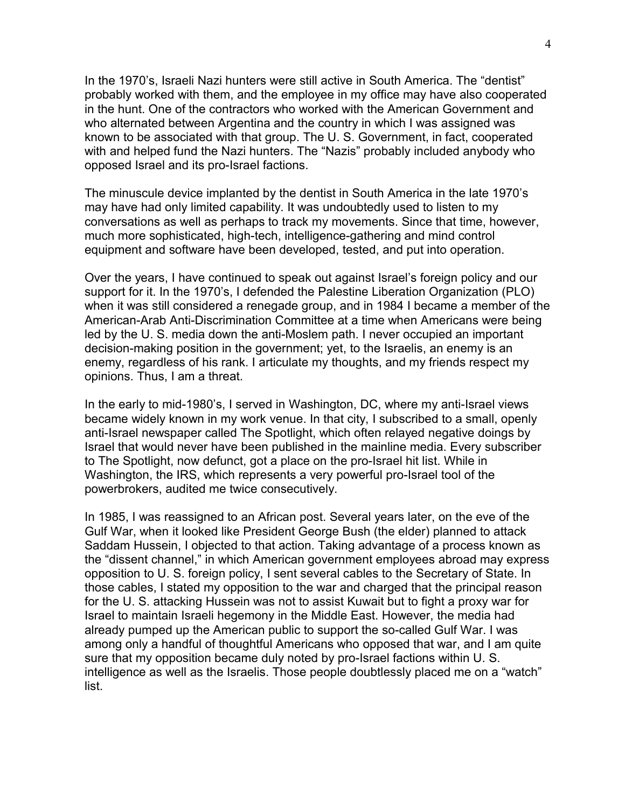In the 1970's, Israeli Nazi hunters were still active in South America. The "dentist" probably worked with them, and the employee in my office may have also cooperated in the hunt. One of the contractors who worked with the American Government and who alternated between Argentina and the country in which I was assigned was known to be associated with that group. The U. S. Government, in fact, cooperated with and helped fund the Nazi hunters. The "Nazis" probably included anybody who opposed Israel and its pro-Israel factions.

The minuscule device implanted by the dentist in South America in the late 1970's may have had only limited capability. It was undoubtedly used to listen to my conversations as well as perhaps to track my movements. Since that time, however, much more sophisticated, high-tech, intelligence-gathering and mind control equipment and software have been developed, tested, and put into operation.

Over the years, I have continued to speak out against Israel's foreign policy and our support for it. In the 1970's, I defended the Palestine Liberation Organization (PLO) when it was still considered a renegade group, and in 1984 I became a member of the American-Arab Anti-Discrimination Committee at a time when Americans were being led by the U. S. media down the anti-Moslem path. I never occupied an important decision-making position in the government; yet, to the Israelis, an enemy is an enemy, regardless of his rank. I articulate my thoughts, and my friends respect my opinions. Thus, I am a threat.

In the early to mid-1980's, I served in Washington, DC, where my anti-Israel views became widely known in my work venue. In that city, I subscribed to a small, openly anti-Israel newspaper called The Spotlight, which often relayed negative doings by Israel that would never have been published in the mainline media. Every subscriber to The Spotlight, now defunct, got a place on the pro-Israel hit list. While in Washington, the IRS, which represents a very powerful pro-Israel tool of the powerbrokers, audited me twice consecutively.

In 1985, I was reassigned to an African post. Several years later, on the eve of the Gulf War, when it looked like President George Bush (the elder) planned to attack Saddam Hussein, I objected to that action. Taking advantage of a process known as the "dissent channel," in which American government employees abroad may express opposition to U. S. foreign policy, I sent several cables to the Secretary of State. In those cables, I stated my opposition to the war and charged that the principal reason for the U. S. attacking Hussein was not to assist Kuwait but to fight a proxy war for Israel to maintain Israeli hegemony in the Middle East. However, the media had already pumped up the American public to support the so-called Gulf War. I was among only a handful of thoughtful Americans who opposed that war, and I am quite sure that my opposition became duly noted by pro-Israel factions within U. S. intelligence as well as the Israelis. Those people doubtlessly placed me on a "watch" list.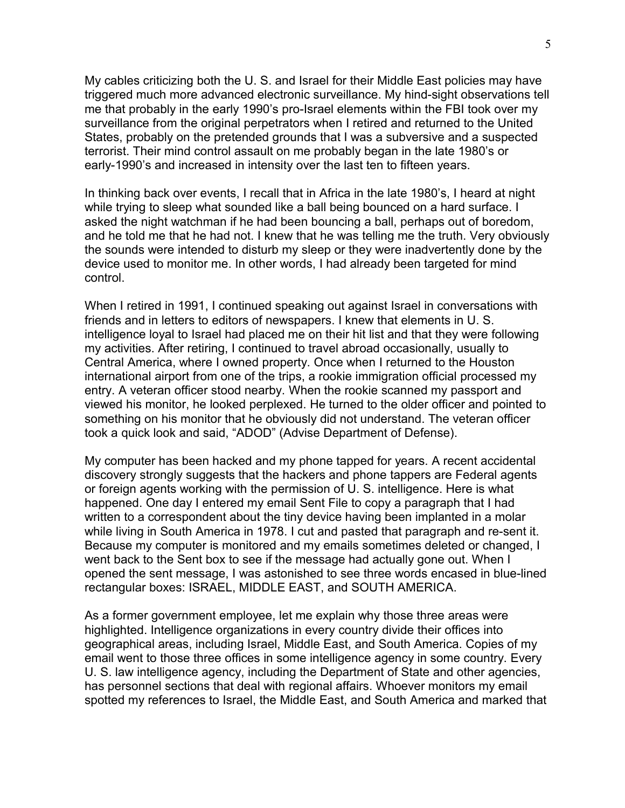My cables criticizing both the U. S. and Israel for their Middle East policies may have triggered much more advanced electronic surveillance. My hind-sight observations tell me that probably in the early 1990's pro-Israel elements within the FBI took over my surveillance from the original perpetrators when I retired and returned to the United States, probably on the pretended grounds that I was a subversive and a suspected terrorist. Their mind control assault on me probably began in the late 1980's or early-1990's and increased in intensity over the last ten to fifteen years.

In thinking back over events, I recall that in Africa in the late 1980's, I heard at night while trying to sleep what sounded like a ball being bounced on a hard surface. I asked the night watchman if he had been bouncing a ball, perhaps out of boredom, and he told me that he had not. I knew that he was telling me the truth. Very obviously the sounds were intended to disturb my sleep or they were inadvertently done by the device used to monitor me. In other words, I had already been targeted for mind control.

When I retired in 1991, I continued speaking out against Israel in conversations with friends and in letters to editors of newspapers. I knew that elements in U. S. intelligence loyal to Israel had placed me on their hit list and that they were following my activities. After retiring, I continued to travel abroad occasionally, usually to Central America, where I owned property. Once when I returned to the Houston international airport from one of the trips, a rookie immigration official processed my entry. A veteran officer stood nearby. When the rookie scanned my passport and viewed his monitor, he looked perplexed. He turned to the older officer and pointed to something on his monitor that he obviously did not understand. The veteran officer took a quick look and said, "ADOD" (Advise Department of Defense).

My computer has been hacked and my phone tapped for years. A recent accidental discovery strongly suggests that the hackers and phone tappers are Federal agents or foreign agents working with the permission of U. S. intelligence. Here is what happened. One day I entered my email Sent File to copy a paragraph that I had written to a correspondent about the tiny device having been implanted in a molar while living in South America in 1978. I cut and pasted that paragraph and re-sent it. Because my computer is monitored and my emails sometimes deleted or changed, I went back to the Sent box to see if the message had actually gone out. When I opened the sent message, I was astonished to see three words encased in blue-lined rectangular boxes: ISRAEL, MIDDLE EAST, and SOUTH AMERICA.

As a former government employee, let me explain why those three areas were highlighted. Intelligence organizations in every country divide their offices into geographical areas, including Israel, Middle East, and South America. Copies of my email went to those three offices in some intelligence agency in some country. Every U. S. law intelligence agency, including the Department of State and other agencies, has personnel sections that deal with regional affairs. Whoever monitors my email spotted my references to Israel, the Middle East, and South America and marked that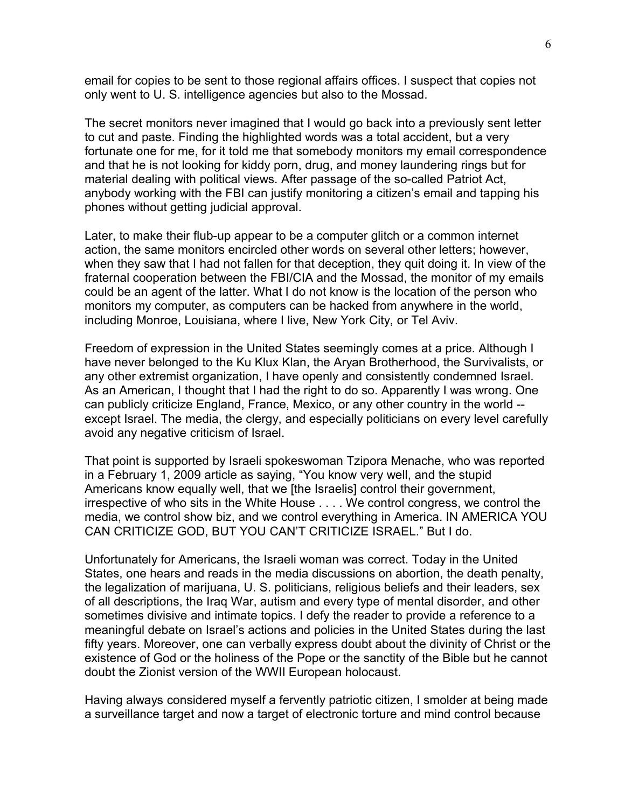email for copies to be sent to those regional affairs offices. I suspect that copies not only went to U. S. intelligence agencies but also to the Mossad.

The secret monitors never imagined that I would go back into a previously sent letter to cut and paste. Finding the highlighted words was a total accident, but a very fortunate one for me, for it told me that somebody monitors my email correspondence and that he is not looking for kiddy porn, drug, and money laundering rings but for material dealing with political views. After passage of the so-called Patriot Act, anybody working with the FBI can justify monitoring a citizen's email and tapping his phones without getting judicial approval.

Later, to make their flub-up appear to be a computer glitch or a common internet action, the same monitors encircled other words on several other letters; however, when they saw that I had not fallen for that deception, they quit doing it. In view of the fraternal cooperation between the FBI/CIA and the Mossad, the monitor of my emails could be an agent of the latter. What I do not know is the location of the person who monitors my computer, as computers can be hacked from anywhere in the world, including Monroe, Louisiana, where I live, New York City, or Tel Aviv.

Freedom of expression in the United States seemingly comes at a price. Although I have never belonged to the Ku Klux Klan, the Aryan Brotherhood, the Survivalists, or any other extremist organization, I have openly and consistently condemned Israel. As an American, I thought that I had the right to do so. Apparently I was wrong. One can publicly criticize England, France, Mexico, or any other country in the world - except Israel. The media, the clergy, and especially politicians on every level carefully avoid any negative criticism of Israel.

That point is supported by Israeli spokeswoman Tzipora Menache, who was reported in a February 1, 2009 article as saying, "You know very well, and the stupid Americans know equally well, that we [the Israelis] control their government, irrespective of who sits in the White House . . . . We control congress, we control the media, we control show biz, and we control everything in America. IN AMERICA YOU CAN CRITICIZE GOD, BUT YOU CAN'T CRITICIZE ISRAEL." But I do.

Unfortunately for Americans, the Israeli woman was correct. Today in the United States, one hears and reads in the media discussions on abortion, the death penalty, the legalization of marijuana, U. S. politicians, religious beliefs and their leaders, sex of all descriptions, the Iraq War, autism and every type of mental disorder, and other sometimes divisive and intimate topics. I defy the reader to provide a reference to a meaningful debate on Israel's actions and policies in the United States during the last fifty years. Moreover, one can verbally express doubt about the divinity of Christ or the existence of God or the holiness of the Pope or the sanctity of the Bible but he cannot doubt the Zionist version of the WWII European holocaust.

Having always considered myself a fervently patriotic citizen, I smolder at being made a surveillance target and now a target of electronic torture and mind control because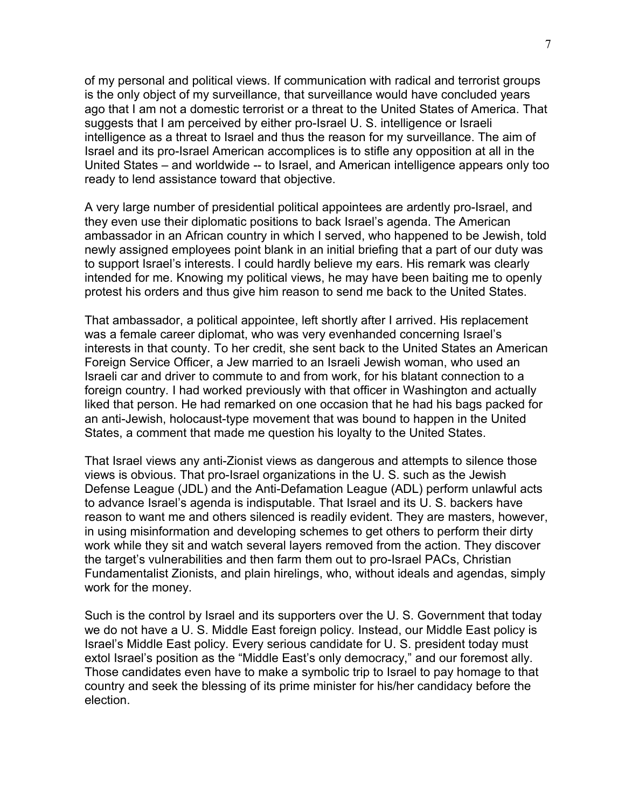of my personal and political views. If communication with radical and terrorist groups is the only object of my surveillance, that surveillance would have concluded years ago that I am not a domestic terrorist or a threat to the United States of America. That suggests that I am perceived by either pro-Israel U. S. intelligence or Israeli intelligence as a threat to Israel and thus the reason for my surveillance. The aim of Israel and its pro-Israel American accomplices is to stifle any opposition at all in the United States – and worldwide -- to Israel, and American intelligence appears only too ready to lend assistance toward that objective.

A very large number of presidential political appointees are ardently pro-Israel, and they even use their diplomatic positions to back Israel's agenda. The American ambassador in an African country in which I served, who happened to be Jewish, told newly assigned employees point blank in an initial briefing that a part of our duty was to support Israel's interests. I could hardly believe my ears. His remark was clearly intended for me. Knowing my political views, he may have been baiting me to openly protest his orders and thus give him reason to send me back to the United States.

That ambassador, a political appointee, left shortly after I arrived. His replacement was a female career diplomat, who was very evenhanded concerning Israel's interests in that county. To her credit, she sent back to the United States an American Foreign Service Officer, a Jew married to an Israeli Jewish woman, who used an Israeli car and driver to commute to and from work, for his blatant connection to a foreign country. I had worked previously with that officer in Washington and actually liked that person. He had remarked on one occasion that he had his bags packed for an anti-Jewish, holocaust-type movement that was bound to happen in the United States, a comment that made me question his loyalty to the United States.

That Israel views any anti-Zionist views as dangerous and attempts to silence those views is obvious. That pro-Israel organizations in the U. S. such as the Jewish Defense League (JDL) and the Anti-Defamation League (ADL) perform unlawful acts to advance Israel's agenda is indisputable. That Israel and its U. S. backers have reason to want me and others silenced is readily evident. They are masters, however, in using misinformation and developing schemes to get others to perform their dirty work while they sit and watch several layers removed from the action. They discover the target's vulnerabilities and then farm them out to pro-Israel PACs, Christian Fundamentalist Zionists, and plain hirelings, who, without ideals and agendas, simply work for the money.

Such is the control by Israel and its supporters over the U. S. Government that today we do not have a U. S. Middle East foreign policy. Instead, our Middle East policy is Israel's Middle East policy. Every serious candidate for U. S. president today must extol Israel's position as the "Middle East's only democracy," and our foremost ally. Those candidates even have to make a symbolic trip to Israel to pay homage to that country and seek the blessing of its prime minister for his/her candidacy before the election.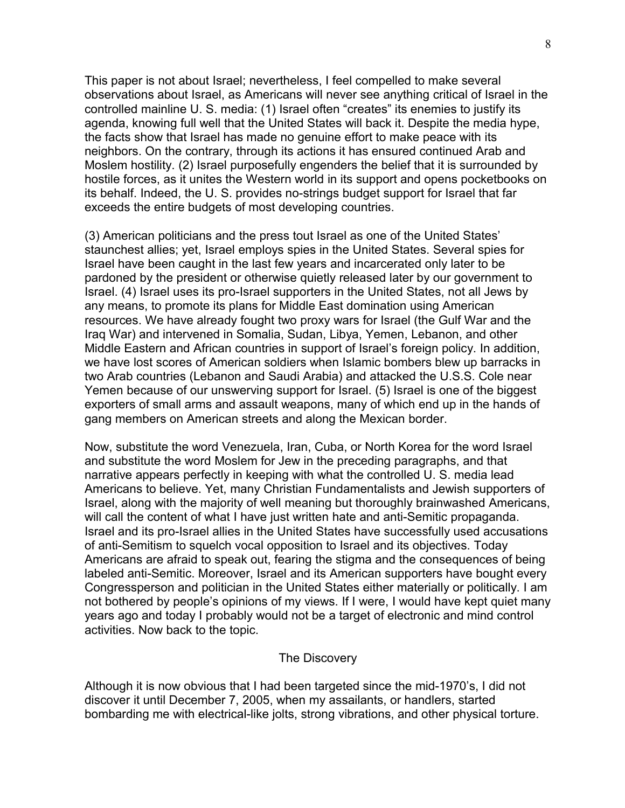This paper is not about Israel; nevertheless, I feel compelled to make several observations about Israel, as Americans will never see anything critical of Israel in the controlled mainline U. S. media: (1) Israel often "creates" its enemies to justify its agenda, knowing full well that the United States will back it. Despite the media hype, the facts show that Israel has made no genuine effort to make peace with its neighbors. On the contrary, through its actions it has ensured continued Arab and Moslem hostility. (2) Israel purposefully engenders the belief that it is surrounded by hostile forces, as it unites the Western world in its support and opens pocketbooks on its behalf. Indeed, the U. S. provides no-strings budget support for Israel that far exceeds the entire budgets of most developing countries.

(3) American politicians and the press tout Israel as one of the United States' staunchest allies; yet, Israel employs spies in the United States. Several spies for Israel have been caught in the last few years and incarcerated only later to be pardoned by the president or otherwise quietly released later by our government to Israel. (4) Israel uses its pro-Israel supporters in the United States, not all Jews by any means, to promote its plans for Middle East domination using American resources. We have already fought two proxy wars for Israel (the Gulf War and the Iraq War) and intervened in Somalia, Sudan, Libya, Yemen, Lebanon, and other Middle Eastern and African countries in support of Israel's foreign policy. In addition, we have lost scores of American soldiers when Islamic bombers blew up barracks in two Arab countries (Lebanon and Saudi Arabia) and attacked the U.S.S. Cole near Yemen because of our unswerving support for Israel. (5) Israel is one of the biggest exporters of small arms and assault weapons, many of which end up in the hands of gang members on American streets and along the Mexican border.

Now, substitute the word Venezuela, Iran, Cuba, or North Korea for the word Israel and substitute the word Moslem for Jew in the preceding paragraphs, and that narrative appears perfectly in keeping with what the controlled U. S. media lead Americans to believe. Yet, many Christian Fundamentalists and Jewish supporters of Israel, along with the majority of well meaning but thoroughly brainwashed Americans, will call the content of what I have just written hate and anti-Semitic propaganda. Israel and its pro-Israel allies in the United States have successfully used accusations of anti-Semitism to squelch vocal opposition to Israel and its objectives. Today Americans are afraid to speak out, fearing the stigma and the consequences of being labeled anti-Semitic. Moreover, Israel and its American supporters have bought every Congressperson and politician in the United States either materially or politically. I am not bothered by people's opinions of my views. If I were, I would have kept quiet many years ago and today I probably would not be a target of electronic and mind control activities. Now back to the topic.

## The Discovery

Although it is now obvious that I had been targeted since the mid-1970's, I did not discover it until December 7, 2005, when my assailants, or handlers, started bombarding me with electrical-like jolts, strong vibrations, and other physical torture.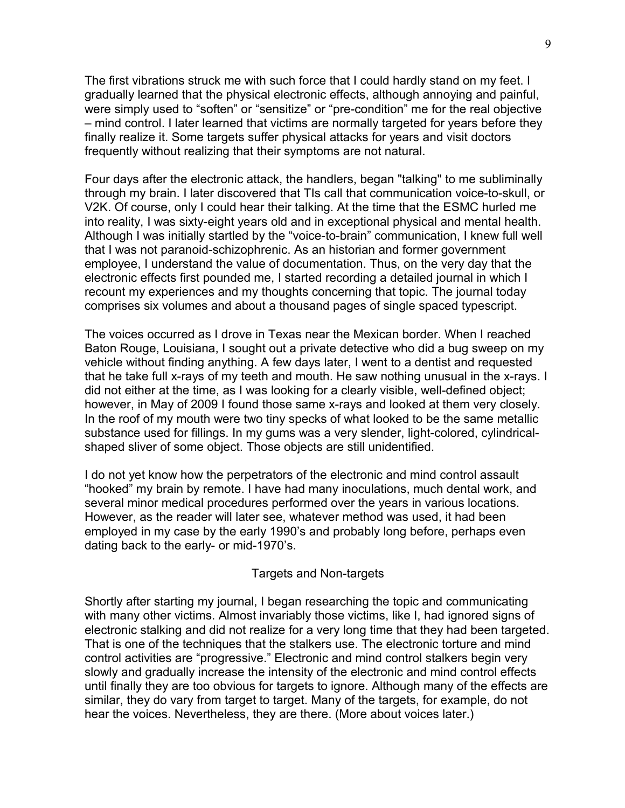The first vibrations struck me with such force that I could hardly stand on my feet. I gradually learned that the physical electronic effects, although annoying and painful, were simply used to "soften" or "sensitize" or "pre-condition" me for the real objective – mind control. I later learned that victims are normally targeted for years before they finally realize it. Some targets suffer physical attacks for years and visit doctors frequently without realizing that their symptoms are not natural.

Four days after the electronic attack, the handlers, began "talking" to me subliminally through my brain. I later discovered that TIs call that communication voice-to-skull, or V2K. Of course, only I could hear their talking. At the time that the ESMC hurled me into reality, I was sixty-eight years old and in exceptional physical and mental health. Although I was initially startled by the "voice-to-brain" communication, I knew full well that I was not paranoid-schizophrenic. As an historian and former government employee, I understand the value of documentation. Thus, on the very day that the electronic effects first pounded me, I started recording a detailed journal in which I recount my experiences and my thoughts concerning that topic. The journal today comprises six volumes and about a thousand pages of single spaced typescript.

The voices occurred as I drove in Texas near the Mexican border. When I reached Baton Rouge, Louisiana, I sought out a private detective who did a bug sweep on my vehicle without finding anything. A few days later, I went to a dentist and requested that he take full x-rays of my teeth and mouth. He saw nothing unusual in the x-rays. I did not either at the time, as I was looking for a clearly visible, well-defined object; however, in May of 2009 I found those same x-rays and looked at them very closely. In the roof of my mouth were two tiny specks of what looked to be the same metallic substance used for fillings. In my gums was a very slender, light-colored, cylindricalshaped sliver of some object. Those objects are still unidentified.

I do not yet know how the perpetrators of the electronic and mind control assault "hooked" my brain by remote. I have had many inoculations, much dental work, and several minor medical procedures performed over the years in various locations. However, as the reader will later see, whatever method was used, it had been employed in my case by the early 1990's and probably long before, perhaps even dating back to the early- or mid-1970's.

#### Targets and Non-targets

Shortly after starting my journal, I began researching the topic and communicating with many other victims. Almost invariably those victims, like I, had ignored signs of electronic stalking and did not realize for a very long time that they had been targeted. That is one of the techniques that the stalkers use. The electronic torture and mind control activities are "progressive." Electronic and mind control stalkers begin very slowly and gradually increase the intensity of the electronic and mind control effects until finally they are too obvious for targets to ignore. Although many of the effects are similar, they do vary from target to target. Many of the targets, for example, do not hear the voices. Nevertheless, they are there. (More about voices later.)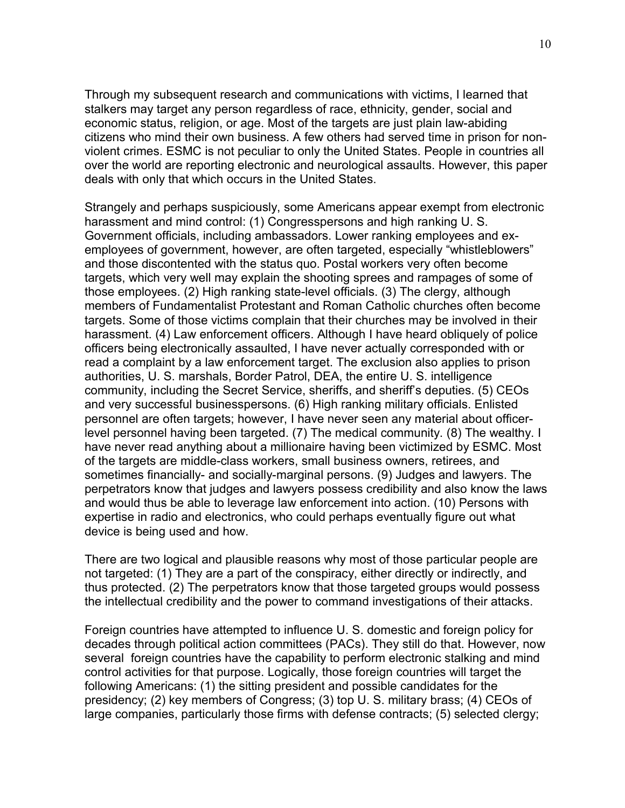Through my subsequent research and communications with victims, I learned that stalkers may target any person regardless of race, ethnicity, gender, social and economic status, religion, or age. Most of the targets are just plain law-abiding citizens who mind their own business. A few others had served time in prison for nonviolent crimes. ESMC is not peculiar to only the United States. People in countries all over the world are reporting electronic and neurological assaults. However, this paper deals with only that which occurs in the United States.

Strangely and perhaps suspiciously, some Americans appear exempt from electronic harassment and mind control: (1) Congresspersons and high ranking U. S. Government officials, including ambassadors. Lower ranking employees and exemployees of government, however, are often targeted, especially "whistleblowers" and those discontented with the status quo. Postal workers very often become targets, which very well may explain the shooting sprees and rampages of some of those employees. (2) High ranking state-level officials. (3) The clergy, although members of Fundamentalist Protestant and Roman Catholic churches often become targets. Some of those victims complain that their churches may be involved in their harassment. (4) Law enforcement officers. Although I have heard obliquely of police officers being electronically assaulted, I have never actually corresponded with or read a complaint by a law enforcement target. The exclusion also applies to prison authorities, U. S. marshals, Border Patrol, DEA, the entire U. S. intelligence community, including the Secret Service, sheriffs, and sheriff's deputies. (5) CEOs and very successful businesspersons. (6) High ranking military officials. Enlisted personnel are often targets; however, I have never seen any material about officerlevel personnel having been targeted. (7) The medical community. (8) The wealthy. I have never read anything about a millionaire having been victimized by ESMC. Most of the targets are middle-class workers, small business owners, retirees, and sometimes financially- and socially-marginal persons. (9) Judges and lawyers. The perpetrators know that judges and lawyers possess credibility and also know the laws and would thus be able to leverage law enforcement into action. (10) Persons with expertise in radio and electronics, who could perhaps eventually figure out what device is being used and how.

There are two logical and plausible reasons why most of those particular people are not targeted: (1) They are a part of the conspiracy, either directly or indirectly, and thus protected. (2) The perpetrators know that those targeted groups would possess the intellectual credibility and the power to command investigations of their attacks.

Foreign countries have attempted to influence U. S. domestic and foreign policy for decades through political action committees (PACs). They still do that. However, now several foreign countries have the capability to perform electronic stalking and mind control activities for that purpose. Logically, those foreign countries will target the following Americans: (1) the sitting president and possible candidates for the presidency; (2) key members of Congress; (3) top U. S. military brass; (4) CEOs of large companies, particularly those firms with defense contracts; (5) selected clergy;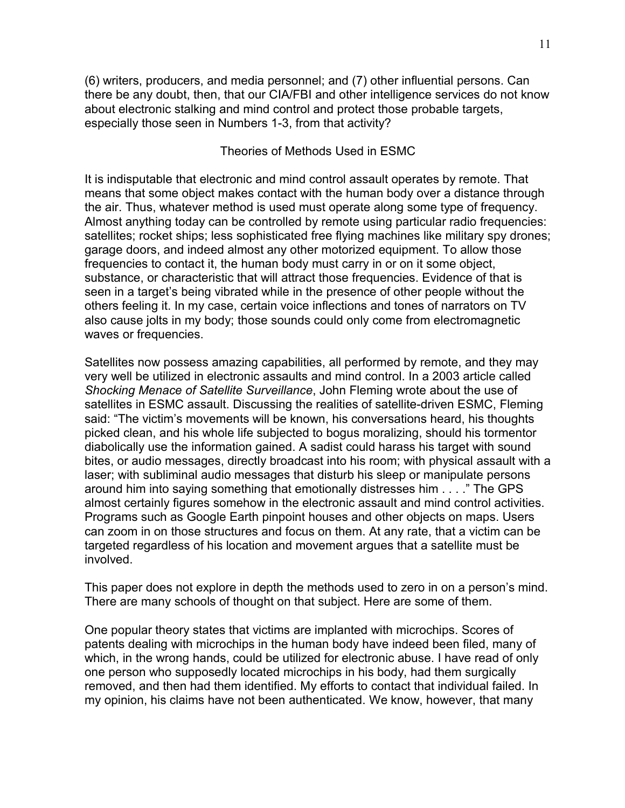(6) writers, producers, and media personnel; and (7) other influential persons. Can there be any doubt, then, that our CIA/FBI and other intelligence services do not know about electronic stalking and mind control and protect those probable targets, especially those seen in Numbers 1-3, from that activity?

# Theories of Methods Used in ESMC

It is indisputable that electronic and mind control assault operates by remote. That means that some object makes contact with the human body over a distance through the air. Thus, whatever method is used must operate along some type of frequency. Almost anything today can be controlled by remote using particular radio frequencies: satellites; rocket ships; less sophisticated free flying machines like military spy drones; garage doors, and indeed almost any other motorized equipment. To allow those frequencies to contact it, the human body must carry in or on it some object, substance, or characteristic that will attract those frequencies. Evidence of that is seen in a target's being vibrated while in the presence of other people without the others feeling it. In my case, certain voice inflections and tones of narrators on TV also cause jolts in my body; those sounds could only come from electromagnetic waves or frequencies.

Satellites now possess amazing capabilities, all performed by remote, and they may very well be utilized in electronic assaults and mind control. In a 2003 article called *Shocking Menace of Satellite Surveillance*, John Fleming wrote about the use of satellites in ESMC assault. Discussing the realities of satellite-driven ESMC, Fleming said: "The victim's movements will be known, his conversations heard, his thoughts picked clean, and his whole life subjected to bogus moralizing, should his tormentor diabolically use the information gained. A sadist could harass his target with sound bites, or audio messages, directly broadcast into his room; with physical assault with a laser; with subliminal audio messages that disturb his sleep or manipulate persons around him into saying something that emotionally distresses him . . . ." The GPS almost certainly figures somehow in the electronic assault and mind control activities. Programs such as Google Earth pinpoint houses and other objects on maps. Users can zoom in on those structures and focus on them. At any rate, that a victim can be targeted regardless of his location and movement argues that a satellite must be involved.

This paper does not explore in depth the methods used to zero in on a person's mind. There are many schools of thought on that subject. Here are some of them.

One popular theory states that victims are implanted with microchips. Scores of patents dealing with microchips in the human body have indeed been filed, many of which, in the wrong hands, could be utilized for electronic abuse. I have read of only one person who supposedly located microchips in his body, had them surgically removed, and then had them identified. My efforts to contact that individual failed. In my opinion, his claims have not been authenticated. We know, however, that many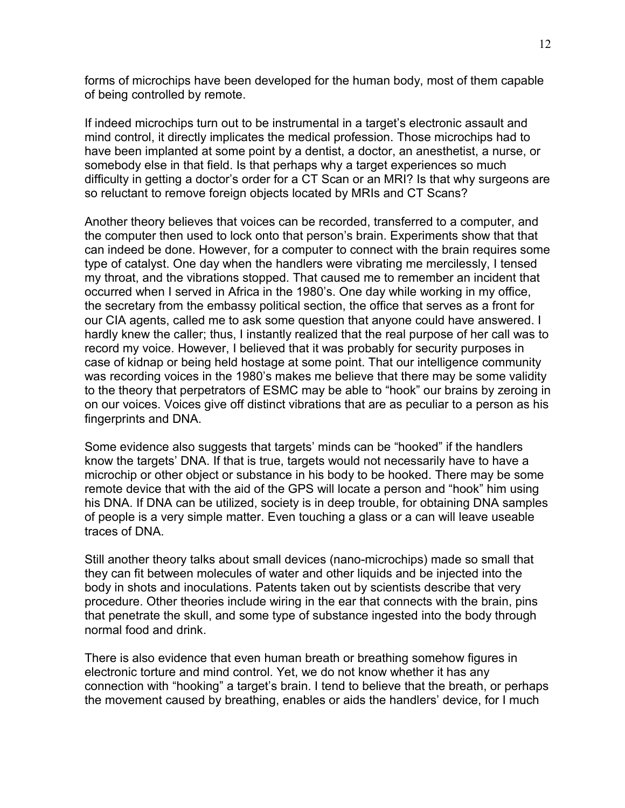forms of microchips have been developed for the human body, most of them capable of being controlled by remote.

If indeed microchips turn out to be instrumental in a target's electronic assault and mind control, it directly implicates the medical profession. Those microchips had to have been implanted at some point by a dentist, a doctor, an anesthetist, a nurse, or somebody else in that field. Is that perhaps why a target experiences so much difficulty in getting a doctor's order for a CT Scan or an MRI? Is that why surgeons are so reluctant to remove foreign objects located by MRIs and CT Scans?

Another theory believes that voices can be recorded, transferred to a computer, and the computer then used to lock onto that person's brain. Experiments show that that can indeed be done. However, for a computer to connect with the brain requires some type of catalyst. One day when the handlers were vibrating me mercilessly, I tensed my throat, and the vibrations stopped. That caused me to remember an incident that occurred when I served in Africa in the 1980's. One day while working in my office, the secretary from the embassy political section, the office that serves as a front for our CIA agents, called me to ask some question that anyone could have answered. I hardly knew the caller; thus, I instantly realized that the real purpose of her call was to record my voice. However, I believed that it was probably for security purposes in case of kidnap or being held hostage at some point. That our intelligence community was recording voices in the 1980's makes me believe that there may be some validity to the theory that perpetrators of ESMC may be able to "hook" our brains by zeroing in on our voices. Voices give off distinct vibrations that are as peculiar to a person as his fingerprints and DNA.

Some evidence also suggests that targets' minds can be "hooked" if the handlers know the targets' DNA. If that is true, targets would not necessarily have to have a microchip or other object or substance in his body to be hooked. There may be some remote device that with the aid of the GPS will locate a person and "hook" him using his DNA. If DNA can be utilized, society is in deep trouble, for obtaining DNA samples of people is a very simple matter. Even touching a glass or a can will leave useable traces of DNA.

Still another theory talks about small devices (nano-microchips) made so small that they can fit between molecules of water and other liquids and be injected into the body in shots and inoculations. Patents taken out by scientists describe that very procedure. Other theories include wiring in the ear that connects with the brain, pins that penetrate the skull, and some type of substance ingested into the body through normal food and drink.

There is also evidence that even human breath or breathing somehow figures in electronic torture and mind control. Yet, we do not know whether it has any connection with "hooking" a target's brain. I tend to believe that the breath, or perhaps the movement caused by breathing, enables or aids the handlers' device, for I much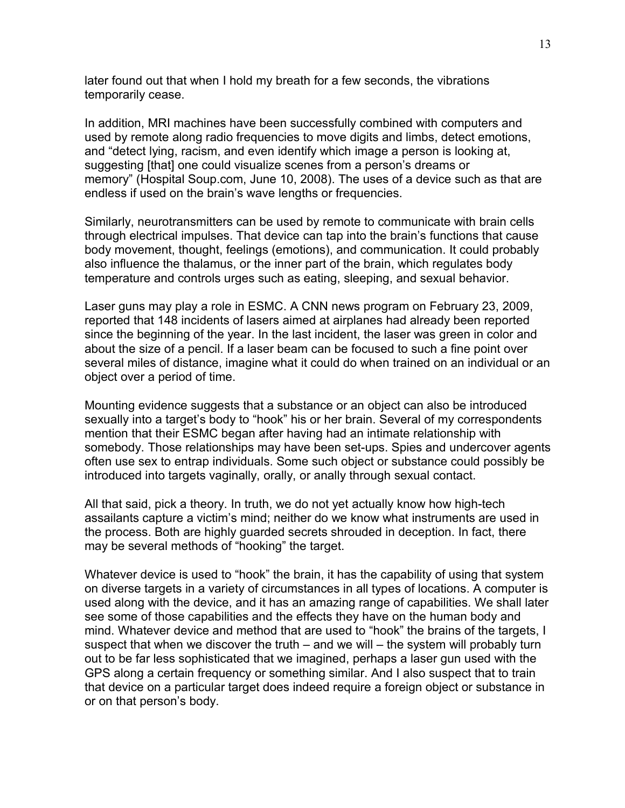later found out that when I hold my breath for a few seconds, the vibrations temporarily cease.

In addition, MRI machines have been successfully combined with computers and used by remote along radio frequencies to move digits and limbs, detect emotions, and "detect lying, racism, and even identify which image a person is looking at, suggesting [that] one could visualize scenes from a person's dreams or memory" (Hospital Soup.com, June 10, 2008). The uses of a device such as that are endless if used on the brain's wave lengths or frequencies.

Similarly, neurotransmitters can be used by remote to communicate with brain cells through electrical impulses. That device can tap into the brain's functions that cause body movement, thought, feelings (emotions), and communication. It could probably also influence the thalamus, or the inner part of the brain, which regulates body temperature and controls urges such as eating, sleeping, and sexual behavior.

Laser guns may play a role in ESMC. A CNN news program on February 23, 2009, reported that 148 incidents of lasers aimed at airplanes had already been reported since the beginning of the year. In the last incident, the laser was green in color and about the size of a pencil. If a laser beam can be focused to such a fine point over several miles of distance, imagine what it could do when trained on an individual or an object over a period of time.

Mounting evidence suggests that a substance or an object can also be introduced sexually into a target's body to "hook" his or her brain. Several of my correspondents mention that their ESMC began after having had an intimate relationship with somebody. Those relationships may have been set-ups. Spies and undercover agents often use sex to entrap individuals. Some such object or substance could possibly be introduced into targets vaginally, orally, or anally through sexual contact.

All that said, pick a theory. In truth, we do not yet actually know how high-tech assailants capture a victim's mind; neither do we know what instruments are used in the process. Both are highly guarded secrets shrouded in deception. In fact, there may be several methods of "hooking" the target.

Whatever device is used to "hook" the brain, it has the capability of using that system on diverse targets in a variety of circumstances in all types of locations. A computer is used along with the device, and it has an amazing range of capabilities. We shall later see some of those capabilities and the effects they have on the human body and mind. Whatever device and method that are used to "hook" the brains of the targets, I suspect that when we discover the truth – and we will – the system will probably turn out to be far less sophisticated that we imagined, perhaps a laser gun used with the GPS along a certain frequency or something similar. And I also suspect that to train that device on a particular target does indeed require a foreign object or substance in or on that person's body.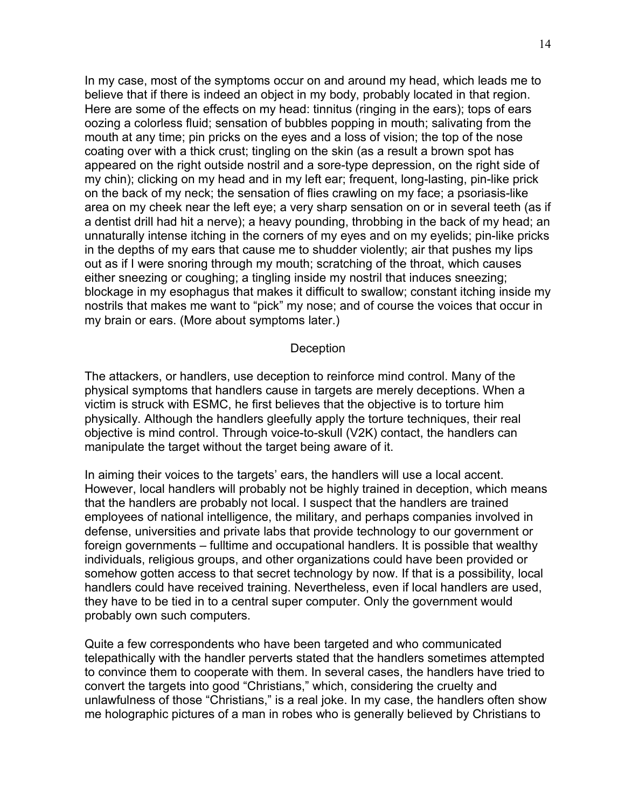In my case, most of the symptoms occur on and around my head, which leads me to believe that if there is indeed an object in my body, probably located in that region. Here are some of the effects on my head: tinnitus (ringing in the ears); tops of ears oozing a colorless fluid; sensation of bubbles popping in mouth; salivating from the mouth at any time; pin pricks on the eyes and a loss of vision; the top of the nose coating over with a thick crust; tingling on the skin (as a result a brown spot has appeared on the right outside nostril and a sore-type depression, on the right side of my chin); clicking on my head and in my left ear; frequent, long-lasting, pin-like prick on the back of my neck; the sensation of flies crawling on my face; a psoriasis-like area on my cheek near the left eye; a very sharp sensation on or in several teeth (as if a dentist drill had hit a nerve); a heavy pounding, throbbing in the back of my head; an unnaturally intense itching in the corners of my eyes and on my eyelids; pin-like pricks in the depths of my ears that cause me to shudder violently; air that pushes my lips out as if I were snoring through my mouth; scratching of the throat, which causes either sneezing or coughing; a tingling inside my nostril that induces sneezing; blockage in my esophagus that makes it difficult to swallow; constant itching inside my nostrils that makes me want to "pick" my nose; and of course the voices that occur in my brain or ears. (More about symptoms later.)

#### **Deception**

The attackers, or handlers, use deception to reinforce mind control. Many of the physical symptoms that handlers cause in targets are merely deceptions. When a victim is struck with ESMC, he first believes that the objective is to torture him physically. Although the handlers gleefully apply the torture techniques, their real objective is mind control. Through voice-to-skull (V2K) contact, the handlers can manipulate the target without the target being aware of it.

In aiming their voices to the targets' ears, the handlers will use a local accent. However, local handlers will probably not be highly trained in deception, which means that the handlers are probably not local. I suspect that the handlers are trained employees of national intelligence, the military, and perhaps companies involved in defense, universities and private labs that provide technology to our government or foreign governments – fulltime and occupational handlers. It is possible that wealthy individuals, religious groups, and other organizations could have been provided or somehow gotten access to that secret technology by now. If that is a possibility, local handlers could have received training. Nevertheless, even if local handlers are used, they have to be tied in to a central super computer. Only the government would probably own such computers.

Quite a few correspondents who have been targeted and who communicated telepathically with the handler perverts stated that the handlers sometimes attempted to convince them to cooperate with them. In several cases, the handlers have tried to convert the targets into good "Christians," which, considering the cruelty and unlawfulness of those "Christians," is a real joke. In my case, the handlers often show me holographic pictures of a man in robes who is generally believed by Christians to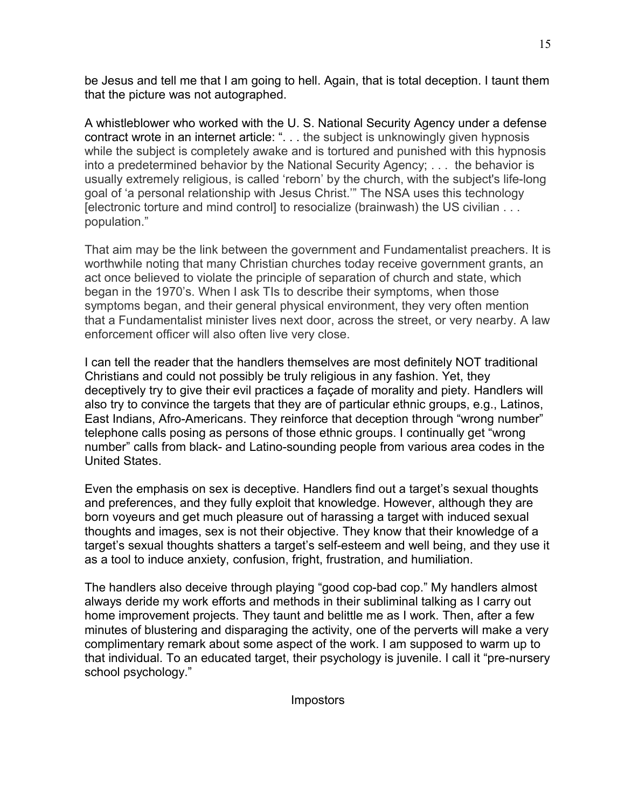be Jesus and tell me that I am going to hell. Again, that is total deception. I taunt them that the picture was not autographed.

A whistleblower who worked with the U. S. National Security Agency under a defense contract wrote in an internet article: ". . . the subject is unknowingly given hypnosis while the subject is completely awake and is tortured and punished with this hypnosis into a predetermined behavior by the National Security Agency; . . . the behavior is usually extremely religious, is called 'reborn' by the church, with the subject's life-long goal of 'a personal relationship with Jesus Christ.'" The NSA uses this technology [electronic torture and mind control] to resocialize (brainwash) the US civilian . . . population."

That aim may be the link between the government and Fundamentalist preachers. It is worthwhile noting that many Christian churches today receive government grants, an act once believed to violate the principle of separation of church and state, which began in the 1970's. When I ask TIs to describe their symptoms, when those symptoms began, and their general physical environment, they very often mention that a Fundamentalist minister lives next door, across the street, or very nearby. A law enforcement officer will also often live very close.

I can tell the reader that the handlers themselves are most definitely NOT traditional Christians and could not possibly be truly religious in any fashion. Yet, they deceptively try to give their evil practices a façade of morality and piety. Handlers will also try to convince the targets that they are of particular ethnic groups, e.g., Latinos, East Indians, Afro-Americans. They reinforce that deception through "wrong number" telephone calls posing as persons of those ethnic groups. I continually get "wrong number" calls from black- and Latino-sounding people from various area codes in the United States.

Even the emphasis on sex is deceptive. Handlers find out a target's sexual thoughts and preferences, and they fully exploit that knowledge. However, although they are born voyeurs and get much pleasure out of harassing a target with induced sexual thoughts and images, sex is not their objective. They know that their knowledge of a target's sexual thoughts shatters a target's self-esteem and well being, and they use it as a tool to induce anxiety, confusion, fright, frustration, and humiliation.

The handlers also deceive through playing "good cop-bad cop." My handlers almost always deride my work efforts and methods in their subliminal talking as I carry out home improvement projects. They taunt and belittle me as I work. Then, after a few minutes of blustering and disparaging the activity, one of the perverts will make a very complimentary remark about some aspect of the work. I am supposed to warm up to that individual. To an educated target, their psychology is juvenile. I call it "pre-nursery school psychology."

Impostors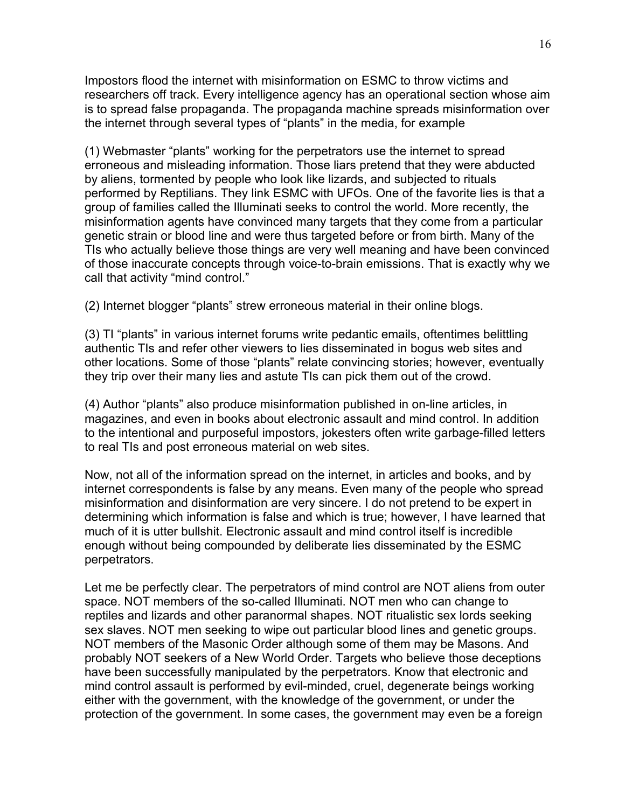Impostors flood the internet with misinformation on ESMC to throw victims and researchers off track. Every intelligence agency has an operational section whose aim is to spread false propaganda. The propaganda machine spreads misinformation over the internet through several types of "plants" in the media, for example

(1) Webmaster "plants" working for the perpetrators use the internet to spread erroneous and misleading information. Those liars pretend that they were abducted by aliens, tormented by people who look like lizards, and subjected to rituals performed by Reptilians. They link ESMC with UFOs. One of the favorite lies is that a group of families called the Illuminati seeks to control the world. More recently, the misinformation agents have convinced many targets that they come from a particular genetic strain or blood line and were thus targeted before or from birth. Many of the TIs who actually believe those things are very well meaning and have been convinced of those inaccurate concepts through voice-to-brain emissions. That is exactly why we call that activity "mind control."

(2) Internet blogger "plants" strew erroneous material in their online blogs.

(3) TI "plants" in various internet forums write pedantic emails, oftentimes belittling authentic TIs and refer other viewers to lies disseminated in bogus web sites and other locations. Some of those "plants" relate convincing stories; however, eventually they trip over their many lies and astute TIs can pick them out of the crowd.

(4) Author "plants" also produce misinformation published in on-line articles, in magazines, and even in books about electronic assault and mind control. In addition to the intentional and purposeful impostors, jokesters often write garbage-filled letters to real TIs and post erroneous material on web sites.

Now, not all of the information spread on the internet, in articles and books, and by internet correspondents is false by any means. Even many of the people who spread misinformation and disinformation are very sincere. I do not pretend to be expert in determining which information is false and which is true; however, I have learned that much of it is utter bullshit. Electronic assault and mind control itself is incredible enough without being compounded by deliberate lies disseminated by the ESMC perpetrators.

Let me be perfectly clear. The perpetrators of mind control are NOT aliens from outer space. NOT members of the so-called Illuminati. NOT men who can change to reptiles and lizards and other paranormal shapes. NOT ritualistic sex lords seeking sex slaves. NOT men seeking to wipe out particular blood lines and genetic groups. NOT members of the Masonic Order although some of them may be Masons. And probably NOT seekers of a New World Order. Targets who believe those deceptions have been successfully manipulated by the perpetrators. Know that electronic and mind control assault is performed by evil-minded, cruel, degenerate beings working either with the government, with the knowledge of the government, or under the protection of the government. In some cases, the government may even be a foreign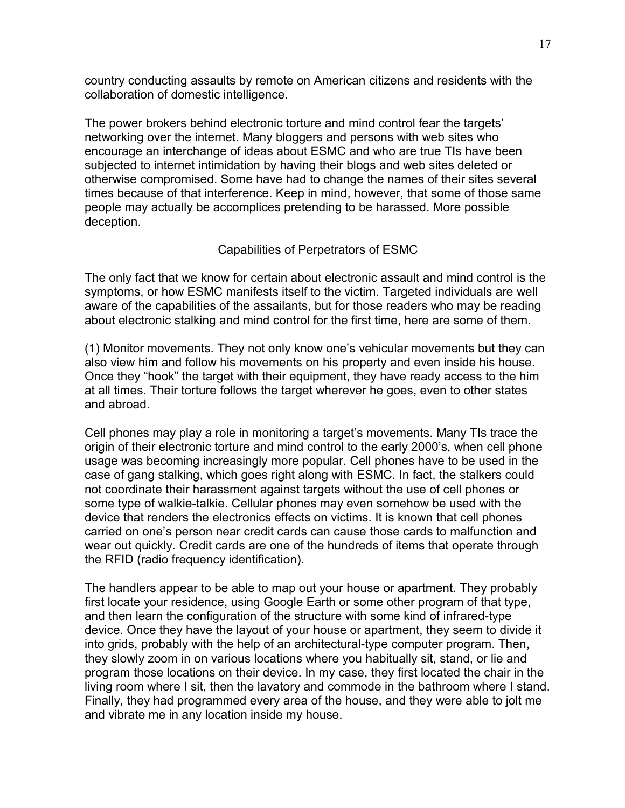country conducting assaults by remote on American citizens and residents with the collaboration of domestic intelligence.

The power brokers behind electronic torture and mind control fear the targets' networking over the internet. Many bloggers and persons with web sites who encourage an interchange of ideas about ESMC and who are true TIs have been subjected to internet intimidation by having their blogs and web sites deleted or otherwise compromised. Some have had to change the names of their sites several times because of that interference. Keep in mind, however, that some of those same people may actually be accomplices pretending to be harassed. More possible deception.

# Capabilities of Perpetrators of ESMC

The only fact that we know for certain about electronic assault and mind control is the symptoms, or how ESMC manifests itself to the victim. Targeted individuals are well aware of the capabilities of the assailants, but for those readers who may be reading about electronic stalking and mind control for the first time, here are some of them.

(1) Monitor movements. They not only know one's vehicular movements but they can also view him and follow his movements on his property and even inside his house. Once they "hook" the target with their equipment, they have ready access to the him at all times. Their torture follows the target wherever he goes, even to other states and abroad.

Cell phones may play a role in monitoring a target's movements. Many TIs trace the origin of their electronic torture and mind control to the early 2000's, when cell phone usage was becoming increasingly more popular. Cell phones have to be used in the case of gang stalking, which goes right along with ESMC. In fact, the stalkers could not coordinate their harassment against targets without the use of cell phones or some type of walkie-talkie. Cellular phones may even somehow be used with the device that renders the electronics effects on victims. It is known that cell phones carried on one's person near credit cards can cause those cards to malfunction and wear out quickly. Credit cards are one of the hundreds of items that operate through the RFID (radio frequency identification).

The handlers appear to be able to map out your house or apartment. They probably first locate your residence, using Google Earth or some other program of that type, and then learn the configuration of the structure with some kind of infrared-type device. Once they have the layout of your house or apartment, they seem to divide it into grids, probably with the help of an architectural-type computer program. Then, they slowly zoom in on various locations where you habitually sit, stand, or lie and program those locations on their device. In my case, they first located the chair in the living room where I sit, then the lavatory and commode in the bathroom where I stand. Finally, they had programmed every area of the house, and they were able to jolt me and vibrate me in any location inside my house.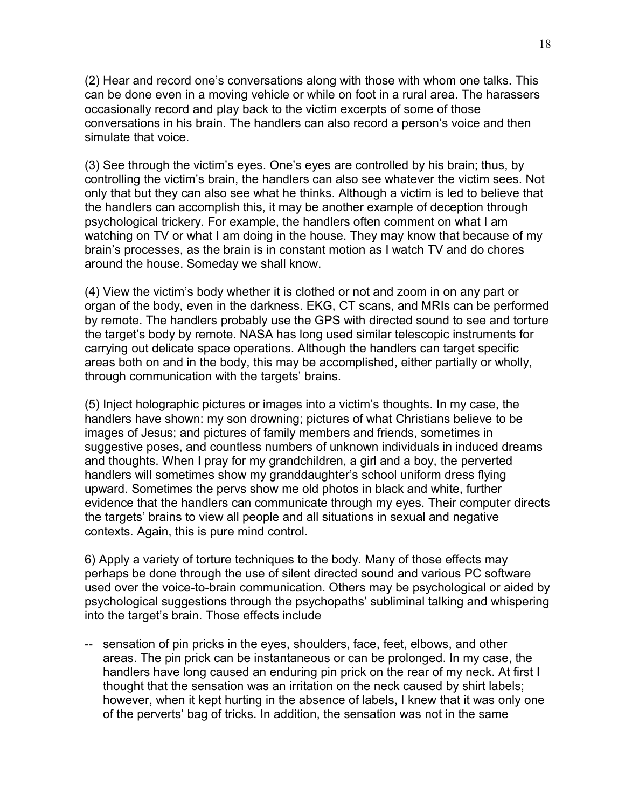(2) Hear and record one's conversations along with those with whom one talks. This can be done even in a moving vehicle or while on foot in a rural area. The harassers occasionally record and play back to the victim excerpts of some of those conversations in his brain. The handlers can also record a person's voice and then simulate that voice.

(3) See through the victim's eyes. One's eyes are controlled by his brain; thus, by controlling the victim's brain, the handlers can also see whatever the victim sees. Not only that but they can also see what he thinks. Although a victim is led to believe that the handlers can accomplish this, it may be another example of deception through psychological trickery. For example, the handlers often comment on what I am watching on TV or what I am doing in the house. They may know that because of my brain's processes, as the brain is in constant motion as I watch TV and do chores around the house. Someday we shall know.

(4) View the victim's body whether it is clothed or not and zoom in on any part or organ of the body, even in the darkness. EKG, CT scans, and MRIs can be performed by remote. The handlers probably use the GPS with directed sound to see and torture the target's body by remote. NASA has long used similar telescopic instruments for carrying out delicate space operations. Although the handlers can target specific areas both on and in the body, this may be accomplished, either partially or wholly, through communication with the targets' brains.

(5) Inject holographic pictures or images into a victim's thoughts. In my case, the handlers have shown: my son drowning; pictures of what Christians believe to be images of Jesus; and pictures of family members and friends, sometimes in suggestive poses, and countless numbers of unknown individuals in induced dreams and thoughts. When I pray for my grandchildren, a girl and a boy, the perverted handlers will sometimes show my granddaughter's school uniform dress flying upward. Sometimes the pervs show me old photos in black and white, further evidence that the handlers can communicate through my eyes. Their computer directs the targets' brains to view all people and all situations in sexual and negative contexts. Again, this is pure mind control.

6) Apply a variety of torture techniques to the body. Many of those effects may perhaps be done through the use of silent directed sound and various PC software used over the voice-to-brain communication. Others may be psychological or aided by psychological suggestions through the psychopaths' subliminal talking and whispering into the target's brain. Those effects include

-- sensation of pin pricks in the eyes, shoulders, face, feet, elbows, and other areas. The pin prick can be instantaneous or can be prolonged. In my case, the handlers have long caused an enduring pin prick on the rear of my neck. At first I thought that the sensation was an irritation on the neck caused by shirt labels; however, when it kept hurting in the absence of labels, I knew that it was only one of the perverts' bag of tricks. In addition, the sensation was not in the same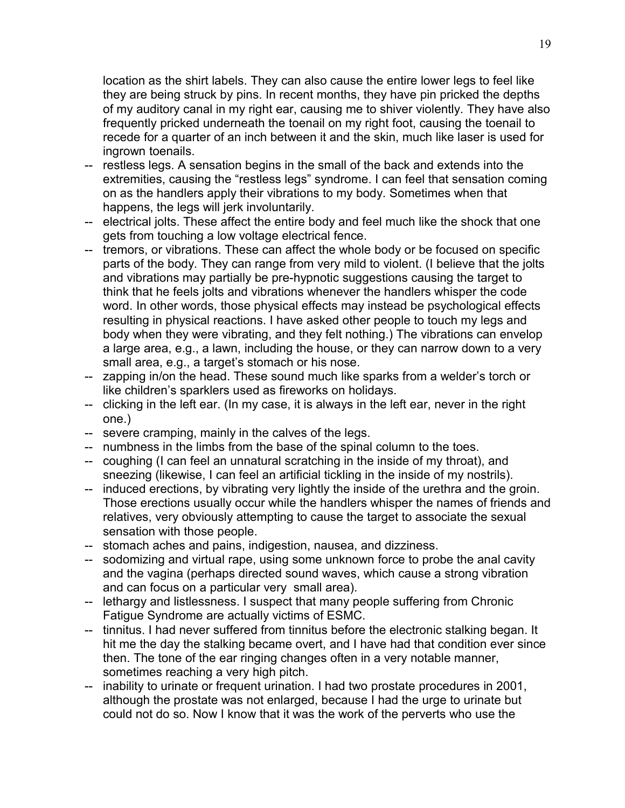location as the shirt labels. They can also cause the entire lower legs to feel like they are being struck by pins. In recent months, they have pin pricked the depths of my auditory canal in my right ear, causing me to shiver violently. They have also frequently pricked underneath the toenail on my right foot, causing the toenail to recede for a quarter of an inch between it and the skin, much like laser is used for ingrown toenails.

- -- restless legs. A sensation begins in the small of the back and extends into the extremities, causing the "restless legs" syndrome. I can feel that sensation coming on as the handlers apply their vibrations to my body. Sometimes when that happens, the legs will jerk involuntarily.
- -- electrical jolts. These affect the entire body and feel much like the shock that one gets from touching a low voltage electrical fence.
- -- tremors, or vibrations. These can affect the whole body or be focused on specific parts of the body. They can range from very mild to violent. (I believe that the jolts and vibrations may partially be pre-hypnotic suggestions causing the target to think that he feels jolts and vibrations whenever the handlers whisper the code word. In other words, those physical effects may instead be psychological effects resulting in physical reactions. I have asked other people to touch my legs and body when they were vibrating, and they felt nothing.) The vibrations can envelop a large area, e.g., a lawn, including the house, or they can narrow down to a very small area, e.g., a target's stomach or his nose.
- -- zapping in/on the head. These sound much like sparks from a welder's torch or like children's sparklers used as fireworks on holidays.
- -- clicking in the left ear. (In my case, it is always in the left ear, never in the right one.)
- -- severe cramping, mainly in the calves of the legs.
- -- numbness in the limbs from the base of the spinal column to the toes.
- -- coughing (I can feel an unnatural scratching in the inside of my throat), and sneezing (likewise, I can feel an artificial tickling in the inside of my nostrils).
- -- induced erections, by vibrating very lightly the inside of the urethra and the groin. Those erections usually occur while the handlers whisper the names of friends and relatives, very obviously attempting to cause the target to associate the sexual sensation with those people.
- -- stomach aches and pains, indigestion, nausea, and dizziness.
- -- sodomizing and virtual rape, using some unknown force to probe the anal cavity and the vagina (perhaps directed sound waves, which cause a strong vibration and can focus on a particular very small area).
- -- lethargy and listlessness. I suspect that many people suffering from Chronic Fatigue Syndrome are actually victims of ESMC.
- -- tinnitus. I had never suffered from tinnitus before the electronic stalking began. It hit me the day the stalking became overt, and I have had that condition ever since then. The tone of the ear ringing changes often in a very notable manner, sometimes reaching a very high pitch.
- -- inability to urinate or frequent urination. I had two prostate procedures in 2001, although the prostate was not enlarged, because I had the urge to urinate but could not do so. Now I know that it was the work of the perverts who use the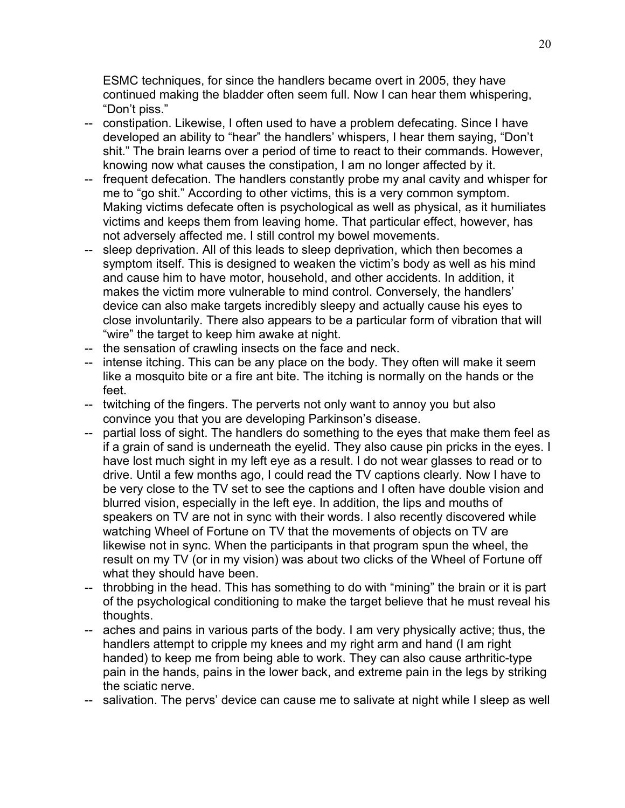ESMC techniques, for since the handlers became overt in 2005, they have continued making the bladder often seem full. Now I can hear them whispering, "Don't piss."

- -- constipation. Likewise, I often used to have a problem defecating. Since I have developed an ability to "hear" the handlers' whispers, I hear them saying, "Don't shit." The brain learns over a period of time to react to their commands. However, knowing now what causes the constipation, I am no longer affected by it.
- -- frequent defecation. The handlers constantly probe my anal cavity and whisper for me to "go shit." According to other victims, this is a very common symptom. Making victims defecate often is psychological as well as physical, as it humiliates victims and keeps them from leaving home. That particular effect, however, has not adversely affected me. I still control my bowel movements.
- -- sleep deprivation. All of this leads to sleep deprivation, which then becomes a symptom itself. This is designed to weaken the victim's body as well as his mind and cause him to have motor, household, and other accidents. In addition, it makes the victim more vulnerable to mind control. Conversely, the handlers' device can also make targets incredibly sleepy and actually cause his eyes to close involuntarily. There also appears to be a particular form of vibration that will "wire" the target to keep him awake at night.
- -- the sensation of crawling insects on the face and neck.
- -- intense itching. This can be any place on the body. They often will make it seem like a mosquito bite or a fire ant bite. The itching is normally on the hands or the feet.
- -- twitching of the fingers. The perverts not only want to annoy you but also convince you that you are developing Parkinson's disease.
- -- partial loss of sight. The handlers do something to the eyes that make them feel as if a grain of sand is underneath the eyelid. They also cause pin pricks in the eyes. I have lost much sight in my left eye as a result. I do not wear glasses to read or to drive. Until a few months ago, I could read the TV captions clearly. Now I have to be very close to the TV set to see the captions and I often have double vision and blurred vision, especially in the left eye. In addition, the lips and mouths of speakers on TV are not in sync with their words. I also recently discovered while watching Wheel of Fortune on TV that the movements of objects on TV are likewise not in sync. When the participants in that program spun the wheel, the result on my TV (or in my vision) was about two clicks of the Wheel of Fortune off what they should have been.
- -- throbbing in the head. This has something to do with "mining" the brain or it is part of the psychological conditioning to make the target believe that he must reveal his thoughts.
- -- aches and pains in various parts of the body. I am very physically active; thus, the handlers attempt to cripple my knees and my right arm and hand (I am right handed) to keep me from being able to work. They can also cause arthritic-type pain in the hands, pains in the lower back, and extreme pain in the legs by striking the sciatic nerve.
- -- salivation. The pervs' device can cause me to salivate at night while I sleep as well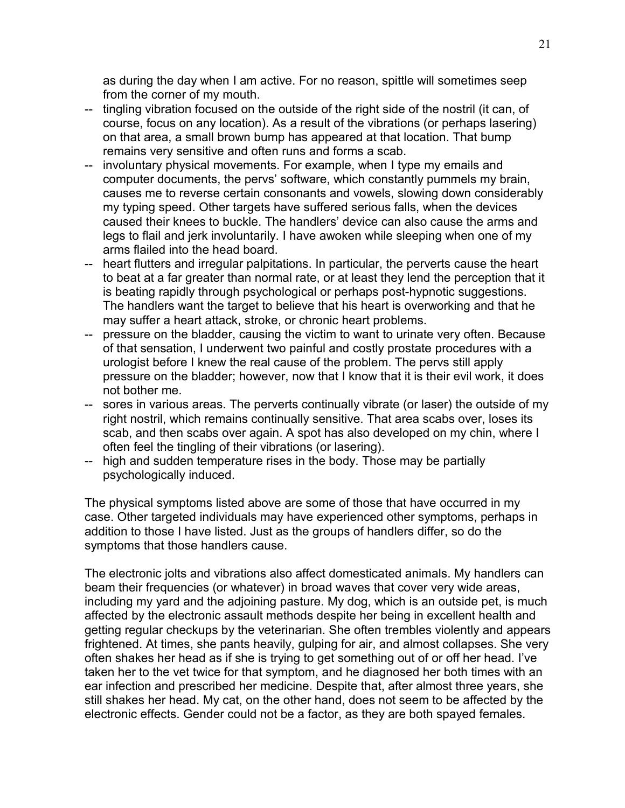as during the day when I am active. For no reason, spittle will sometimes seep from the corner of my mouth.

- -- tingling vibration focused on the outside of the right side of the nostril (it can, of course, focus on any location). As a result of the vibrations (or perhaps lasering) on that area, a small brown bump has appeared at that location. That bump remains very sensitive and often runs and forms a scab.
- -- involuntary physical movements. For example, when I type my emails and computer documents, the pervs' software, which constantly pummels my brain, causes me to reverse certain consonants and vowels, slowing down considerably my typing speed. Other targets have suffered serious falls, when the devices caused their knees to buckle. The handlers' device can also cause the arms and legs to flail and jerk involuntarily. I have awoken while sleeping when one of my arms flailed into the head board.
- -- heart flutters and irregular palpitations. In particular, the perverts cause the heart to beat at a far greater than normal rate, or at least they lend the perception that it is beating rapidly through psychological or perhaps post-hypnotic suggestions. The handlers want the target to believe that his heart is overworking and that he may suffer a heart attack, stroke, or chronic heart problems.
- -- pressure on the bladder, causing the victim to want to urinate very often. Because of that sensation, I underwent two painful and costly prostate procedures with a urologist before I knew the real cause of the problem. The pervs still apply pressure on the bladder; however, now that I know that it is their evil work, it does not bother me.
- -- sores in various areas. The perverts continually vibrate (or laser) the outside of my right nostril, which remains continually sensitive. That area scabs over, loses its scab, and then scabs over again. A spot has also developed on my chin, where I often feel the tingling of their vibrations (or lasering).
- -- high and sudden temperature rises in the body. Those may be partially psychologically induced.

The physical symptoms listed above are some of those that have occurred in my case. Other targeted individuals may have experienced other symptoms, perhaps in addition to those I have listed. Just as the groups of handlers differ, so do the symptoms that those handlers cause.

The electronic jolts and vibrations also affect domesticated animals. My handlers can beam their frequencies (or whatever) in broad waves that cover very wide areas, including my yard and the adjoining pasture. My dog, which is an outside pet, is much affected by the electronic assault methods despite her being in excellent health and getting regular checkups by the veterinarian. She often trembles violently and appears frightened. At times, she pants heavily, gulping for air, and almost collapses. She very often shakes her head as if she is trying to get something out of or off her head. I've taken her to the vet twice for that symptom, and he diagnosed her both times with an ear infection and prescribed her medicine. Despite that, after almost three years, she still shakes her head. My cat, on the other hand, does not seem to be affected by the electronic effects. Gender could not be a factor, as they are both spayed females.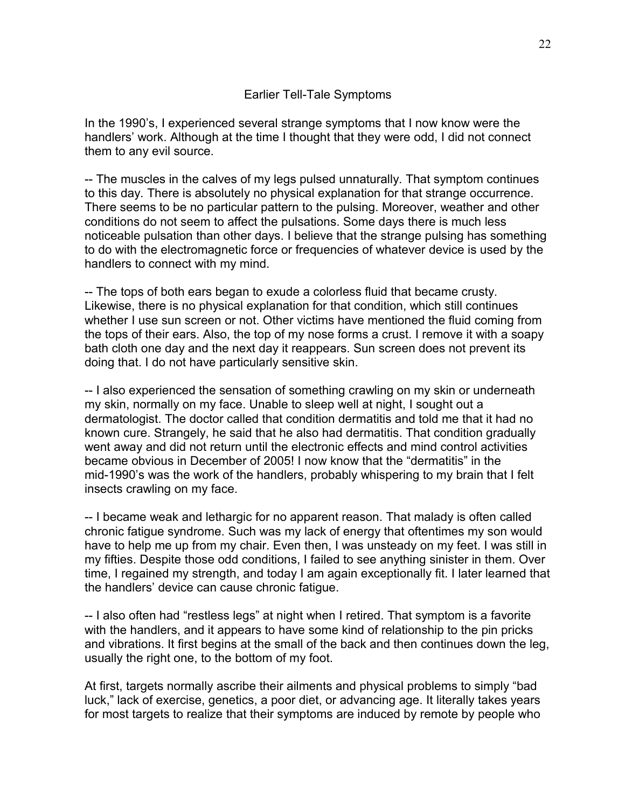# Earlier Tell-Tale Symptoms

In the 1990's, I experienced several strange symptoms that I now know were the handlers' work. Although at the time I thought that they were odd, I did not connect them to any evil source.

-- The muscles in the calves of my legs pulsed unnaturally. That symptom continues to this day. There is absolutely no physical explanation for that strange occurrence. There seems to be no particular pattern to the pulsing. Moreover, weather and other conditions do not seem to affect the pulsations. Some days there is much less noticeable pulsation than other days. I believe that the strange pulsing has something to do with the electromagnetic force or frequencies of whatever device is used by the handlers to connect with my mind.

-- The tops of both ears began to exude a colorless fluid that became crusty. Likewise, there is no physical explanation for that condition, which still continues whether I use sun screen or not. Other victims have mentioned the fluid coming from the tops of their ears. Also, the top of my nose forms a crust. I remove it with a soapy bath cloth one day and the next day it reappears. Sun screen does not prevent its doing that. I do not have particularly sensitive skin.

-- I also experienced the sensation of something crawling on my skin or underneath my skin, normally on my face. Unable to sleep well at night, I sought out a dermatologist. The doctor called that condition dermatitis and told me that it had no known cure. Strangely, he said that he also had dermatitis. That condition gradually went away and did not return until the electronic effects and mind control activities became obvious in December of 2005! I now know that the "dermatitis" in the mid-1990's was the work of the handlers, probably whispering to my brain that I felt insects crawling on my face.

-- I became weak and lethargic for no apparent reason. That malady is often called chronic fatigue syndrome. Such was my lack of energy that oftentimes my son would have to help me up from my chair. Even then, I was unsteady on my feet. I was still in my fifties. Despite those odd conditions, I failed to see anything sinister in them. Over time, I regained my strength, and today I am again exceptionally fit. I later learned that the handlers' device can cause chronic fatigue.

-- I also often had "restless legs" at night when I retired. That symptom is a favorite with the handlers, and it appears to have some kind of relationship to the pin pricks and vibrations. It first begins at the small of the back and then continues down the leg, usually the right one, to the bottom of my foot.

At first, targets normally ascribe their ailments and physical problems to simply "bad luck," lack of exercise, genetics, a poor diet, or advancing age. It literally takes years for most targets to realize that their symptoms are induced by remote by people who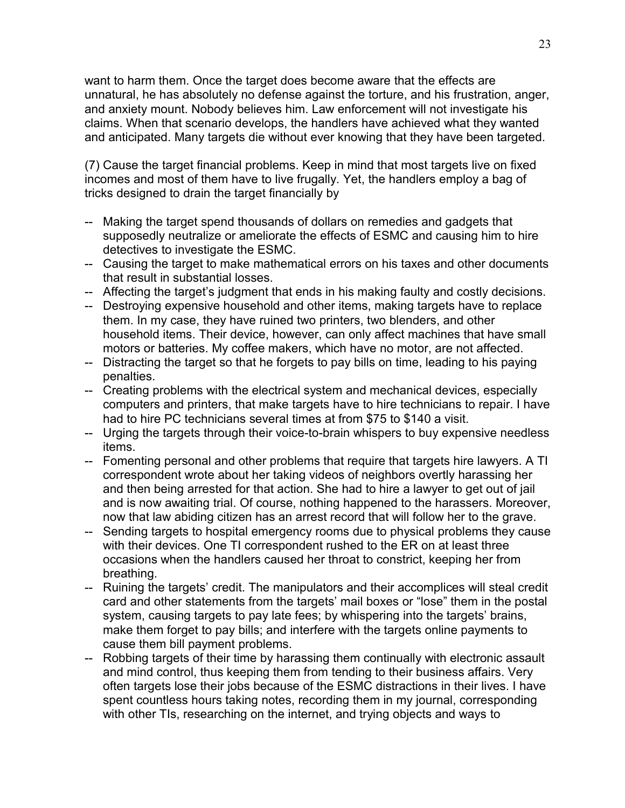want to harm them. Once the target does become aware that the effects are unnatural, he has absolutely no defense against the torture, and his frustration, anger, and anxiety mount. Nobody believes him. Law enforcement will not investigate his claims. When that scenario develops, the handlers have achieved what they wanted and anticipated. Many targets die without ever knowing that they have been targeted.

(7) Cause the target financial problems. Keep in mind that most targets live on fixed incomes and most of them have to live frugally. Yet, the handlers employ a bag of tricks designed to drain the target financially by

- -- Making the target spend thousands of dollars on remedies and gadgets that supposedly neutralize or ameliorate the effects of ESMC and causing him to hire detectives to investigate the ESMC.
- -- Causing the target to make mathematical errors on his taxes and other documents that result in substantial losses.
- -- Affecting the target's judgment that ends in his making faulty and costly decisions.
- -- Destroying expensive household and other items, making targets have to replace them. In my case, they have ruined two printers, two blenders, and other household items. Their device, however, can only affect machines that have small motors or batteries. My coffee makers, which have no motor, are not affected.
- -- Distracting the target so that he forgets to pay bills on time, leading to his paying penalties.
- -- Creating problems with the electrical system and mechanical devices, especially computers and printers, that make targets have to hire technicians to repair. I have had to hire PC technicians several times at from \$75 to \$140 a visit.
- -- Urging the targets through their voice-to-brain whispers to buy expensive needless items.
- -- Fomenting personal and other problems that require that targets hire lawyers. A TI correspondent wrote about her taking videos of neighbors overtly harassing her and then being arrested for that action. She had to hire a lawyer to get out of jail and is now awaiting trial. Of course, nothing happened to the harassers. Moreover, now that law abiding citizen has an arrest record that will follow her to the grave.
- -- Sending targets to hospital emergency rooms due to physical problems they cause with their devices. One TI correspondent rushed to the ER on at least three occasions when the handlers caused her throat to constrict, keeping her from breathing.
- -- Ruining the targets' credit. The manipulators and their accomplices will steal credit card and other statements from the targets' mail boxes or "lose" them in the postal system, causing targets to pay late fees; by whispering into the targets' brains, make them forget to pay bills; and interfere with the targets online payments to cause them bill payment problems.
- -- Robbing targets of their time by harassing them continually with electronic assault and mind control, thus keeping them from tending to their business affairs. Very often targets lose their jobs because of the ESMC distractions in their lives. I have spent countless hours taking notes, recording them in my journal, corresponding with other TIs, researching on the internet, and trying objects and ways to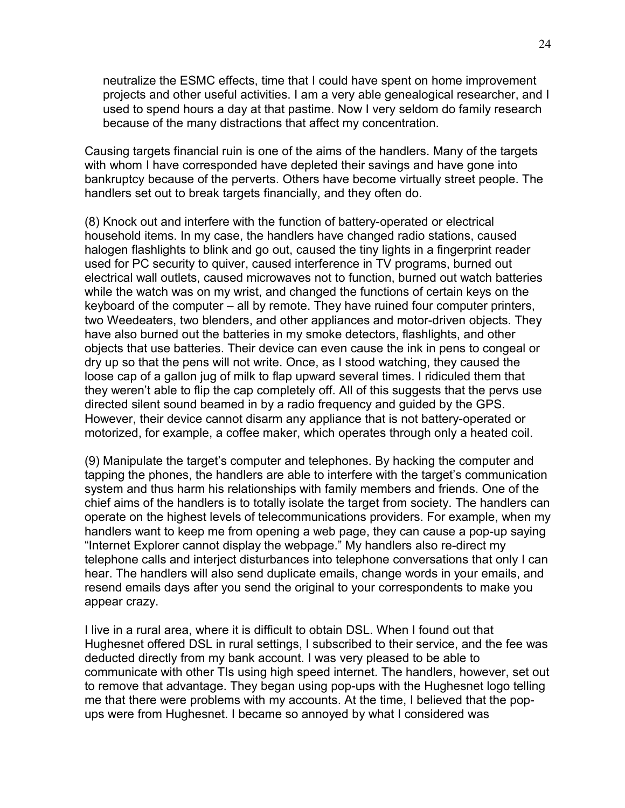neutralize the ESMC effects, time that I could have spent on home improvement projects and other useful activities. I am a very able genealogical researcher, and I used to spend hours a day at that pastime. Now I very seldom do family research because of the many distractions that affect my concentration.

Causing targets financial ruin is one of the aims of the handlers. Many of the targets with whom I have corresponded have depleted their savings and have gone into bankruptcy because of the perverts. Others have become virtually street people. The handlers set out to break targets financially, and they often do.

(8) Knock out and interfere with the function of battery-operated or electrical household items. In my case, the handlers have changed radio stations, caused halogen flashlights to blink and go out, caused the tiny lights in a fingerprint reader used for PC security to quiver, caused interference in TV programs, burned out electrical wall outlets, caused microwaves not to function, burned out watch batteries while the watch was on my wrist, and changed the functions of certain keys on the keyboard of the computer – all by remote. They have ruined four computer printers, two Weedeaters, two blenders, and other appliances and motor-driven objects. They have also burned out the batteries in my smoke detectors, flashlights, and other objects that use batteries. Their device can even cause the ink in pens to congeal or dry up so that the pens will not write. Once, as I stood watching, they caused the loose cap of a gallon jug of milk to flap upward several times. I ridiculed them that they weren't able to flip the cap completely off. All of this suggests that the pervs use directed silent sound beamed in by a radio frequency and guided by the GPS. However, their device cannot disarm any appliance that is not battery-operated or motorized, for example, a coffee maker, which operates through only a heated coil.

(9) Manipulate the target's computer and telephones. By hacking the computer and tapping the phones, the handlers are able to interfere with the target's communication system and thus harm his relationships with family members and friends. One of the chief aims of the handlers is to totally isolate the target from society. The handlers can operate on the highest levels of telecommunications providers. For example, when my handlers want to keep me from opening a web page, they can cause a pop-up saying "Internet Explorer cannot display the webpage." My handlers also re-direct my telephone calls and interject disturbances into telephone conversations that only I can hear. The handlers will also send duplicate emails, change words in your emails, and resend emails days after you send the original to your correspondents to make you appear crazy.

I live in a rural area, where it is difficult to obtain DSL. When I found out that Hughesnet offered DSL in rural settings, I subscribed to their service, and the fee was deducted directly from my bank account. I was very pleased to be able to communicate with other TIs using high speed internet. The handlers, however, set out to remove that advantage. They began using pop-ups with the Hughesnet logo telling me that there were problems with my accounts. At the time, I believed that the popups were from Hughesnet. I became so annoyed by what I considered was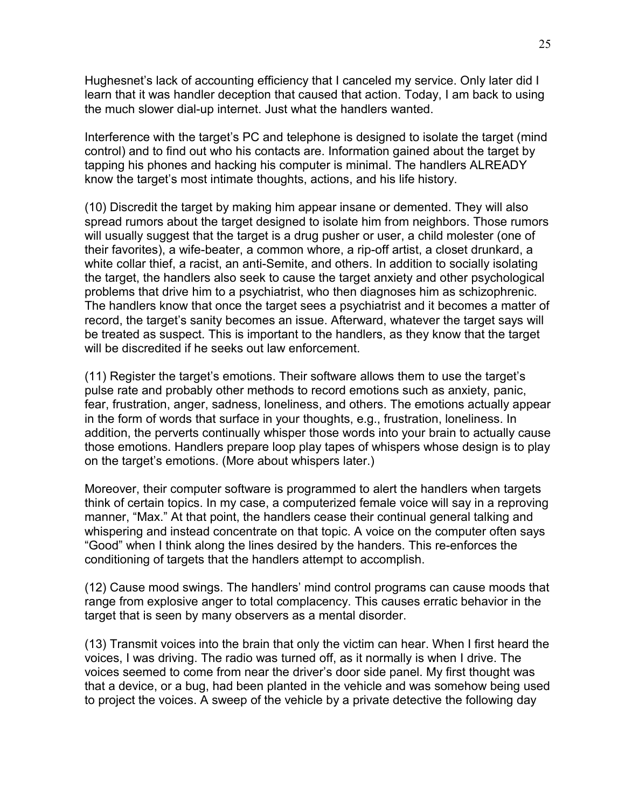Hughesnet's lack of accounting efficiency that I canceled my service. Only later did I learn that it was handler deception that caused that action. Today, I am back to using the much slower dial-up internet. Just what the handlers wanted.

Interference with the target's PC and telephone is designed to isolate the target (mind control) and to find out who his contacts are. Information gained about the target by tapping his phones and hacking his computer is minimal. The handlers ALREADY know the target's most intimate thoughts, actions, and his life history.

(10) Discredit the target by making him appear insane or demented. They will also spread rumors about the target designed to isolate him from neighbors. Those rumors will usually suggest that the target is a drug pusher or user, a child molester (one of their favorites), a wife-beater, a common whore, a rip-off artist, a closet drunkard, a white collar thief, a racist, an anti-Semite, and others. In addition to socially isolating the target, the handlers also seek to cause the target anxiety and other psychological problems that drive him to a psychiatrist, who then diagnoses him as schizophrenic. The handlers know that once the target sees a psychiatrist and it becomes a matter of record, the target's sanity becomes an issue. Afterward, whatever the target says will be treated as suspect. This is important to the handlers, as they know that the target will be discredited if he seeks out law enforcement.

(11) Register the target's emotions. Their software allows them to use the target's pulse rate and probably other methods to record emotions such as anxiety, panic, fear, frustration, anger, sadness, loneliness, and others. The emotions actually appear in the form of words that surface in your thoughts, e.g., frustration, loneliness. In addition, the perverts continually whisper those words into your brain to actually cause those emotions. Handlers prepare loop play tapes of whispers whose design is to play on the target's emotions. (More about whispers later.)

Moreover, their computer software is programmed to alert the handlers when targets think of certain topics. In my case, a computerized female voice will say in a reproving manner, "Max." At that point, the handlers cease their continual general talking and whispering and instead concentrate on that topic. A voice on the computer often says "Good" when I think along the lines desired by the handers. This re-enforces the conditioning of targets that the handlers attempt to accomplish.

(12) Cause mood swings. The handlers' mind control programs can cause moods that range from explosive anger to total complacency. This causes erratic behavior in the target that is seen by many observers as a mental disorder.

(13) Transmit voices into the brain that only the victim can hear. When I first heard the voices, I was driving. The radio was turned off, as it normally is when I drive. The voices seemed to come from near the driver's door side panel. My first thought was that a device, or a bug, had been planted in the vehicle and was somehow being used to project the voices. A sweep of the vehicle by a private detective the following day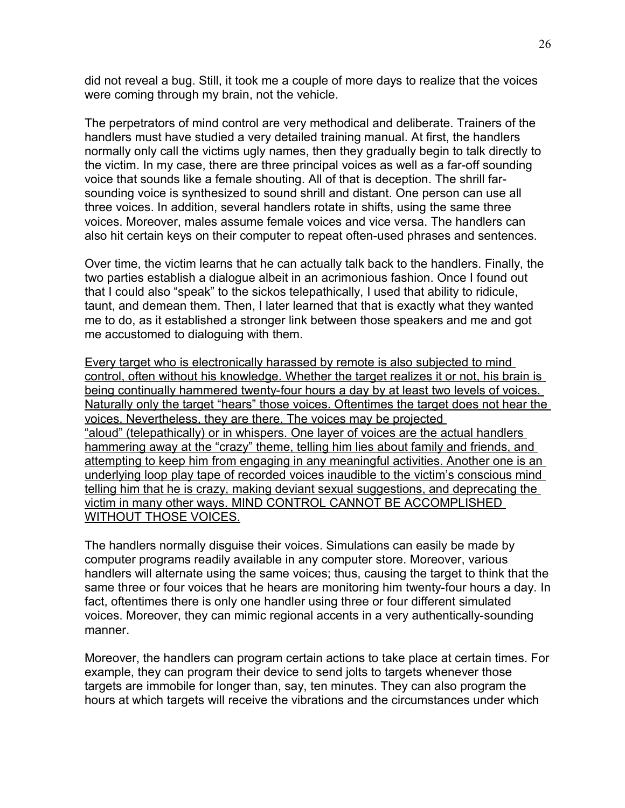did not reveal a bug. Still, it took me a couple of more days to realize that the voices were coming through my brain, not the vehicle.

The perpetrators of mind control are very methodical and deliberate. Trainers of the handlers must have studied a very detailed training manual. At first, the handlers normally only call the victims ugly names, then they gradually begin to talk directly to the victim. In my case, there are three principal voices as well as a far-off sounding voice that sounds like a female shouting. All of that is deception. The shrill farsounding voice is synthesized to sound shrill and distant. One person can use all three voices. In addition, several handlers rotate in shifts, using the same three voices. Moreover, males assume female voices and vice versa. The handlers can also hit certain keys on their computer to repeat often-used phrases and sentences.

Over time, the victim learns that he can actually talk back to the handlers. Finally, the two parties establish a dialogue albeit in an acrimonious fashion. Once I found out that I could also "speak" to the sickos telepathically, I used that ability to ridicule, taunt, and demean them. Then, I later learned that that is exactly what they wanted me to do, as it established a stronger link between those speakers and me and got me accustomed to dialoguing with them.

Every target who is electronically harassed by remote is also subjected to mind control, often without his knowledge. Whether the target realizes it or not, his brain is being continually hammered twenty-four hours a day by at least two levels of voices. Naturally only the target "hears" those voices. Oftentimes the target does not hear the voices. Nevertheless, they are there. The voices may be projected "aloud" (telepathically) or in whispers. One layer of voices are the actual handlers hammering away at the "crazy" theme, telling him lies about family and friends, and attempting to keep him from engaging in any meaningful activities. Another one is an underlying loop play tape of recorded voices inaudible to the victim's conscious mind telling him that he is crazy, making deviant sexual suggestions, and deprecating the victim in many other ways. MIND CONTROL CANNOT BE ACCOMPLISHED WITHOUT THOSE VOICES.

The handlers normally disguise their voices. Simulations can easily be made by computer programs readily available in any computer store. Moreover, various handlers will alternate using the same voices; thus, causing the target to think that the same three or four voices that he hears are monitoring him twenty-four hours a day. In fact, oftentimes there is only one handler using three or four different simulated voices. Moreover, they can mimic regional accents in a very authentically-sounding manner.

Moreover, the handlers can program certain actions to take place at certain times. For example, they can program their device to send jolts to targets whenever those targets are immobile for longer than, say, ten minutes. They can also program the hours at which targets will receive the vibrations and the circumstances under which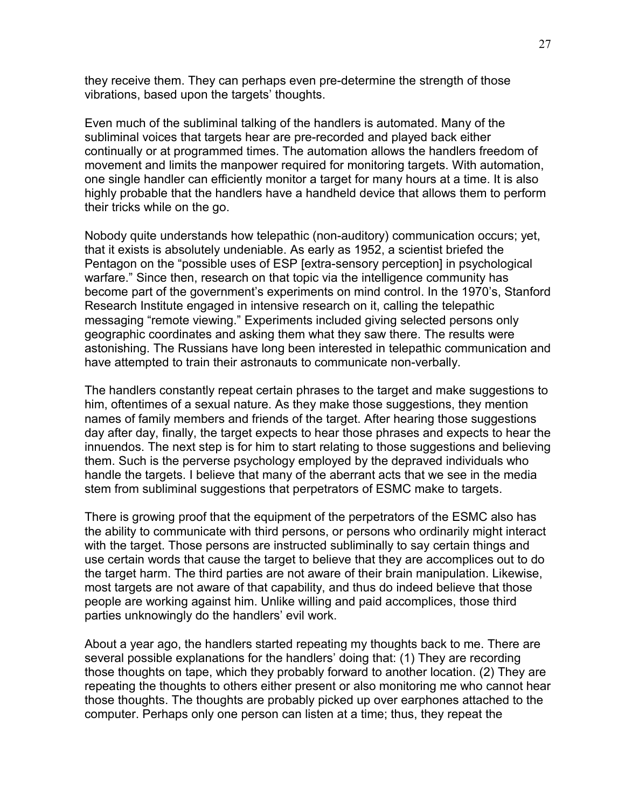they receive them. They can perhaps even pre-determine the strength of those vibrations, based upon the targets' thoughts.

Even much of the subliminal talking of the handlers is automated. Many of the subliminal voices that targets hear are pre-recorded and played back either continually or at programmed times. The automation allows the handlers freedom of movement and limits the manpower required for monitoring targets. With automation, one single handler can efficiently monitor a target for many hours at a time. It is also highly probable that the handlers have a handheld device that allows them to perform their tricks while on the go.

Nobody quite understands how telepathic (non-auditory) communication occurs; yet, that it exists is absolutely undeniable. As early as 1952, a scientist briefed the Pentagon on the "possible uses of ESP [extra-sensory perception] in psychological warfare." Since then, research on that topic via the intelligence community has become part of the government's experiments on mind control. In the 1970's, Stanford Research Institute engaged in intensive research on it, calling the telepathic messaging "remote viewing." Experiments included giving selected persons only geographic coordinates and asking them what they saw there. The results were astonishing. The Russians have long been interested in telepathic communication and have attempted to train their astronauts to communicate non-verbally.

The handlers constantly repeat certain phrases to the target and make suggestions to him, oftentimes of a sexual nature. As they make those suggestions, they mention names of family members and friends of the target. After hearing those suggestions day after day, finally, the target expects to hear those phrases and expects to hear the innuendos. The next step is for him to start relating to those suggestions and believing them. Such is the perverse psychology employed by the depraved individuals who handle the targets. I believe that many of the aberrant acts that we see in the media stem from subliminal suggestions that perpetrators of ESMC make to targets.

There is growing proof that the equipment of the perpetrators of the ESMC also has the ability to communicate with third persons, or persons who ordinarily might interact with the target. Those persons are instructed subliminally to say certain things and use certain words that cause the target to believe that they are accomplices out to do the target harm. The third parties are not aware of their brain manipulation. Likewise, most targets are not aware of that capability, and thus do indeed believe that those people are working against him. Unlike willing and paid accomplices, those third parties unknowingly do the handlers' evil work.

About a year ago, the handlers started repeating my thoughts back to me. There are several possible explanations for the handlers' doing that: (1) They are recording those thoughts on tape, which they probably forward to another location. (2) They are repeating the thoughts to others either present or also monitoring me who cannot hear those thoughts. The thoughts are probably picked up over earphones attached to the computer. Perhaps only one person can listen at a time; thus, they repeat the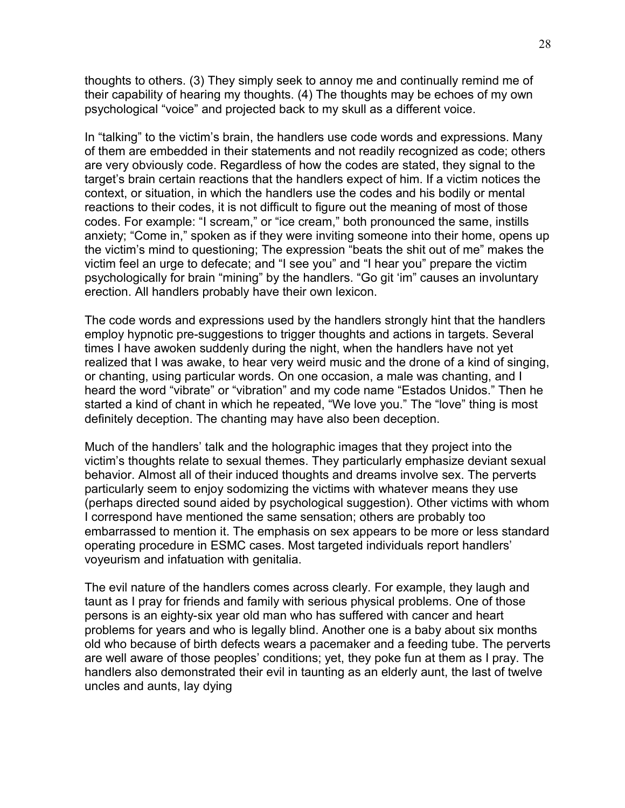thoughts to others. (3) They simply seek to annoy me and continually remind me of their capability of hearing my thoughts. (4) The thoughts may be echoes of my own psychological "voice" and projected back to my skull as a different voice.

In "talking" to the victim's brain, the handlers use code words and expressions. Many of them are embedded in their statements and not readily recognized as code; others are very obviously code. Regardless of how the codes are stated, they signal to the target's brain certain reactions that the handlers expect of him. If a victim notices the context, or situation, in which the handlers use the codes and his bodily or mental reactions to their codes, it is not difficult to figure out the meaning of most of those codes. For example: "I scream," or "ice cream," both pronounced the same, instills anxiety; "Come in," spoken as if they were inviting someone into their home, opens up the victim's mind to questioning; The expression "beats the shit out of me" makes the victim feel an urge to defecate; and "I see you" and "I hear you" prepare the victim psychologically for brain "mining" by the handlers. "Go git 'im" causes an involuntary erection. All handlers probably have their own lexicon.

The code words and expressions used by the handlers strongly hint that the handlers employ hypnotic pre-suggestions to trigger thoughts and actions in targets. Several times I have awoken suddenly during the night, when the handlers have not yet realized that I was awake, to hear very weird music and the drone of a kind of singing, or chanting, using particular words. On one occasion, a male was chanting, and I heard the word "vibrate" or "vibration" and my code name "Estados Unidos." Then he started a kind of chant in which he repeated, "We love you." The "love" thing is most definitely deception. The chanting may have also been deception.

Much of the handlers' talk and the holographic images that they project into the victim's thoughts relate to sexual themes. They particularly emphasize deviant sexual behavior. Almost all of their induced thoughts and dreams involve sex. The perverts particularly seem to enjoy sodomizing the victims with whatever means they use (perhaps directed sound aided by psychological suggestion). Other victims with whom I correspond have mentioned the same sensation; others are probably too embarrassed to mention it. The emphasis on sex appears to be more or less standard operating procedure in ESMC cases. Most targeted individuals report handlers' voyeurism and infatuation with genitalia.

The evil nature of the handlers comes across clearly. For example, they laugh and taunt as I pray for friends and family with serious physical problems. One of those persons is an eighty-six year old man who has suffered with cancer and heart problems for years and who is legally blind. Another one is a baby about six months old who because of birth defects wears a pacemaker and a feeding tube. The perverts are well aware of those peoples' conditions; yet, they poke fun at them as I pray. The handlers also demonstrated their evil in taunting as an elderly aunt, the last of twelve uncles and aunts, lay dying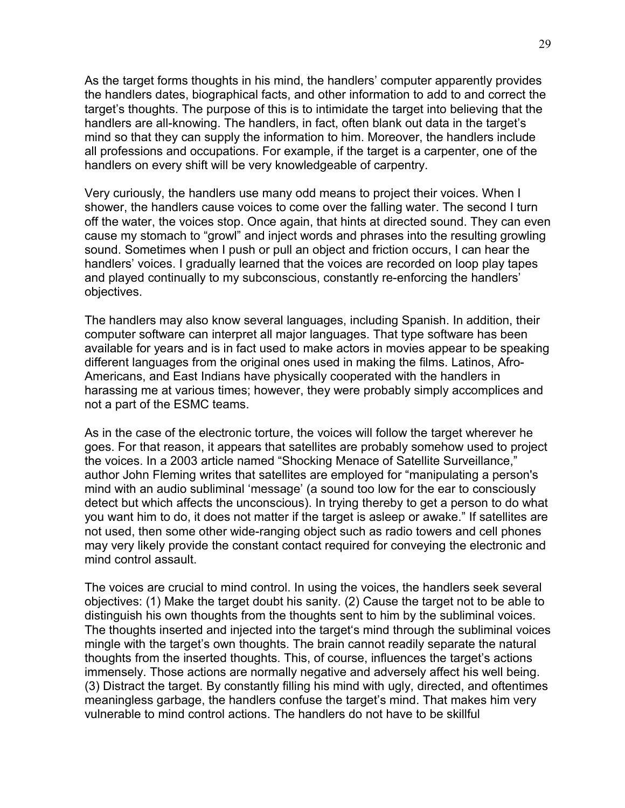As the target forms thoughts in his mind, the handlers' computer apparently provides the handlers dates, biographical facts, and other information to add to and correct the target's thoughts. The purpose of this is to intimidate the target into believing that the handlers are all-knowing. The handlers, in fact, often blank out data in the target's mind so that they can supply the information to him. Moreover, the handlers include all professions and occupations. For example, if the target is a carpenter, one of the handlers on every shift will be very knowledgeable of carpentry.

Very curiously, the handlers use many odd means to project their voices. When I shower, the handlers cause voices to come over the falling water. The second I turn off the water, the voices stop. Once again, that hints at directed sound. They can even cause my stomach to "growl" and inject words and phrases into the resulting growling sound. Sometimes when I push or pull an object and friction occurs, I can hear the handlers' voices. I gradually learned that the voices are recorded on loop play tapes and played continually to my subconscious, constantly re-enforcing the handlers' objectives.

The handlers may also know several languages, including Spanish. In addition, their computer software can interpret all major languages. That type software has been available for years and is in fact used to make actors in movies appear to be speaking different languages from the original ones used in making the films. Latinos, Afro-Americans, and East Indians have physically cooperated with the handlers in harassing me at various times; however, they were probably simply accomplices and not a part of the ESMC teams.

As in the case of the electronic torture, the voices will follow the target wherever he goes. For that reason, it appears that satellites are probably somehow used to project the voices. In a 2003 article named "Shocking Menace of Satellite Surveillance," author John Fleming writes that satellites are employed for "manipulating a person's mind with an audio subliminal 'message' (a sound too low for the ear to consciously detect but which affects the unconscious). In trying thereby to get a person to do what you want him to do, it does not matter if the target is asleep or awake." If satellites are not used, then some other wide-ranging object such as radio towers and cell phones may very likely provide the constant contact required for conveying the electronic and mind control assault.

The voices are crucial to mind control. In using the voices, the handlers seek several objectives: (1) Make the target doubt his sanity. (2) Cause the target not to be able to distinguish his own thoughts from the thoughts sent to him by the subliminal voices. The thoughts inserted and injected into the target's mind through the subliminal voices mingle with the target's own thoughts. The brain cannot readily separate the natural thoughts from the inserted thoughts. This, of course, influences the target's actions immensely. Those actions are normally negative and adversely affect his well being. (3) Distract the target. By constantly filling his mind with ugly, directed, and oftentimes meaningless garbage, the handlers confuse the target's mind. That makes him very vulnerable to mind control actions. The handlers do not have to be skillful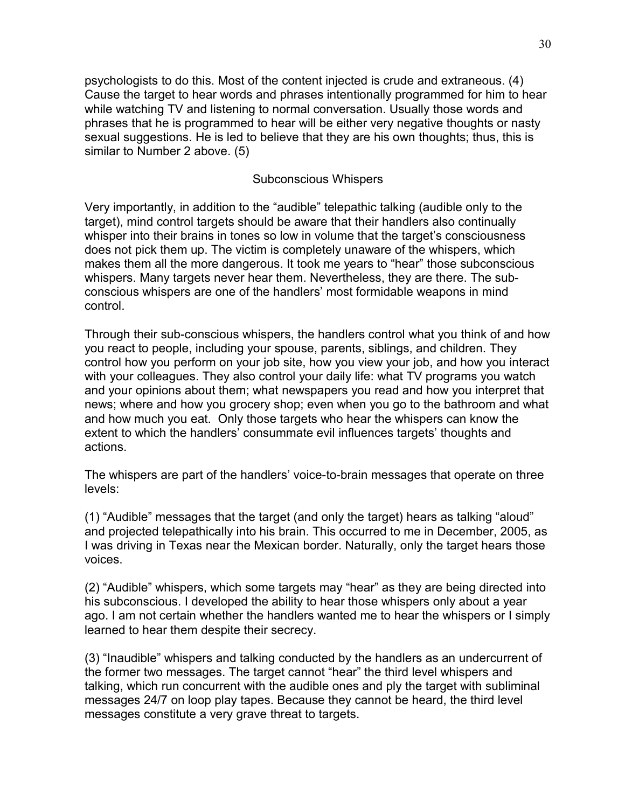psychologists to do this. Most of the content injected is crude and extraneous. (4) Cause the target to hear words and phrases intentionally programmed for him to hear while watching TV and listening to normal conversation. Usually those words and phrases that he is programmed to hear will be either very negative thoughts or nasty sexual suggestions. He is led to believe that they are his own thoughts; thus, this is similar to Number 2 above. (5)

# Subconscious Whispers

Very importantly, in addition to the "audible" telepathic talking (audible only to the target), mind control targets should be aware that their handlers also continually whisper into their brains in tones so low in volume that the target's consciousness does not pick them up. The victim is completely unaware of the whispers, which makes them all the more dangerous. It took me years to "hear" those subconscious whispers. Many targets never hear them. Nevertheless, they are there. The subconscious whispers are one of the handlers' most formidable weapons in mind control.

Through their sub-conscious whispers, the handlers control what you think of and how you react to people, including your spouse, parents, siblings, and children. They control how you perform on your job site, how you view your job, and how you interact with your colleagues. They also control your daily life: what TV programs you watch and your opinions about them; what newspapers you read and how you interpret that news; where and how you grocery shop; even when you go to the bathroom and what and how much you eat. Only those targets who hear the whispers can know the extent to which the handlers' consummate evil influences targets' thoughts and actions.

The whispers are part of the handlers' voice-to-brain messages that operate on three levels:

(1) "Audible" messages that the target (and only the target) hears as talking "aloud" and projected telepathically into his brain. This occurred to me in December, 2005, as I was driving in Texas near the Mexican border. Naturally, only the target hears those voices.

(2) "Audible" whispers, which some targets may "hear" as they are being directed into his subconscious. I developed the ability to hear those whispers only about a year ago. I am not certain whether the handlers wanted me to hear the whispers or I simply learned to hear them despite their secrecy.

(3) "Inaudible" whispers and talking conducted by the handlers as an undercurrent of the former two messages. The target cannot "hear" the third level whispers and talking, which run concurrent with the audible ones and ply the target with subliminal messages 24/7 on loop play tapes. Because they cannot be heard, the third level messages constitute a very grave threat to targets.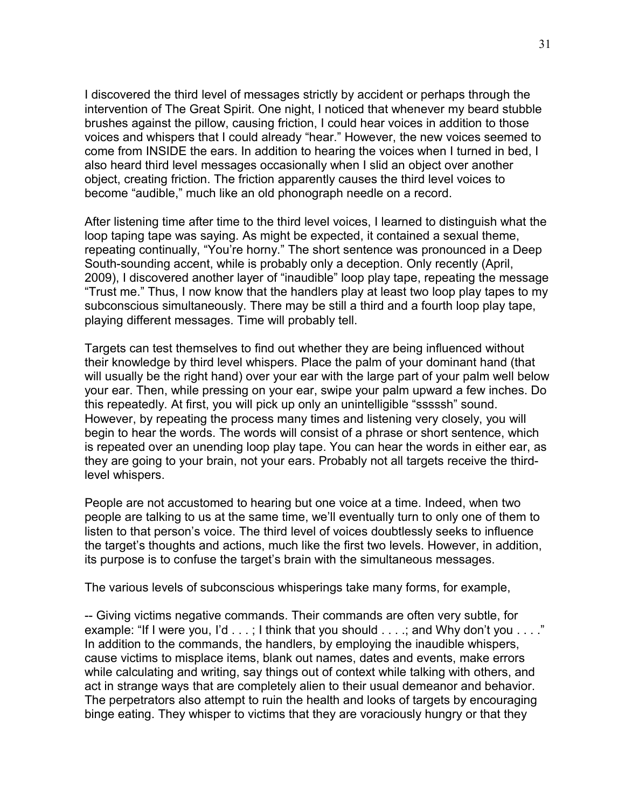I discovered the third level of messages strictly by accident or perhaps through the intervention of The Great Spirit. One night, I noticed that whenever my beard stubble brushes against the pillow, causing friction, I could hear voices in addition to those voices and whispers that I could already "hear." However, the new voices seemed to come from INSIDE the ears. In addition to hearing the voices when I turned in bed, I also heard third level messages occasionally when I slid an object over another object, creating friction. The friction apparently causes the third level voices to become "audible," much like an old phonograph needle on a record.

After listening time after time to the third level voices, I learned to distinguish what the loop taping tape was saying. As might be expected, it contained a sexual theme, repeating continually, "You're horny." The short sentence was pronounced in a Deep South-sounding accent, while is probably only a deception. Only recently (April, 2009), I discovered another layer of "inaudible" loop play tape, repeating the message "Trust me." Thus, I now know that the handlers play at least two loop play tapes to my subconscious simultaneously. There may be still a third and a fourth loop play tape, playing different messages. Time will probably tell.

Targets can test themselves to find out whether they are being influenced without their knowledge by third level whispers. Place the palm of your dominant hand (that will usually be the right hand) over your ear with the large part of your palm well below your ear. Then, while pressing on your ear, swipe your palm upward a few inches. Do this repeatedly. At first, you will pick up only an unintelligible "sssssh" sound. However, by repeating the process many times and listening very closely, you will begin to hear the words. The words will consist of a phrase or short sentence, which is repeated over an unending loop play tape. You can hear the words in either ear, as they are going to your brain, not your ears. Probably not all targets receive the thirdlevel whispers.

People are not accustomed to hearing but one voice at a time. Indeed, when two people are talking to us at the same time, we'll eventually turn to only one of them to listen to that person's voice. The third level of voices doubtlessly seeks to influence the target's thoughts and actions, much like the first two levels. However, in addition, its purpose is to confuse the target's brain with the simultaneous messages.

The various levels of subconscious whisperings take many forms, for example,

-- Giving victims negative commands. Their commands are often very subtle, for example: "If I were you, I'd . . .; I think that you should . . . .; and Why don't you . . . ." In addition to the commands, the handlers, by employing the inaudible whispers, cause victims to misplace items, blank out names, dates and events, make errors while calculating and writing, say things out of context while talking with others, and act in strange ways that are completely alien to their usual demeanor and behavior. The perpetrators also attempt to ruin the health and looks of targets by encouraging binge eating. They whisper to victims that they are voraciously hungry or that they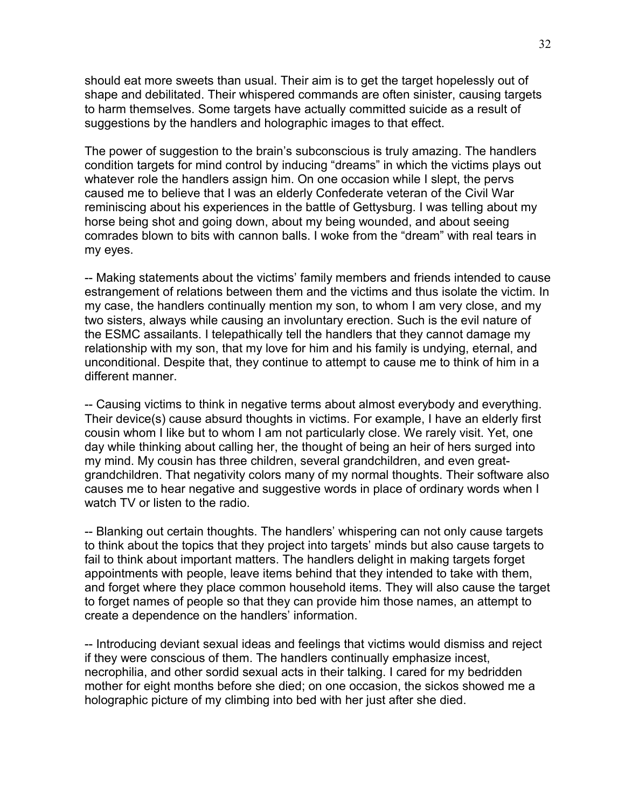should eat more sweets than usual. Their aim is to get the target hopelessly out of shape and debilitated. Their whispered commands are often sinister, causing targets to harm themselves. Some targets have actually committed suicide as a result of suggestions by the handlers and holographic images to that effect.

The power of suggestion to the brain's subconscious is truly amazing. The handlers condition targets for mind control by inducing "dreams" in which the victims plays out whatever role the handlers assign him. On one occasion while I slept, the pervs caused me to believe that I was an elderly Confederate veteran of the Civil War reminiscing about his experiences in the battle of Gettysburg. I was telling about my horse being shot and going down, about my being wounded, and about seeing comrades blown to bits with cannon balls. I woke from the "dream" with real tears in my eyes.

-- Making statements about the victims' family members and friends intended to cause estrangement of relations between them and the victims and thus isolate the victim. In my case, the handlers continually mention my son, to whom I am very close, and my two sisters, always while causing an involuntary erection. Such is the evil nature of the ESMC assailants. I telepathically tell the handlers that they cannot damage my relationship with my son, that my love for him and his family is undying, eternal, and unconditional. Despite that, they continue to attempt to cause me to think of him in a different manner.

-- Causing victims to think in negative terms about almost everybody and everything. Their device(s) cause absurd thoughts in victims. For example, I have an elderly first cousin whom I like but to whom I am not particularly close. We rarely visit. Yet, one day while thinking about calling her, the thought of being an heir of hers surged into my mind. My cousin has three children, several grandchildren, and even greatgrandchildren. That negativity colors many of my normal thoughts. Their software also causes me to hear negative and suggestive words in place of ordinary words when I watch TV or listen to the radio.

-- Blanking out certain thoughts. The handlers' whispering can not only cause targets to think about the topics that they project into targets' minds but also cause targets to fail to think about important matters. The handlers delight in making targets forget appointments with people, leave items behind that they intended to take with them, and forget where they place common household items. They will also cause the target to forget names of people so that they can provide him those names, an attempt to create a dependence on the handlers' information.

-- Introducing deviant sexual ideas and feelings that victims would dismiss and reject if they were conscious of them. The handlers continually emphasize incest, necrophilia, and other sordid sexual acts in their talking. I cared for my bedridden mother for eight months before she died; on one occasion, the sickos showed me a holographic picture of my climbing into bed with her just after she died.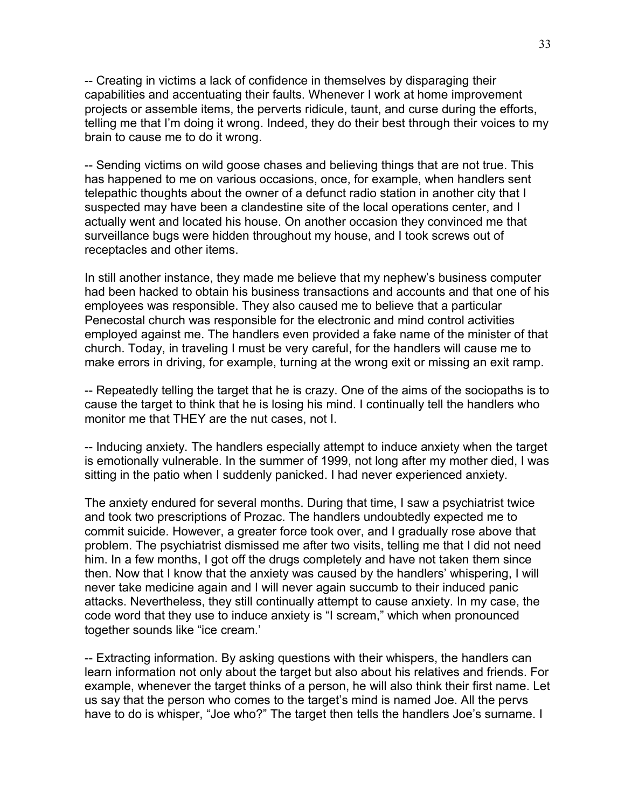-- Creating in victims a lack of confidence in themselves by disparaging their capabilities and accentuating their faults. Whenever I work at home improvement projects or assemble items, the perverts ridicule, taunt, and curse during the efforts, telling me that I'm doing it wrong. Indeed, they do their best through their voices to my brain to cause me to do it wrong.

-- Sending victims on wild goose chases and believing things that are not true. This has happened to me on various occasions, once, for example, when handlers sent telepathic thoughts about the owner of a defunct radio station in another city that I suspected may have been a clandestine site of the local operations center, and I actually went and located his house. On another occasion they convinced me that surveillance bugs were hidden throughout my house, and I took screws out of receptacles and other items.

In still another instance, they made me believe that my nephew's business computer had been hacked to obtain his business transactions and accounts and that one of his employees was responsible. They also caused me to believe that a particular Penecostal church was responsible for the electronic and mind control activities employed against me. The handlers even provided a fake name of the minister of that church. Today, in traveling I must be very careful, for the handlers will cause me to make errors in driving, for example, turning at the wrong exit or missing an exit ramp.

-- Repeatedly telling the target that he is crazy. One of the aims of the sociopaths is to cause the target to think that he is losing his mind. I continually tell the handlers who monitor me that THEY are the nut cases, not I.

-- Inducing anxiety. The handlers especially attempt to induce anxiety when the target is emotionally vulnerable. In the summer of 1999, not long after my mother died, I was sitting in the patio when I suddenly panicked. I had never experienced anxiety.

The anxiety endured for several months. During that time, I saw a psychiatrist twice and took two prescriptions of Prozac. The handlers undoubtedly expected me to commit suicide. However, a greater force took over, and I gradually rose above that problem. The psychiatrist dismissed me after two visits, telling me that I did not need him. In a few months, I got off the drugs completely and have not taken them since then. Now that I know that the anxiety was caused by the handlers' whispering, I will never take medicine again and I will never again succumb to their induced panic attacks. Nevertheless, they still continually attempt to cause anxiety. In my case, the code word that they use to induce anxiety is "I scream," which when pronounced together sounds like "ice cream.'

-- Extracting information. By asking questions with their whispers, the handlers can learn information not only about the target but also about his relatives and friends. For example, whenever the target thinks of a person, he will also think their first name. Let us say that the person who comes to the target's mind is named Joe. All the pervs have to do is whisper, "Joe who?" The target then tells the handlers Joe's surname. I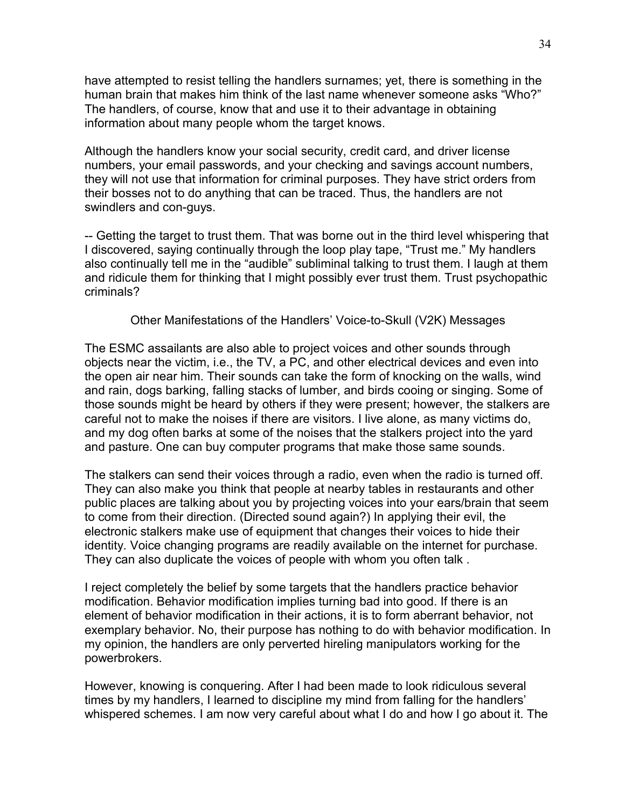have attempted to resist telling the handlers surnames; yet, there is something in the human brain that makes him think of the last name whenever someone asks "Who?" The handlers, of course, know that and use it to their advantage in obtaining information about many people whom the target knows.

Although the handlers know your social security, credit card, and driver license numbers, your email passwords, and your checking and savings account numbers, they will not use that information for criminal purposes. They have strict orders from their bosses not to do anything that can be traced. Thus, the handlers are not swindlers and con-guys.

-- Getting the target to trust them. That was borne out in the third level whispering that I discovered, saying continually through the loop play tape, "Trust me." My handlers also continually tell me in the "audible" subliminal talking to trust them. I laugh at them and ridicule them for thinking that I might possibly ever trust them. Trust psychopathic criminals?

Other Manifestations of the Handlers' Voice-to-Skull (V2K) Messages

The ESMC assailants are also able to project voices and other sounds through objects near the victim, i.e., the TV, a PC, and other electrical devices and even into the open air near him. Their sounds can take the form of knocking on the walls, wind and rain, dogs barking, falling stacks of lumber, and birds cooing or singing. Some of those sounds might be heard by others if they were present; however, the stalkers are careful not to make the noises if there are visitors. I live alone, as many victims do, and my dog often barks at some of the noises that the stalkers project into the yard and pasture. One can buy computer programs that make those same sounds.

The stalkers can send their voices through a radio, even when the radio is turned off. They can also make you think that people at nearby tables in restaurants and other public places are talking about you by projecting voices into your ears/brain that seem to come from their direction. (Directed sound again?) In applying their evil, the electronic stalkers make use of equipment that changes their voices to hide their identity. Voice changing programs are readily available on the internet for purchase. They can also duplicate the voices of people with whom you often talk .

I reject completely the belief by some targets that the handlers practice behavior modification. Behavior modification implies turning bad into good. If there is an element of behavior modification in their actions, it is to form aberrant behavior, not exemplary behavior. No, their purpose has nothing to do with behavior modification. In my opinion, the handlers are only perverted hireling manipulators working for the powerbrokers.

However, knowing is conquering. After I had been made to look ridiculous several times by my handlers, I learned to discipline my mind from falling for the handlers' whispered schemes. I am now very careful about what I do and how I go about it. The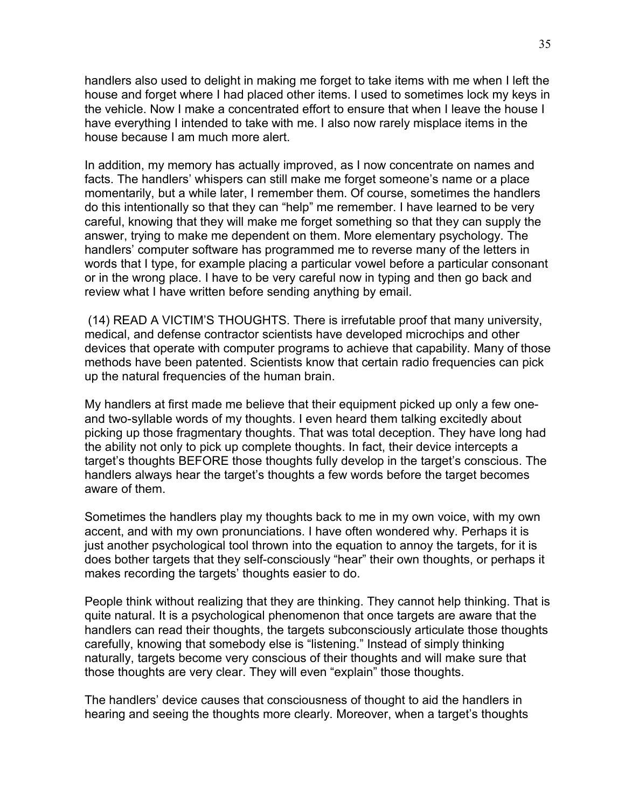handlers also used to delight in making me forget to take items with me when I left the house and forget where I had placed other items. I used to sometimes lock my keys in the vehicle. Now I make a concentrated effort to ensure that when I leave the house I have everything I intended to take with me. I also now rarely misplace items in the house because I am much more alert.

In addition, my memory has actually improved, as I now concentrate on names and facts. The handlers' whispers can still make me forget someone's name or a place momentarily, but a while later, I remember them. Of course, sometimes the handlers do this intentionally so that they can "help" me remember. I have learned to be very careful, knowing that they will make me forget something so that they can supply the answer, trying to make me dependent on them. More elementary psychology. The handlers' computer software has programmed me to reverse many of the letters in words that I type, for example placing a particular vowel before a particular consonant or in the wrong place. I have to be very careful now in typing and then go back and review what I have written before sending anything by email.

 (14) READ A VICTIM'S THOUGHTS. There is irrefutable proof that many university, medical, and defense contractor scientists have developed microchips and other devices that operate with computer programs to achieve that capability. Many of those methods have been patented. Scientists know that certain radio frequencies can pick up the natural frequencies of the human brain.

My handlers at first made me believe that their equipment picked up only a few oneand two-syllable words of my thoughts. I even heard them talking excitedly about picking up those fragmentary thoughts. That was total deception. They have long had the ability not only to pick up complete thoughts. In fact, their device intercepts a target's thoughts BEFORE those thoughts fully develop in the target's conscious. The handlers always hear the target's thoughts a few words before the target becomes aware of them.

Sometimes the handlers play my thoughts back to me in my own voice, with my own accent, and with my own pronunciations. I have often wondered why. Perhaps it is just another psychological tool thrown into the equation to annoy the targets, for it is does bother targets that they self-consciously "hear" their own thoughts, or perhaps it makes recording the targets' thoughts easier to do.

People think without realizing that they are thinking. They cannot help thinking. That is quite natural. It is a psychological phenomenon that once targets are aware that the handlers can read their thoughts, the targets subconsciously articulate those thoughts carefully, knowing that somebody else is "listening." Instead of simply thinking naturally, targets become very conscious of their thoughts and will make sure that those thoughts are very clear. They will even "explain" those thoughts.

The handlers' device causes that consciousness of thought to aid the handlers in hearing and seeing the thoughts more clearly. Moreover, when a target's thoughts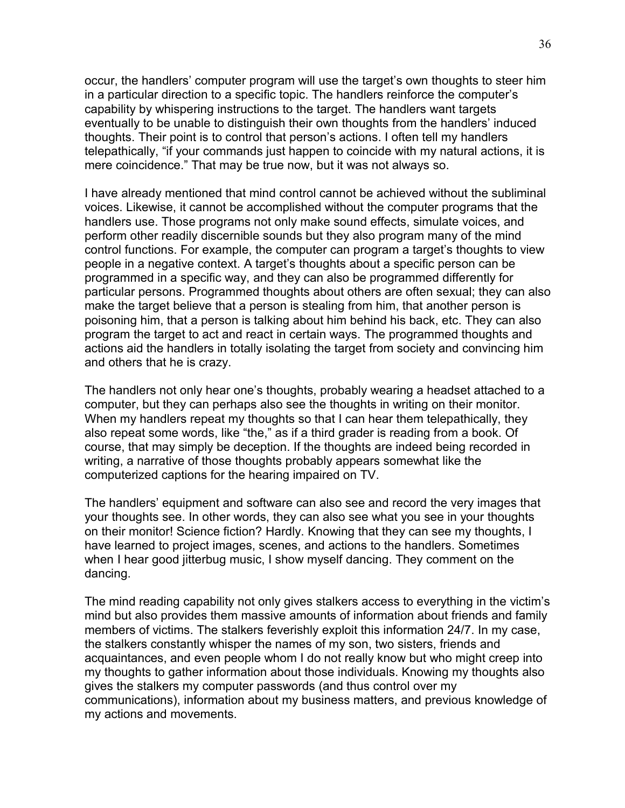occur, the handlers' computer program will use the target's own thoughts to steer him in a particular direction to a specific topic. The handlers reinforce the computer's capability by whispering instructions to the target. The handlers want targets eventually to be unable to distinguish their own thoughts from the handlers' induced thoughts. Their point is to control that person's actions. I often tell my handlers telepathically, "if your commands just happen to coincide with my natural actions, it is mere coincidence." That may be true now, but it was not always so.

I have already mentioned that mind control cannot be achieved without the subliminal voices. Likewise, it cannot be accomplished without the computer programs that the handlers use. Those programs not only make sound effects, simulate voices, and perform other readily discernible sounds but they also program many of the mind control functions. For example, the computer can program a target's thoughts to view people in a negative context. A target's thoughts about a specific person can be programmed in a specific way, and they can also be programmed differently for particular persons. Programmed thoughts about others are often sexual; they can also make the target believe that a person is stealing from him, that another person is poisoning him, that a person is talking about him behind his back, etc. They can also program the target to act and react in certain ways. The programmed thoughts and actions aid the handlers in totally isolating the target from society and convincing him and others that he is crazy.

The handlers not only hear one's thoughts, probably wearing a headset attached to a computer, but they can perhaps also see the thoughts in writing on their monitor. When my handlers repeat my thoughts so that I can hear them telepathically, they also repeat some words, like "the," as if a third grader is reading from a book. Of course, that may simply be deception. If the thoughts are indeed being recorded in writing, a narrative of those thoughts probably appears somewhat like the computerized captions for the hearing impaired on TV.

The handlers' equipment and software can also see and record the very images that your thoughts see. In other words, they can also see what you see in your thoughts on their monitor! Science fiction? Hardly. Knowing that they can see my thoughts, I have learned to project images, scenes, and actions to the handlers. Sometimes when I hear good jitterbug music, I show myself dancing. They comment on the dancing.

The mind reading capability not only gives stalkers access to everything in the victim's mind but also provides them massive amounts of information about friends and family members of victims. The stalkers feverishly exploit this information 24/7. In my case, the stalkers constantly whisper the names of my son, two sisters, friends and acquaintances, and even people whom I do not really know but who might creep into my thoughts to gather information about those individuals. Knowing my thoughts also gives the stalkers my computer passwords (and thus control over my communications), information about my business matters, and previous knowledge of my actions and movements.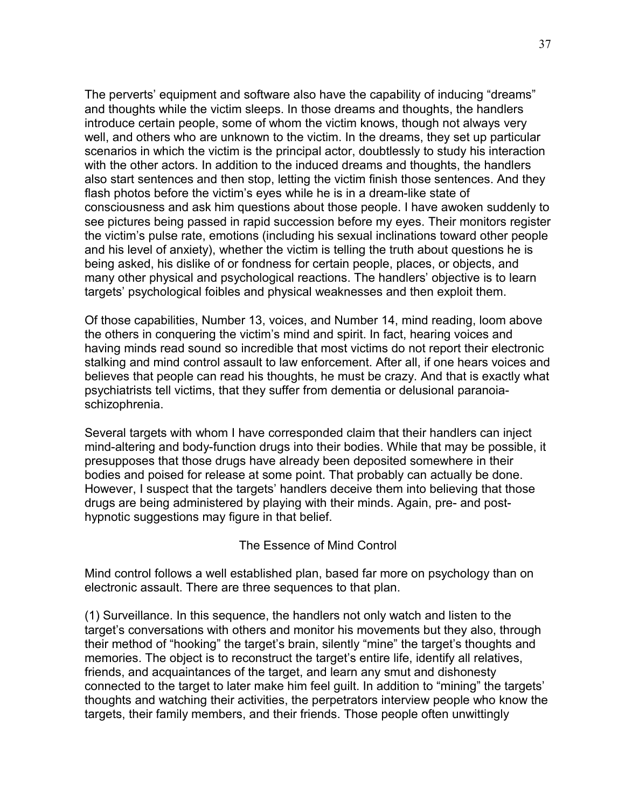The perverts' equipment and software also have the capability of inducing "dreams" and thoughts while the victim sleeps. In those dreams and thoughts, the handlers introduce certain people, some of whom the victim knows, though not always very well, and others who are unknown to the victim. In the dreams, they set up particular scenarios in which the victim is the principal actor, doubtlessly to study his interaction with the other actors. In addition to the induced dreams and thoughts, the handlers also start sentences and then stop, letting the victim finish those sentences. And they flash photos before the victim's eyes while he is in a dream-like state of consciousness and ask him questions about those people. I have awoken suddenly to see pictures being passed in rapid succession before my eyes. Their monitors register the victim's pulse rate, emotions (including his sexual inclinations toward other people and his level of anxiety), whether the victim is telling the truth about questions he is being asked, his dislike of or fondness for certain people, places, or objects, and many other physical and psychological reactions. The handlers' objective is to learn targets' psychological foibles and physical weaknesses and then exploit them.

Of those capabilities, Number 13, voices, and Number 14, mind reading, loom above the others in conquering the victim's mind and spirit. In fact, hearing voices and having minds read sound so incredible that most victims do not report their electronic stalking and mind control assault to law enforcement. After all, if one hears voices and believes that people can read his thoughts, he must be crazy. And that is exactly what psychiatrists tell victims, that they suffer from dementia or delusional paranoiaschizophrenia.

Several targets with whom I have corresponded claim that their handlers can inject mind-altering and body-function drugs into their bodies. While that may be possible, it presupposes that those drugs have already been deposited somewhere in their bodies and poised for release at some point. That probably can actually be done. However, I suspect that the targets' handlers deceive them into believing that those drugs are being administered by playing with their minds. Again, pre- and posthypnotic suggestions may figure in that belief.

### The Essence of Mind Control

Mind control follows a well established plan, based far more on psychology than on electronic assault. There are three sequences to that plan.

(1) Surveillance. In this sequence, the handlers not only watch and listen to the target's conversations with others and monitor his movements but they also, through their method of "hooking" the target's brain, silently "mine" the target's thoughts and memories. The object is to reconstruct the target's entire life, identify all relatives, friends, and acquaintances of the target, and learn any smut and dishonesty connected to the target to later make him feel guilt. In addition to "mining" the targets' thoughts and watching their activities, the perpetrators interview people who know the targets, their family members, and their friends. Those people often unwittingly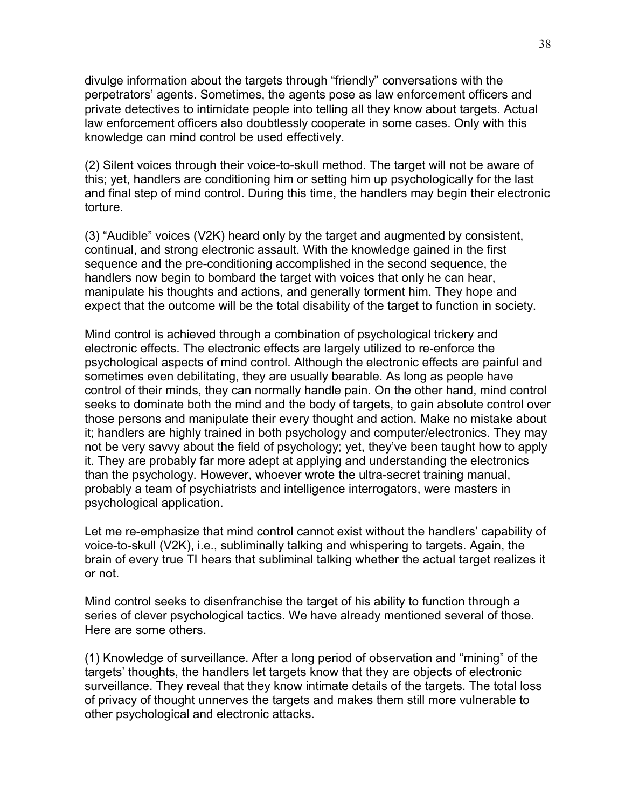divulge information about the targets through "friendly" conversations with the perpetrators' agents. Sometimes, the agents pose as law enforcement officers and private detectives to intimidate people into telling all they know about targets. Actual law enforcement officers also doubtlessly cooperate in some cases. Only with this knowledge can mind control be used effectively.

(2) Silent voices through their voice-to-skull method. The target will not be aware of this; yet, handlers are conditioning him or setting him up psychologically for the last and final step of mind control. During this time, the handlers may begin their electronic torture.

(3) "Audible" voices (V2K) heard only by the target and augmented by consistent, continual, and strong electronic assault. With the knowledge gained in the first sequence and the pre-conditioning accomplished in the second sequence, the handlers now begin to bombard the target with voices that only he can hear, manipulate his thoughts and actions, and generally torment him. They hope and expect that the outcome will be the total disability of the target to function in society.

Mind control is achieved through a combination of psychological trickery and electronic effects. The electronic effects are largely utilized to re-enforce the psychological aspects of mind control. Although the electronic effects are painful and sometimes even debilitating, they are usually bearable. As long as people have control of their minds, they can normally handle pain. On the other hand, mind control seeks to dominate both the mind and the body of targets, to gain absolute control over those persons and manipulate their every thought and action. Make no mistake about it; handlers are highly trained in both psychology and computer/electronics. They may not be very savvy about the field of psychology; yet, they've been taught how to apply it. They are probably far more adept at applying and understanding the electronics than the psychology. However, whoever wrote the ultra-secret training manual, probably a team of psychiatrists and intelligence interrogators, were masters in psychological application.

Let me re-emphasize that mind control cannot exist without the handlers' capability of voice-to-skull (V2K), i.e., subliminally talking and whispering to targets. Again, the brain of every true TI hears that subliminal talking whether the actual target realizes it or not.

Mind control seeks to disenfranchise the target of his ability to function through a series of clever psychological tactics. We have already mentioned several of those. Here are some others.

(1) Knowledge of surveillance. After a long period of observation and "mining" of the targets' thoughts, the handlers let targets know that they are objects of electronic surveillance. They reveal that they know intimate details of the targets. The total loss of privacy of thought unnerves the targets and makes them still more vulnerable to other psychological and electronic attacks.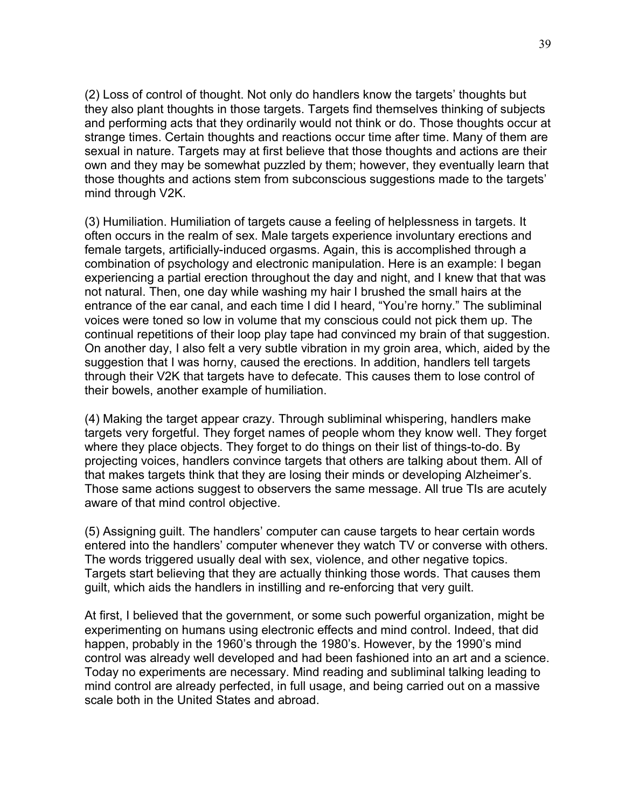(2) Loss of control of thought. Not only do handlers know the targets' thoughts but they also plant thoughts in those targets. Targets find themselves thinking of subjects and performing acts that they ordinarily would not think or do. Those thoughts occur at strange times. Certain thoughts and reactions occur time after time. Many of them are sexual in nature. Targets may at first believe that those thoughts and actions are their own and they may be somewhat puzzled by them; however, they eventually learn that those thoughts and actions stem from subconscious suggestions made to the targets' mind through V2K.

(3) Humiliation. Humiliation of targets cause a feeling of helplessness in targets. It often occurs in the realm of sex. Male targets experience involuntary erections and female targets, artificially-induced orgasms. Again, this is accomplished through a combination of psychology and electronic manipulation. Here is an example: I began experiencing a partial erection throughout the day and night, and I knew that that was not natural. Then, one day while washing my hair I brushed the small hairs at the entrance of the ear canal, and each time I did I heard, "You're horny." The subliminal voices were toned so low in volume that my conscious could not pick them up. The continual repetitions of their loop play tape had convinced my brain of that suggestion. On another day, I also felt a very subtle vibration in my groin area, which, aided by the suggestion that I was horny, caused the erections. In addition, handlers tell targets through their V2K that targets have to defecate. This causes them to lose control of their bowels, another example of humiliation.

(4) Making the target appear crazy. Through subliminal whispering, handlers make targets very forgetful. They forget names of people whom they know well. They forget where they place objects. They forget to do things on their list of things-to-do. By projecting voices, handlers convince targets that others are talking about them. All of that makes targets think that they are losing their minds or developing Alzheimer's. Those same actions suggest to observers the same message. All true TIs are acutely aware of that mind control objective.

(5) Assigning guilt. The handlers' computer can cause targets to hear certain words entered into the handlers' computer whenever they watch TV or converse with others. The words triggered usually deal with sex, violence, and other negative topics. Targets start believing that they are actually thinking those words. That causes them guilt, which aids the handlers in instilling and re-enforcing that very guilt.

At first, I believed that the government, or some such powerful organization, might be experimenting on humans using electronic effects and mind control. Indeed, that did happen, probably in the 1960's through the 1980's. However, by the 1990's mind control was already well developed and had been fashioned into an art and a science. Today no experiments are necessary. Mind reading and subliminal talking leading to mind control are already perfected, in full usage, and being carried out on a massive scale both in the United States and abroad.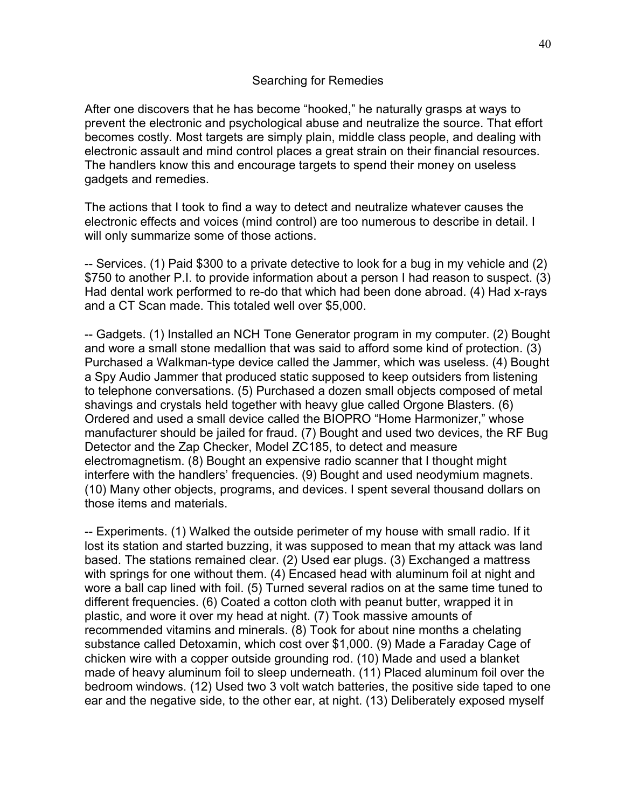#### Searching for Remedies

After one discovers that he has become "hooked," he naturally grasps at ways to prevent the electronic and psychological abuse and neutralize the source. That effort becomes costly. Most targets are simply plain, middle class people, and dealing with electronic assault and mind control places a great strain on their financial resources. The handlers know this and encourage targets to spend their money on useless gadgets and remedies.

The actions that I took to find a way to detect and neutralize whatever causes the electronic effects and voices (mind control) are too numerous to describe in detail. I will only summarize some of those actions.

-- Services. (1) Paid \$300 to a private detective to look for a bug in my vehicle and (2) \$750 to another P.I. to provide information about a person I had reason to suspect. (3) Had dental work performed to re-do that which had been done abroad. (4) Had x-rays and a CT Scan made. This totaled well over \$5,000.

-- Gadgets. (1) Installed an NCH Tone Generator program in my computer. (2) Bought and wore a small stone medallion that was said to afford some kind of protection. (3) Purchased a Walkman-type device called the Jammer, which was useless. (4) Bought a Spy Audio Jammer that produced static supposed to keep outsiders from listening to telephone conversations. (5) Purchased a dozen small objects composed of metal shavings and crystals held together with heavy glue called Orgone Blasters. (6) Ordered and used a small device called the BIOPRO "Home Harmonizer," whose manufacturer should be jailed for fraud. (7) Bought and used two devices, the RF Bug Detector and the Zap Checker, Model ZC185, to detect and measure electromagnetism. (8) Bought an expensive radio scanner that I thought might interfere with the handlers' frequencies. (9) Bought and used neodymium magnets. (10) Many other objects, programs, and devices. I spent several thousand dollars on those items and materials.

-- Experiments. (1) Walked the outside perimeter of my house with small radio. If it lost its station and started buzzing, it was supposed to mean that my attack was land based. The stations remained clear. (2) Used ear plugs. (3) Exchanged a mattress with springs for one without them. (4) Encased head with aluminum foil at night and wore a ball cap lined with foil. (5) Turned several radios on at the same time tuned to different frequencies. (6) Coated a cotton cloth with peanut butter, wrapped it in plastic, and wore it over my head at night. (7) Took massive amounts of recommended vitamins and minerals. (8) Took for about nine months a chelating substance called Detoxamin, which cost over \$1,000. (9) Made a Faraday Cage of chicken wire with a copper outside grounding rod. (10) Made and used a blanket made of heavy aluminum foil to sleep underneath. (11) Placed aluminum foil over the bedroom windows. (12) Used two 3 volt watch batteries, the positive side taped to one ear and the negative side, to the other ear, at night. (13) Deliberately exposed myself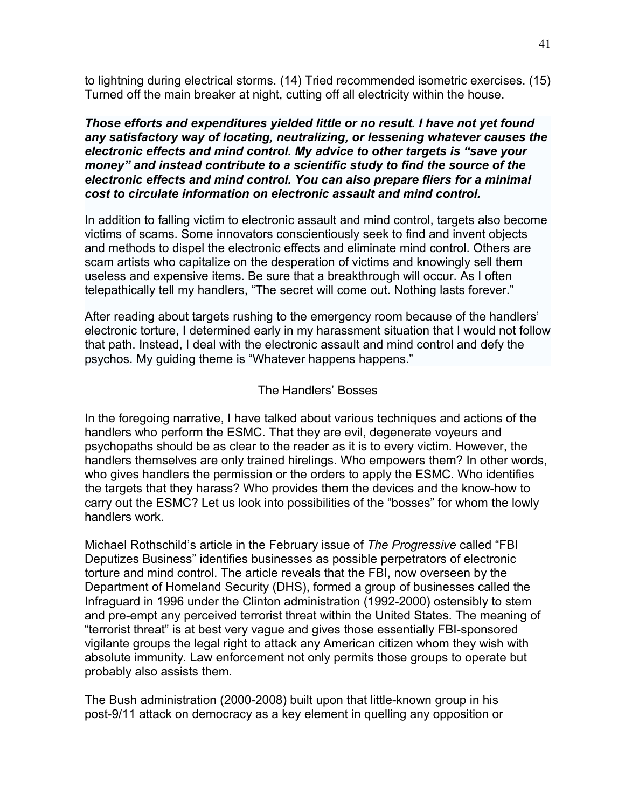to lightning during electrical storms. (14) Tried recommended isometric exercises. (15) Turned off the main breaker at night, cutting off all electricity within the house.

*Those efforts and expenditures yielded little or no result. I have not yet found any satisfactory way of locating, neutralizing, or lessening whatever causes the electronic effects and mind control. My advice to other targets is "save your money" and instead contribute to a scientific study to find the source of the electronic effects and mind control. You can also prepare fliers for a minimal cost to circulate information on electronic assault and mind control.*

In addition to falling victim to electronic assault and mind control, targets also become victims of scams. Some innovators conscientiously seek to find and invent objects and methods to dispel the electronic effects and eliminate mind control. Others are scam artists who capitalize on the desperation of victims and knowingly sell them useless and expensive items. Be sure that a breakthrough will occur. As I often telepathically tell my handlers, "The secret will come out. Nothing lasts forever."

After reading about targets rushing to the emergency room because of the handlers' electronic torture, I determined early in my harassment situation that I would not follow that path. Instead, I deal with the electronic assault and mind control and defy the psychos. My guiding theme is "Whatever happens happens."

# The Handlers' Bosses

In the foregoing narrative, I have talked about various techniques and actions of the handlers who perform the ESMC. That they are evil, degenerate voyeurs and psychopaths should be as clear to the reader as it is to every victim. However, the handlers themselves are only trained hirelings. Who empowers them? In other words, who gives handlers the permission or the orders to apply the ESMC. Who identifies the targets that they harass? Who provides them the devices and the know-how to carry out the ESMC? Let us look into possibilities of the "bosses" for whom the lowly handlers work.

Michael Rothschild's article in the February issue of *The Progressive* called "FBI Deputizes Business" identifies businesses as possible perpetrators of electronic torture and mind control. The article reveals that the FBI, now overseen by the Department of Homeland Security (DHS), formed a group of businesses called the Infraguard in 1996 under the Clinton administration (1992-2000) ostensibly to stem and pre-empt any perceived terrorist threat within the United States. The meaning of "terrorist threat" is at best very vague and gives those essentially FBI-sponsored vigilante groups the legal right to attack any American citizen whom they wish with absolute immunity. Law enforcement not only permits those groups to operate but probably also assists them.

The Bush administration (2000-2008) built upon that little-known group in his post-9/11 attack on democracy as a key element in quelling any opposition or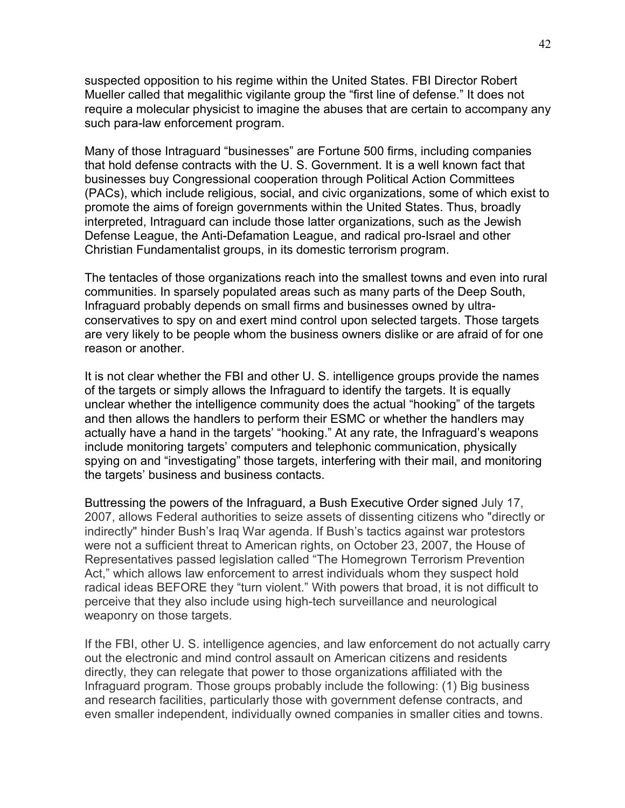suspected opposition to his regime within the United States. FBI Director Robert Mueller called that megalithic vigilante group the "first line of defense." It does not require a molecular physicist to imagine the abuses that are certain to accompany any such para-law enforcement program.

Many of those Intraguard "businesses" are Fortune 500 firms, including companies that hold defense contracts with the U. S. Government. It is a well known fact that businesses buy Congressional cooperation through Political Action Committees (PACs), which include religious, social, and civic organizations, some of which exist to promote the aims of foreign governments within the United States. Thus, broadly interpreted, Intraguard can include those latter organizations, such as the Jewish Defense League, the Anti-Defamation League, and radical pro-Israel and other Christian Fundamentalist groups, in its domestic terrorism program.

The tentacles of those organizations reach into the smallest towns and even into rural communities. In sparsely populated areas such as many parts of the Deep South, Infraguard probably depends on small firms and businesses owned by ultraconservatives to spy on and exert mind control upon selected targets. Those targets are very likely to be people whom the business owners dislike or are afraid of for one reason or another.

It is not clear whether the FBI and other U. S. intelligence groups provide the names of the targets or simply allows the Infraguard to identify the targets. It is equally unclear whether the intelligence community does the actual "hooking" of the targets and then allows the handlers to perform their ESMC or whether the handlers may actually have a hand in the targets' "hooking." At any rate, the Infraguard's weapons include monitoring targets' computers and telephonic communication, physically spying on and "investigating" those targets, interfering with their mail, and monitoring the targets' business and business contacts.

Buttressing the powers of the Infraguard, a Bush Executive Order signed July 17, 2007, allows Federal authorities to seize assets of dissenting citizens who "directly or indirectly" hinder Bush's Iraq War agenda. If Bush's tactics against war protestors were not a sufficient threat to American rights, on October 23, 2007, the House of Representatives passed legislation called "The Homegrown Terrorism Prevention Act," which allows law enforcement to arrest individuals whom they suspect hold radical ideas BEFORE they "turn violent." With powers that broad, it is not difficult to perceive that they also include using high-tech surveillance and neurological weaponry on those targets.

If the FBI, other U. S. intelligence agencies, and law enforcement do not actually carry out the electronic and mind control assault on American citizens and residents directly, they can relegate that power to those organizations affiliated with the Infraguard program. Those groups probably include the following: (1) Big business and research facilities, particularly those with government defense contracts, and even smaller independent, individually owned companies in smaller cities and towns.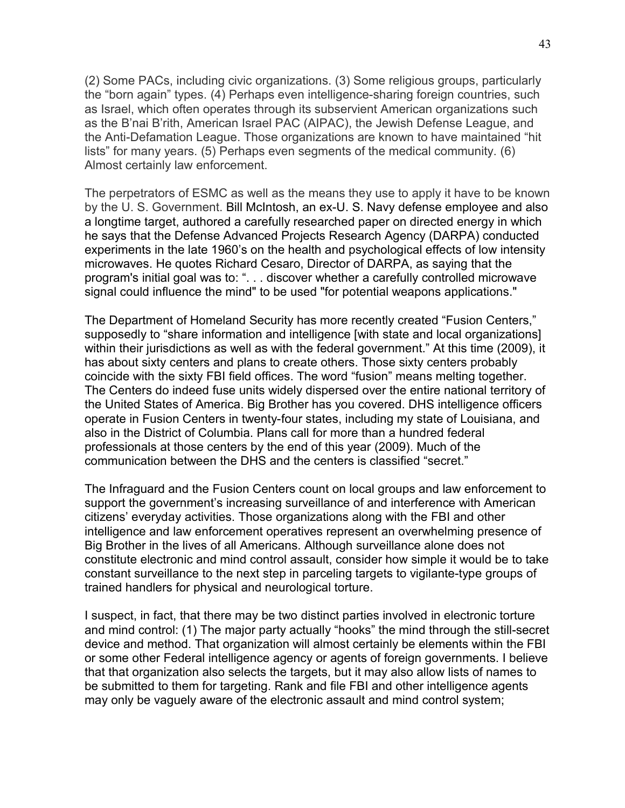(2) Some PACs, including civic organizations. (3) Some religious groups, particularly the "born again" types. (4) Perhaps even intelligence-sharing foreign countries, such as Israel, which often operates through its subservient American organizations such as the B'nai B'rith, American Israel PAC (AIPAC), the Jewish Defense League, and the Anti-Defamation League. Those organizations are known to have maintained "hit lists" for many years. (5) Perhaps even segments of the medical community. (6) Almost certainly law enforcement.

The perpetrators of ESMC as well as the means they use to apply it have to be known by the U. S. Government. Bill McIntosh, an ex-U. S. Navy defense employee and also a longtime target, authored a carefully researched paper on directed energy in which he says that the Defense Advanced Projects Research Agency (DARPA) conducted experiments in the late 1960's on the health and psychological effects of low intensity microwaves. He quotes Richard Cesaro, Director of DARPA, as saying that the program's initial goal was to: ". . . discover whether a carefully controlled microwave signal could influence the mind" to be used "for potential weapons applications."

The Department of Homeland Security has more recently created "Fusion Centers," supposedly to "share information and intelligence [with state and local organizations] within their jurisdictions as well as with the federal government." At this time (2009), it has about sixty centers and plans to create others. Those sixty centers probably coincide with the sixty FBI field offices. The word "fusion" means melting together. The Centers do indeed fuse units widely dispersed over the entire national territory of the United States of America. Big Brother has you covered. DHS intelligence officers operate in Fusion Centers in twenty-four states, including my state of Louisiana, and also in the District of Columbia. Plans call for more than a hundred federal professionals at those centers by the end of this year (2009). Much of the communication between the DHS and the centers is classified "secret."

The Infraguard and the Fusion Centers count on local groups and law enforcement to support the government's increasing surveillance of and interference with American citizens' everyday activities. Those organizations along with the FBI and other intelligence and law enforcement operatives represent an overwhelming presence of Big Brother in the lives of all Americans. Although surveillance alone does not constitute electronic and mind control assault, consider how simple it would be to take constant surveillance to the next step in parceling targets to vigilante-type groups of trained handlers for physical and neurological torture.

I suspect, in fact, that there may be two distinct parties involved in electronic torture and mind control: (1) The major party actually "hooks" the mind through the still-secret device and method. That organization will almost certainly be elements within the FBI or some other Federal intelligence agency or agents of foreign governments. I believe that that organization also selects the targets, but it may also allow lists of names to be submitted to them for targeting. Rank and file FBI and other intelligence agents may only be vaguely aware of the electronic assault and mind control system;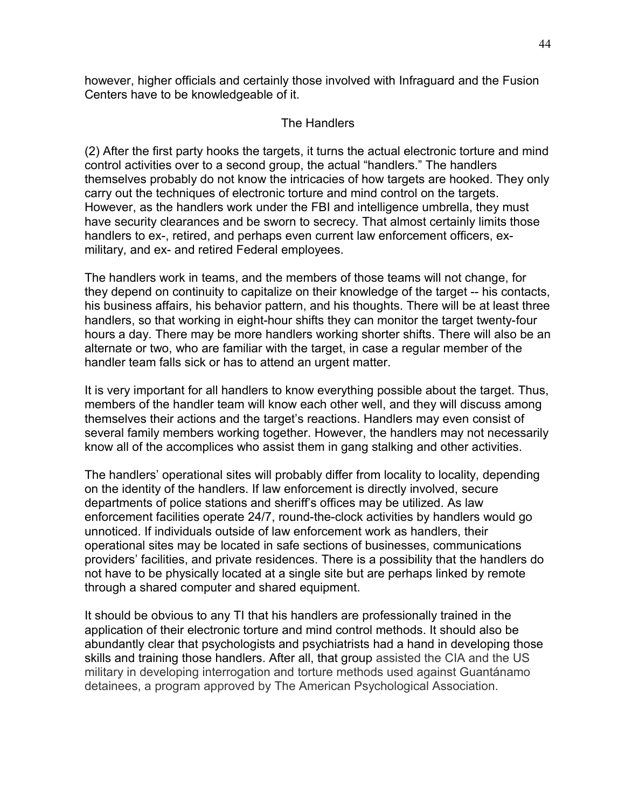however, higher officials and certainly those involved with Infraguard and the Fusion Centers have to be knowledgeable of it.

## The Handlers

(2) After the first party hooks the targets, it turns the actual electronic torture and mind control activities over to a second group, the actual "handlers." The handlers themselves probably do not know the intricacies of how targets are hooked. They only carry out the techniques of electronic torture and mind control on the targets. However, as the handlers work under the FBI and intelligence umbrella, they must have security clearances and be sworn to secrecy. That almost certainly limits those handlers to ex-, retired, and perhaps even current law enforcement officers, exmilitary, and ex- and retired Federal employees.

The handlers work in teams, and the members of those teams will not change, for they depend on continuity to capitalize on their knowledge of the target -- his contacts, his business affairs, his behavior pattern, and his thoughts. There will be at least three handlers, so that working in eight-hour shifts they can monitor the target twenty-four hours a day. There may be more handlers working shorter shifts. There will also be an alternate or two, who are familiar with the target, in case a regular member of the handler team falls sick or has to attend an urgent matter.

It is very important for all handlers to know everything possible about the target. Thus, members of the handler team will know each other well, and they will discuss among themselves their actions and the target's reactions. Handlers may even consist of several family members working together. However, the handlers may not necessarily know all of the accomplices who assist them in gang stalking and other activities.

The handlers' operational sites will probably differ from locality to locality, depending on the identity of the handlers. If law enforcement is directly involved, secure departments of police stations and sheriff's offices may be utilized. As law enforcement facilities operate 24/7, round-the-clock activities by handlers would go unnoticed. If individuals outside of law enforcement work as handlers, their operational sites may be located in safe sections of businesses, communications providers' facilities, and private residences. There is a possibility that the handlers do not have to be physically located at a single site but are perhaps linked by remote through a shared computer and shared equipment.

It should be obvious to any TI that his handlers are professionally trained in the application of their electronic torture and mind control methods. It should also be abundantly clear that psychologists and psychiatrists had a hand in developing those skills and training those handlers. After all, that group assisted the CIA and the US military in developing interrogation and torture methods used against Guantánamo detainees, a program approved by The American Psychological Association.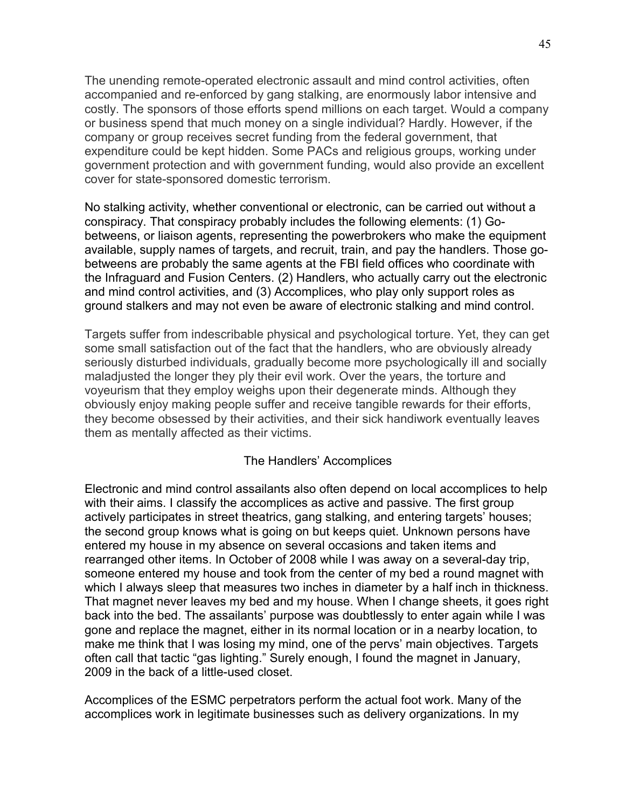The unending remote-operated electronic assault and mind control activities, often accompanied and re-enforced by gang stalking, are enormously labor intensive and costly. The sponsors of those efforts spend millions on each target. Would a company or business spend that much money on a single individual? Hardly. However, if the company or group receives secret funding from the federal government, that expenditure could be kept hidden. Some PACs and religious groups, working under government protection and with government funding, would also provide an excellent cover for state-sponsored domestic terrorism.

No stalking activity, whether conventional or electronic, can be carried out without a conspiracy. That conspiracy probably includes the following elements: (1) Gobetweens, or liaison agents, representing the powerbrokers who make the equipment available, supply names of targets, and recruit, train, and pay the handlers. Those gobetweens are probably the same agents at the FBI field offices who coordinate with the Infraguard and Fusion Centers. (2) Handlers, who actually carry out the electronic and mind control activities, and (3) Accomplices, who play only support roles as ground stalkers and may not even be aware of electronic stalking and mind control.

Targets suffer from indescribable physical and psychological torture. Yet, they can get some small satisfaction out of the fact that the handlers, who are obviously already seriously disturbed individuals, gradually become more psychologically ill and socially maladjusted the longer they ply their evil work. Over the years, the torture and voyeurism that they employ weighs upon their degenerate minds. Although they obviously enjoy making people suffer and receive tangible rewards for their efforts, they become obsessed by their activities, and their sick handiwork eventually leaves them as mentally affected as their victims.

# The Handlers' Accomplices

Electronic and mind control assailants also often depend on local accomplices to help with their aims. I classify the accomplices as active and passive. The first group actively participates in street theatrics, gang stalking, and entering targets' houses; the second group knows what is going on but keeps quiet. Unknown persons have entered my house in my absence on several occasions and taken items and rearranged other items. In October of 2008 while I was away on a several-day trip, someone entered my house and took from the center of my bed a round magnet with which I always sleep that measures two inches in diameter by a half inch in thickness. That magnet never leaves my bed and my house. When I change sheets, it goes right back into the bed. The assailants' purpose was doubtlessly to enter again while I was gone and replace the magnet, either in its normal location or in a nearby location, to make me think that I was losing my mind, one of the pervs' main objectives. Targets often call that tactic "gas lighting." Surely enough, I found the magnet in January, 2009 in the back of a little-used closet.

Accomplices of the ESMC perpetrators perform the actual foot work. Many of the accomplices work in legitimate businesses such as delivery organizations. In my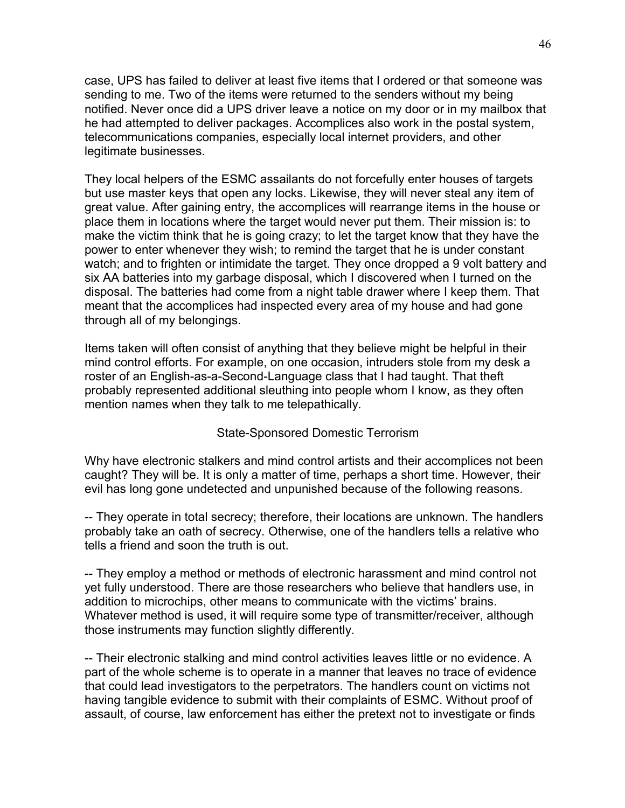case, UPS has failed to deliver at least five items that I ordered or that someone was sending to me. Two of the items were returned to the senders without my being notified. Never once did a UPS driver leave a notice on my door or in my mailbox that he had attempted to deliver packages. Accomplices also work in the postal system, telecommunications companies, especially local internet providers, and other legitimate businesses.

They local helpers of the ESMC assailants do not forcefully enter houses of targets but use master keys that open any locks. Likewise, they will never steal any item of great value. After gaining entry, the accomplices will rearrange items in the house or place them in locations where the target would never put them. Their mission is: to make the victim think that he is going crazy; to let the target know that they have the power to enter whenever they wish; to remind the target that he is under constant watch; and to frighten or intimidate the target. They once dropped a 9 volt battery and six AA batteries into my garbage disposal, which I discovered when I turned on the disposal. The batteries had come from a night table drawer where I keep them. That meant that the accomplices had inspected every area of my house and had gone through all of my belongings.

Items taken will often consist of anything that they believe might be helpful in their mind control efforts. For example, on one occasion, intruders stole from my desk a roster of an English-as-a-Second-Language class that I had taught. That theft probably represented additional sleuthing into people whom I know, as they often mention names when they talk to me telepathically.

### State-Sponsored Domestic Terrorism

Why have electronic stalkers and mind control artists and their accomplices not been caught? They will be. It is only a matter of time, perhaps a short time. However, their evil has long gone undetected and unpunished because of the following reasons.

-- They operate in total secrecy; therefore, their locations are unknown. The handlers probably take an oath of secrecy. Otherwise, one of the handlers tells a relative who tells a friend and soon the truth is out.

-- They employ a method or methods of electronic harassment and mind control not yet fully understood. There are those researchers who believe that handlers use, in addition to microchips, other means to communicate with the victims' brains. Whatever method is used, it will require some type of transmitter/receiver, although those instruments may function slightly differently.

-- Their electronic stalking and mind control activities leaves little or no evidence. A part of the whole scheme is to operate in a manner that leaves no trace of evidence that could lead investigators to the perpetrators. The handlers count on victims not having tangible evidence to submit with their complaints of ESMC. Without proof of assault, of course, law enforcement has either the pretext not to investigate or finds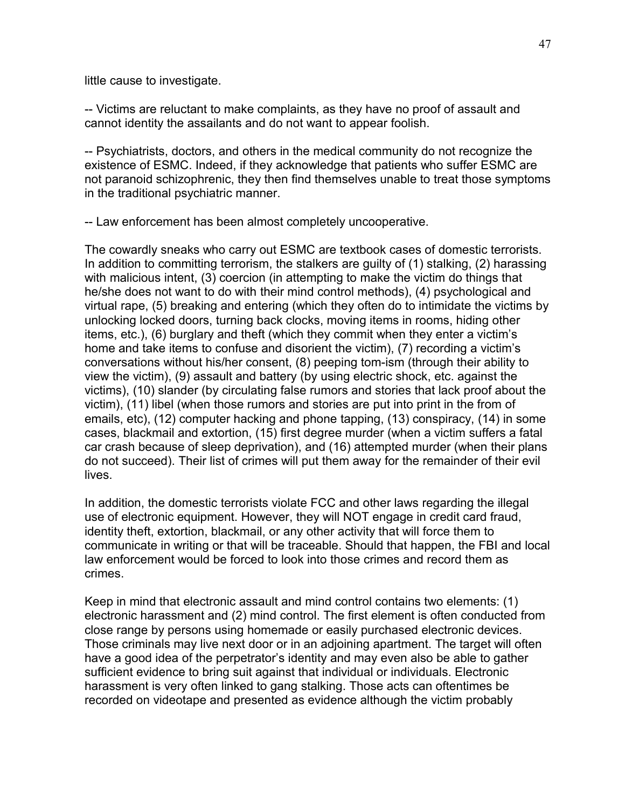little cause to investigate.

-- Victims are reluctant to make complaints, as they have no proof of assault and cannot identity the assailants and do not want to appear foolish.

-- Psychiatrists, doctors, and others in the medical community do not recognize the existence of ESMC. Indeed, if they acknowledge that patients who suffer ESMC are not paranoid schizophrenic, they then find themselves unable to treat those symptoms in the traditional psychiatric manner.

-- Law enforcement has been almost completely uncooperative.

The cowardly sneaks who carry out ESMC are textbook cases of domestic terrorists. In addition to committing terrorism, the stalkers are guilty of (1) stalking, (2) harassing with malicious intent, (3) coercion (in attempting to make the victim do things that he/she does not want to do with their mind control methods), (4) psychological and virtual rape, (5) breaking and entering (which they often do to intimidate the victims by unlocking locked doors, turning back clocks, moving items in rooms, hiding other items, etc.), (6) burglary and theft (which they commit when they enter a victim's home and take items to confuse and disorient the victim), (7) recording a victim's conversations without his/her consent, (8) peeping tom-ism (through their ability to view the victim), (9) assault and battery (by using electric shock, etc. against the victims), (10) slander (by circulating false rumors and stories that lack proof about the victim), (11) libel (when those rumors and stories are put into print in the from of emails, etc), (12) computer hacking and phone tapping, (13) conspiracy, (14) in some cases, blackmail and extortion, (15) first degree murder (when a victim suffers a fatal car crash because of sleep deprivation), and (16) attempted murder (when their plans do not succeed). Their list of crimes will put them away for the remainder of their evil lives.

In addition, the domestic terrorists violate FCC and other laws regarding the illegal use of electronic equipment. However, they will NOT engage in credit card fraud, identity theft, extortion, blackmail, or any other activity that will force them to communicate in writing or that will be traceable. Should that happen, the FBI and local law enforcement would be forced to look into those crimes and record them as crimes.

Keep in mind that electronic assault and mind control contains two elements: (1) electronic harassment and (2) mind control. The first element is often conducted from close range by persons using homemade or easily purchased electronic devices. Those criminals may live next door or in an adjoining apartment. The target will often have a good idea of the perpetrator's identity and may even also be able to gather sufficient evidence to bring suit against that individual or individuals. Electronic harassment is very often linked to gang stalking. Those acts can oftentimes be recorded on videotape and presented as evidence although the victim probably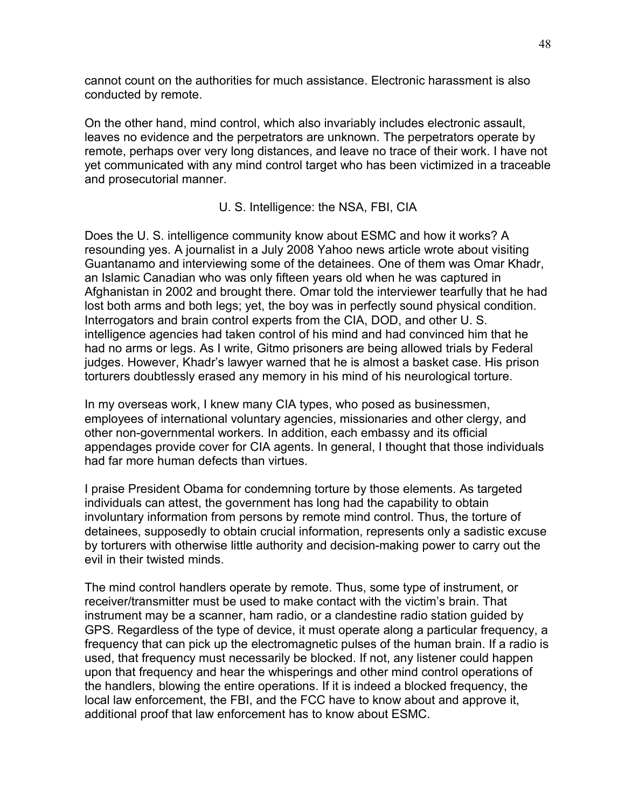cannot count on the authorities for much assistance. Electronic harassment is also conducted by remote.

On the other hand, mind control, which also invariably includes electronic assault, leaves no evidence and the perpetrators are unknown. The perpetrators operate by remote, perhaps over very long distances, and leave no trace of their work. I have not yet communicated with any mind control target who has been victimized in a traceable and prosecutorial manner.

U. S. Intelligence: the NSA, FBI, CIA

Does the U. S. intelligence community know about ESMC and how it works? A resounding yes. A journalist in a July 2008 Yahoo news article wrote about visiting Guantanamo and interviewing some of the detainees. One of them was Omar Khadr, an Islamic Canadian who was only fifteen years old when he was captured in Afghanistan in 2002 and brought there. Omar told the interviewer tearfully that he had lost both arms and both legs; yet, the boy was in perfectly sound physical condition. Interrogators and brain control experts from the CIA, DOD, and other U. S. intelligence agencies had taken control of his mind and had convinced him that he had no arms or legs. As I write, Gitmo prisoners are being allowed trials by Federal judges. However, Khadr's lawyer warned that he is almost a basket case. His prison torturers doubtlessly erased any memory in his mind of his neurological torture.

In my overseas work, I knew many CIA types, who posed as businessmen, employees of international voluntary agencies, missionaries and other clergy, and other non-governmental workers. In addition, each embassy and its official appendages provide cover for CIA agents. In general, I thought that those individuals had far more human defects than virtues.

I praise President Obama for condemning torture by those elements. As targeted individuals can attest, the government has long had the capability to obtain involuntary information from persons by remote mind control. Thus, the torture of detainees, supposedly to obtain crucial information, represents only a sadistic excuse by torturers with otherwise little authority and decision-making power to carry out the evil in their twisted minds.

The mind control handlers operate by remote. Thus, some type of instrument, or receiver/transmitter must be used to make contact with the victim's brain. That instrument may be a scanner, ham radio, or a clandestine radio station guided by GPS. Regardless of the type of device, it must operate along a particular frequency, a frequency that can pick up the electromagnetic pulses of the human brain. If a radio is used, that frequency must necessarily be blocked. If not, any listener could happen upon that frequency and hear the whisperings and other mind control operations of the handlers, blowing the entire operations. If it is indeed a blocked frequency, the local law enforcement, the FBI, and the FCC have to know about and approve it, additional proof that law enforcement has to know about ESMC.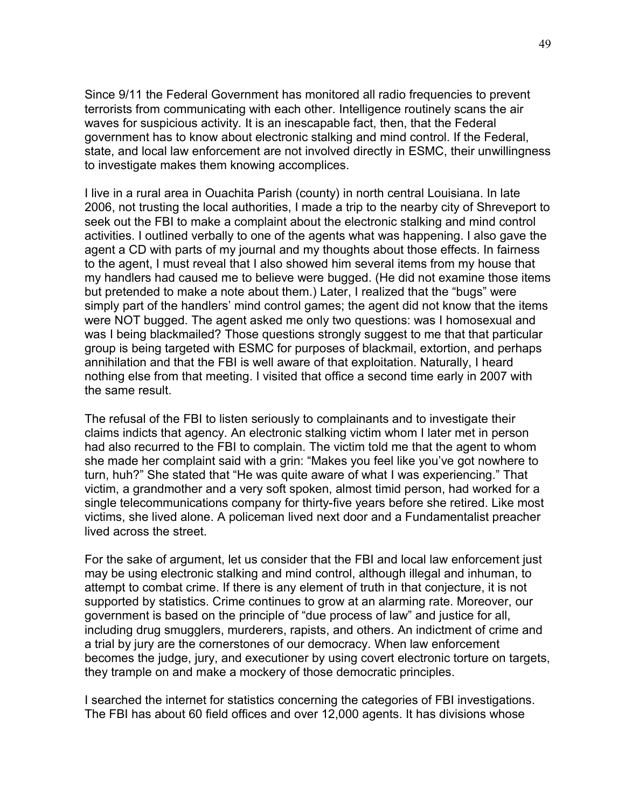Since 9/11 the Federal Government has monitored all radio frequencies to prevent terrorists from communicating with each other. Intelligence routinely scans the air waves for suspicious activity. It is an inescapable fact, then, that the Federal government has to know about electronic stalking and mind control. If the Federal, state, and local law enforcement are not involved directly in ESMC, their unwillingness to investigate makes them knowing accomplices.

I live in a rural area in Ouachita Parish (county) in north central Louisiana. In late 2006, not trusting the local authorities, I made a trip to the nearby city of Shreveport to seek out the FBI to make a complaint about the electronic stalking and mind control activities. I outlined verbally to one of the agents what was happening. I also gave the agent a CD with parts of my journal and my thoughts about those effects. In fairness to the agent, I must reveal that I also showed him several items from my house that my handlers had caused me to believe were bugged. (He did not examine those items but pretended to make a note about them.) Later, I realized that the "bugs" were simply part of the handlers' mind control games; the agent did not know that the items were NOT bugged. The agent asked me only two questions: was I homosexual and was I being blackmailed? Those questions strongly suggest to me that that particular group is being targeted with ESMC for purposes of blackmail, extortion, and perhaps annihilation and that the FBI is well aware of that exploitation. Naturally, I heard nothing else from that meeting. I visited that office a second time early in 2007 with the same result.

The refusal of the FBI to listen seriously to complainants and to investigate their claims indicts that agency. An electronic stalking victim whom I later met in person had also recurred to the FBI to complain. The victim told me that the agent to whom she made her complaint said with a grin: "Makes you feel like you've got nowhere to turn, huh?" She stated that "He was quite aware of what I was experiencing." That victim, a grandmother and a very soft spoken, almost timid person, had worked for a single telecommunications company for thirty-five years before she retired. Like most victims, she lived alone. A policeman lived next door and a Fundamentalist preacher lived across the street.

For the sake of argument, let us consider that the FBI and local law enforcement just may be using electronic stalking and mind control, although illegal and inhuman, to attempt to combat crime. If there is any element of truth in that conjecture, it is not supported by statistics. Crime continues to grow at an alarming rate. Moreover, our government is based on the principle of "due process of law" and justice for all, including drug smugglers, murderers, rapists, and others. An indictment of crime and a trial by jury are the cornerstones of our democracy. When law enforcement becomes the judge, jury, and executioner by using covert electronic torture on targets, they trample on and make a mockery of those democratic principles.

I searched the internet for statistics concerning the categories of FBI investigations. The FBI has about 60 field offices and over 12,000 agents. It has divisions whose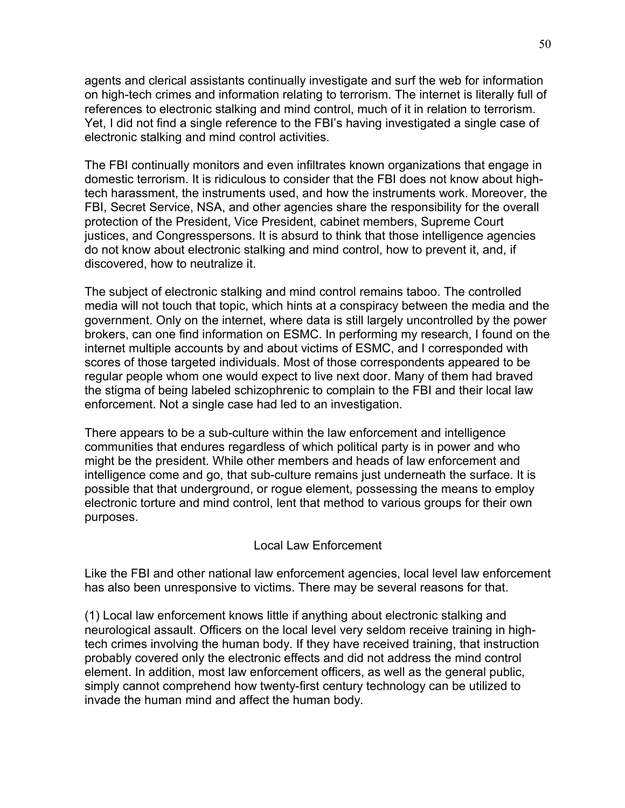agents and clerical assistants continually investigate and surf the web for information on high-tech crimes and information relating to terrorism. The internet is literally full of references to electronic stalking and mind control, much of it in relation to terrorism. Yet, I did not find a single reference to the FBI's having investigated a single case of electronic stalking and mind control activities.

The FBI continually monitors and even infiltrates known organizations that engage in domestic terrorism. It is ridiculous to consider that the FBI does not know about hightech harassment, the instruments used, and how the instruments work. Moreover, the FBI, Secret Service, NSA, and other agencies share the responsibility for the overall protection of the President, Vice President, cabinet members, Supreme Court justices, and Congresspersons. It is absurd to think that those intelligence agencies do not know about electronic stalking and mind control, how to prevent it, and, if discovered, how to neutralize it.

The subject of electronic stalking and mind control remains taboo. The controlled media will not touch that topic, which hints at a conspiracy between the media and the government. Only on the internet, where data is still largely uncontrolled by the power brokers, can one find information on ESMC. In performing my research, I found on the internet multiple accounts by and about victims of ESMC, and I corresponded with scores of those targeted individuals. Most of those correspondents appeared to be regular people whom one would expect to live next door. Many of them had braved the stigma of being labeled schizophrenic to complain to the FBI and their local law enforcement. Not a single case had led to an investigation.

There appears to be a sub-culture within the law enforcement and intelligence communities that endures regardless of which political party is in power and who might be the president. While other members and heads of law enforcement and intelligence come and go, that sub-culture remains just underneath the surface. It is possible that that underground, or rogue element, possessing the means to employ electronic torture and mind control, lent that method to various groups for their own purposes.

# Local Law Enforcement

Like the FBI and other national law enforcement agencies, local level law enforcement has also been unresponsive to victims. There may be several reasons for that.

(1) Local law enforcement knows little if anything about electronic stalking and neurological assault. Officers on the local level very seldom receive training in hightech crimes involving the human body. If they have received training, that instruction probably covered only the electronic effects and did not address the mind control element. In addition, most law enforcement officers, as well as the general public, simply cannot comprehend how twenty-first century technology can be utilized to invade the human mind and affect the human body.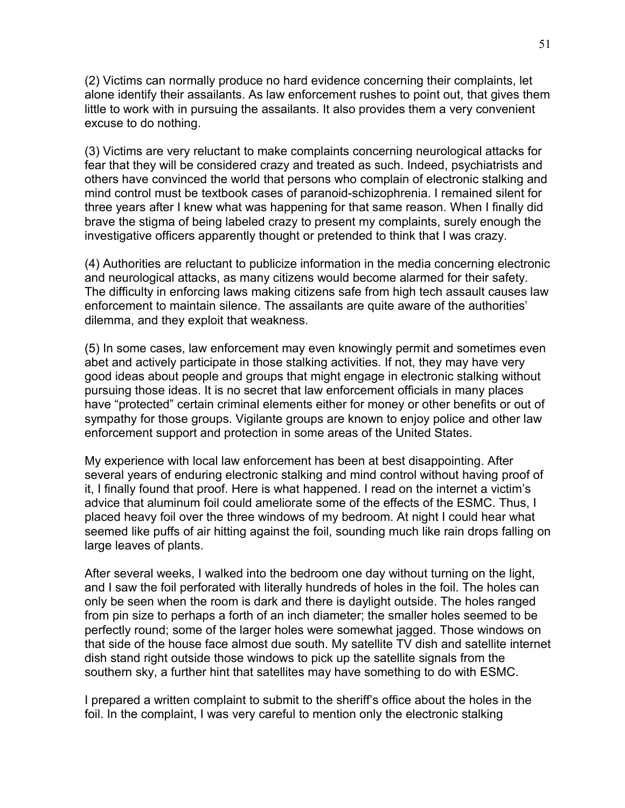(2) Victims can normally produce no hard evidence concerning their complaints, let alone identify their assailants. As law enforcement rushes to point out, that gives them little to work with in pursuing the assailants. It also provides them a very convenient excuse to do nothing.

(3) Victims are very reluctant to make complaints concerning neurological attacks for fear that they will be considered crazy and treated as such. Indeed, psychiatrists and others have convinced the world that persons who complain of electronic stalking and mind control must be textbook cases of paranoid-schizophrenia. I remained silent for three years after I knew what was happening for that same reason. When I finally did brave the stigma of being labeled crazy to present my complaints, surely enough the investigative officers apparently thought or pretended to think that I was crazy.

(4) Authorities are reluctant to publicize information in the media concerning electronic and neurological attacks, as many citizens would become alarmed for their safety. The difficulty in enforcing laws making citizens safe from high tech assault causes law enforcement to maintain silence. The assailants are quite aware of the authorities' dilemma, and they exploit that weakness.

(5) In some cases, law enforcement may even knowingly permit and sometimes even abet and actively participate in those stalking activities. If not, they may have very good ideas about people and groups that might engage in electronic stalking without pursuing those ideas. It is no secret that law enforcement officials in many places have "protected" certain criminal elements either for money or other benefits or out of sympathy for those groups. Vigilante groups are known to enjoy police and other law enforcement support and protection in some areas of the United States.

My experience with local law enforcement has been at best disappointing. After several years of enduring electronic stalking and mind control without having proof of it, I finally found that proof. Here is what happened. I read on the internet a victim's advice that aluminum foil could ameliorate some of the effects of the ESMC. Thus, I placed heavy foil over the three windows of my bedroom. At night I could hear what seemed like puffs of air hitting against the foil, sounding much like rain drops falling on large leaves of plants.

After several weeks, I walked into the bedroom one day without turning on the light, and I saw the foil perforated with literally hundreds of holes in the foil. The holes can only be seen when the room is dark and there is daylight outside. The holes ranged from pin size to perhaps a forth of an inch diameter; the smaller holes seemed to be perfectly round; some of the larger holes were somewhat jagged. Those windows on that side of the house face almost due south. My satellite TV dish and satellite internet dish stand right outside those windows to pick up the satellite signals from the southern sky, a further hint that satellites may have something to do with ESMC.

I prepared a written complaint to submit to the sheriff's office about the holes in the foil. In the complaint, I was very careful to mention only the electronic stalking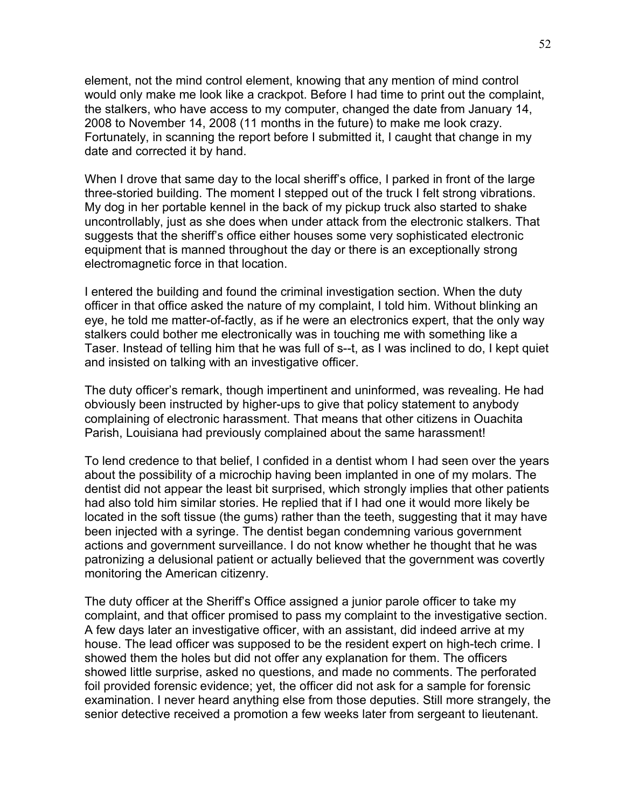element, not the mind control element, knowing that any mention of mind control would only make me look like a crackpot. Before I had time to print out the complaint, the stalkers, who have access to my computer, changed the date from January 14, 2008 to November 14, 2008 (11 months in the future) to make me look crazy. Fortunately, in scanning the report before I submitted it, I caught that change in my date and corrected it by hand.

When I drove that same day to the local sheriff's office, I parked in front of the large three-storied building. The moment I stepped out of the truck I felt strong vibrations. My dog in her portable kennel in the back of my pickup truck also started to shake uncontrollably, just as she does when under attack from the electronic stalkers. That suggests that the sheriff's office either houses some very sophisticated electronic equipment that is manned throughout the day or there is an exceptionally strong electromagnetic force in that location.

I entered the building and found the criminal investigation section. When the duty officer in that office asked the nature of my complaint, I told him. Without blinking an eye, he told me matter-of-factly, as if he were an electronics expert, that the only way stalkers could bother me electronically was in touching me with something like a Taser. Instead of telling him that he was full of s--t, as I was inclined to do, I kept quiet and insisted on talking with an investigative officer.

The duty officer's remark, though impertinent and uninformed, was revealing. He had obviously been instructed by higher-ups to give that policy statement to anybody complaining of electronic harassment. That means that other citizens in Ouachita Parish, Louisiana had previously complained about the same harassment!

To lend credence to that belief, I confided in a dentist whom I had seen over the years about the possibility of a microchip having been implanted in one of my molars. The dentist did not appear the least bit surprised, which strongly implies that other patients had also told him similar stories. He replied that if I had one it would more likely be located in the soft tissue (the gums) rather than the teeth, suggesting that it may have been injected with a syringe. The dentist began condemning various government actions and government surveillance. I do not know whether he thought that he was patronizing a delusional patient or actually believed that the government was covertly monitoring the American citizenry.

The duty officer at the Sheriff's Office assigned a junior parole officer to take my complaint, and that officer promised to pass my complaint to the investigative section. A few days later an investigative officer, with an assistant, did indeed arrive at my house. The lead officer was supposed to be the resident expert on high-tech crime. I showed them the holes but did not offer any explanation for them. The officers showed little surprise, asked no questions, and made no comments. The perforated foil provided forensic evidence; yet, the officer did not ask for a sample for forensic examination. I never heard anything else from those deputies. Still more strangely, the senior detective received a promotion a few weeks later from sergeant to lieutenant.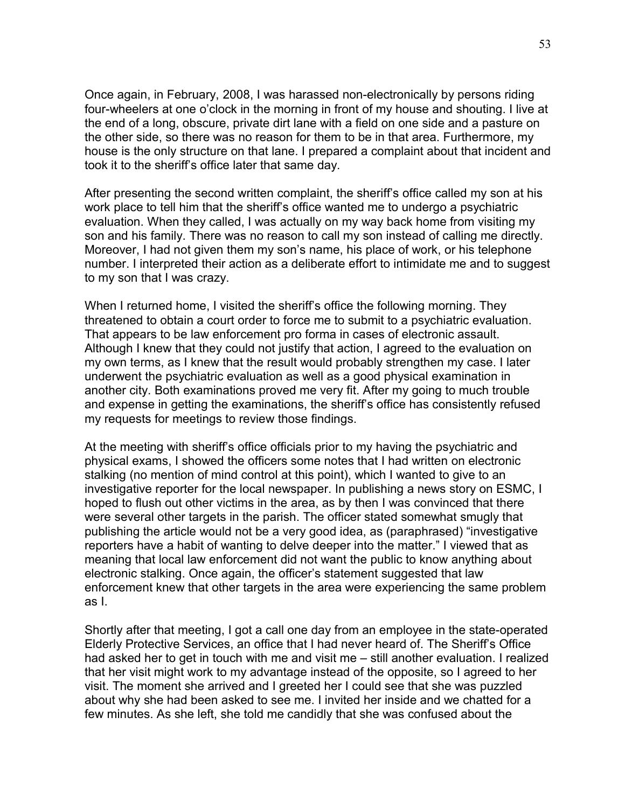Once again, in February, 2008, I was harassed non-electronically by persons riding four-wheelers at one o'clock in the morning in front of my house and shouting. I live at the end of a long, obscure, private dirt lane with a field on one side and a pasture on the other side, so there was no reason for them to be in that area. Furthermore, my house is the only structure on that lane. I prepared a complaint about that incident and took it to the sheriff's office later that same day.

After presenting the second written complaint, the sheriff's office called my son at his work place to tell him that the sheriff's office wanted me to undergo a psychiatric evaluation. When they called, I was actually on my way back home from visiting my son and his family. There was no reason to call my son instead of calling me directly. Moreover, I had not given them my son's name, his place of work, or his telephone number. I interpreted their action as a deliberate effort to intimidate me and to suggest to my son that I was crazy.

When I returned home, I visited the sheriff's office the following morning. They threatened to obtain a court order to force me to submit to a psychiatric evaluation. That appears to be law enforcement pro forma in cases of electronic assault. Although I knew that they could not justify that action, I agreed to the evaluation on my own terms, as I knew that the result would probably strengthen my case. I later underwent the psychiatric evaluation as well as a good physical examination in another city. Both examinations proved me very fit. After my going to much trouble and expense in getting the examinations, the sheriff's office has consistently refused my requests for meetings to review those findings.

At the meeting with sheriff's office officials prior to my having the psychiatric and physical exams, I showed the officers some notes that I had written on electronic stalking (no mention of mind control at this point), which I wanted to give to an investigative reporter for the local newspaper. In publishing a news story on ESMC, I hoped to flush out other victims in the area, as by then I was convinced that there were several other targets in the parish. The officer stated somewhat smugly that publishing the article would not be a very good idea, as (paraphrased) "investigative reporters have a habit of wanting to delve deeper into the matter." I viewed that as meaning that local law enforcement did not want the public to know anything about electronic stalking. Once again, the officer's statement suggested that law enforcement knew that other targets in the area were experiencing the same problem as I.

Shortly after that meeting, I got a call one day from an employee in the state-operated Elderly Protective Services, an office that I had never heard of. The Sheriff's Office had asked her to get in touch with me and visit me – still another evaluation. I realized that her visit might work to my advantage instead of the opposite, so I agreed to her visit. The moment she arrived and I greeted her I could see that she was puzzled about why she had been asked to see me. I invited her inside and we chatted for a few minutes. As she left, she told me candidly that she was confused about the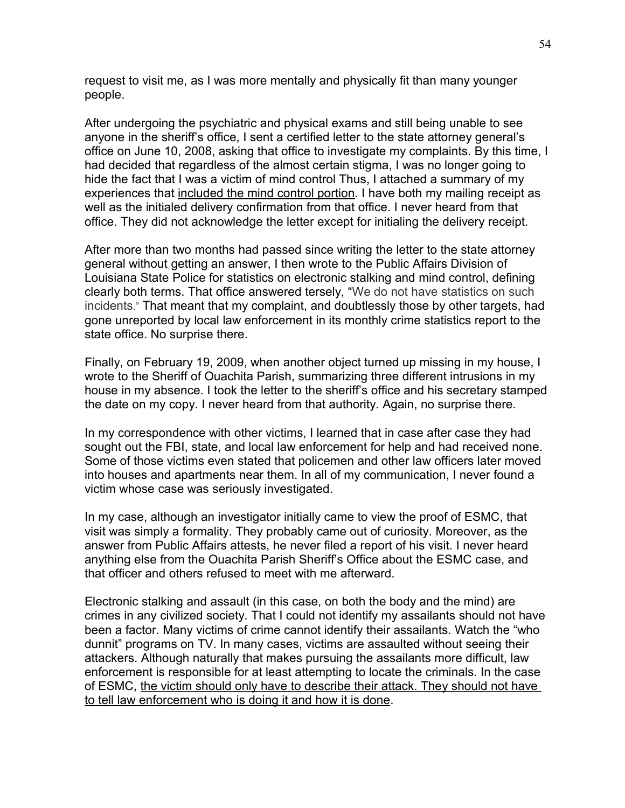request to visit me, as I was more mentally and physically fit than many younger people.

After undergoing the psychiatric and physical exams and still being unable to see anyone in the sheriff's office, I sent a certified letter to the state attorney general's office on June 10, 2008, asking that office to investigate my complaints. By this time, I had decided that regardless of the almost certain stigma, I was no longer going to hide the fact that I was a victim of mind control Thus, I attached a summary of my experiences that included the mind control portion. I have both my mailing receipt as well as the initialed delivery confirmation from that office. I never heard from that office. They did not acknowledge the letter except for initialing the delivery receipt.

After more than two months had passed since writing the letter to the state attorney general without getting an answer, I then wrote to the Public Affairs Division of Louisiana State Police for statistics on electronic stalking and mind control, defining clearly both terms. That office answered tersely, "We do not have statistics on such incidents." That meant that my complaint, and doubtlessly those by other targets, had gone unreported by local law enforcement in its monthly crime statistics report to the state office. No surprise there.

Finally, on February 19, 2009, when another object turned up missing in my house, I wrote to the Sheriff of Ouachita Parish, summarizing three different intrusions in my house in my absence. I took the letter to the sheriff's office and his secretary stamped the date on my copy. I never heard from that authority. Again, no surprise there.

In my correspondence with other victims, I learned that in case after case they had sought out the FBI, state, and local law enforcement for help and had received none. Some of those victims even stated that policemen and other law officers later moved into houses and apartments near them. In all of my communication, I never found a victim whose case was seriously investigated.

In my case, although an investigator initially came to view the proof of ESMC, that visit was simply a formality. They probably came out of curiosity. Moreover, as the answer from Public Affairs attests, he never filed a report of his visit. I never heard anything else from the Ouachita Parish Sheriff's Office about the ESMC case, and that officer and others refused to meet with me afterward.

Electronic stalking and assault (in this case, on both the body and the mind) are crimes in any civilized society. That I could not identify my assailants should not have been a factor. Many victims of crime cannot identify their assailants. Watch the "who dunnit" programs on TV. In many cases, victims are assaulted without seeing their attackers. Although naturally that makes pursuing the assailants more difficult, law enforcement is responsible for at least attempting to locate the criminals. In the case of ESMC, the victim should only have to describe their attack. They should not have to tell law enforcement who is doing it and how it is done.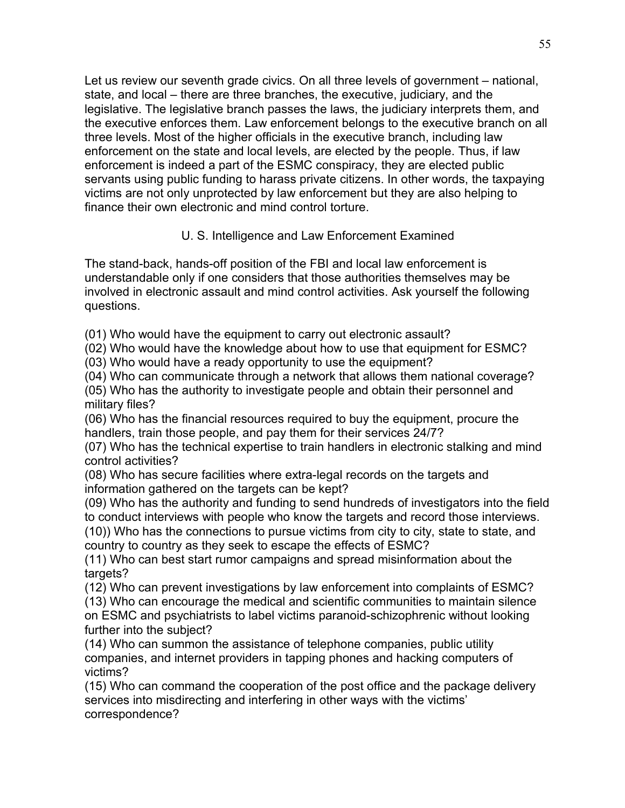Let us review our seventh grade civics. On all three levels of government – national, state, and local – there are three branches, the executive, judiciary, and the legislative. The legislative branch passes the laws, the judiciary interprets them, and the executive enforces them. Law enforcement belongs to the executive branch on all three levels. Most of the higher officials in the executive branch, including law enforcement on the state and local levels, are elected by the people. Thus, if law enforcement is indeed a part of the ESMC conspiracy, they are elected public servants using public funding to harass private citizens. In other words, the taxpaying victims are not only unprotected by law enforcement but they are also helping to finance their own electronic and mind control torture.

# U. S. Intelligence and Law Enforcement Examined

The stand-back, hands-off position of the FBI and local law enforcement is understandable only if one considers that those authorities themselves may be involved in electronic assault and mind control activities. Ask yourself the following questions.

(01) Who would have the equipment to carry out electronic assault?

(02) Who would have the knowledge about how to use that equipment for ESMC?

(03) Who would have a ready opportunity to use the equipment?

(04) Who can communicate through a network that allows them national coverage? (05) Who has the authority to investigate people and obtain their personnel and military files?

(06) Who has the financial resources required to buy the equipment, procure the handlers, train those people, and pay them for their services 24/7?

(07) Who has the technical expertise to train handlers in electronic stalking and mind control activities?

(08) Who has secure facilities where extra-legal records on the targets and information gathered on the targets can be kept?

(09) Who has the authority and funding to send hundreds of investigators into the field to conduct interviews with people who know the targets and record those interviews.

(10)) Who has the connections to pursue victims from city to city, state to state, and country to country as they seek to escape the effects of ESMC?

(11) Who can best start rumor campaigns and spread misinformation about the targets?

(12) Who can prevent investigations by law enforcement into complaints of ESMC? (13) Who can encourage the medical and scientific communities to maintain silence on ESMC and psychiatrists to label victims paranoid-schizophrenic without looking further into the subject?

(14) Who can summon the assistance of telephone companies, public utility companies, and internet providers in tapping phones and hacking computers of victims?

(15) Who can command the cooperation of the post office and the package delivery services into misdirecting and interfering in other ways with the victims' correspondence?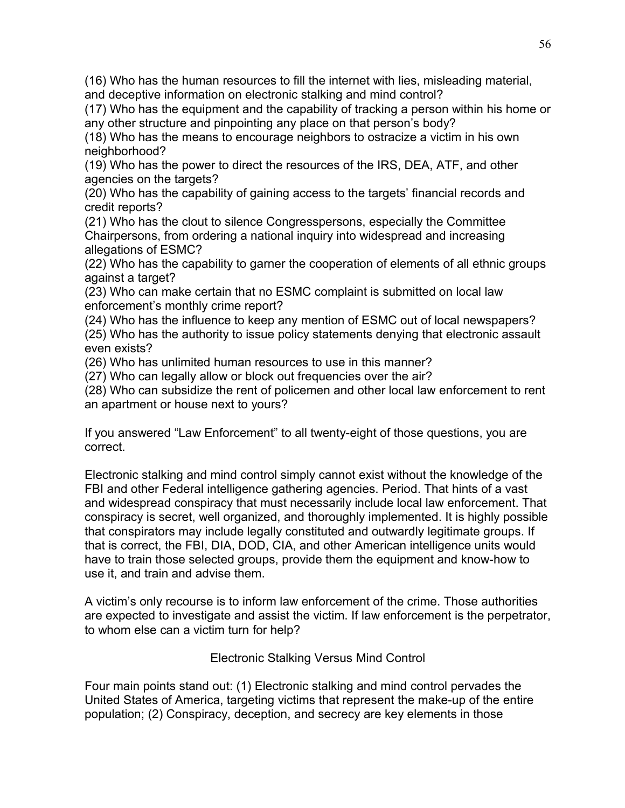(16) Who has the human resources to fill the internet with lies, misleading material, and deceptive information on electronic stalking and mind control?

(17) Who has the equipment and the capability of tracking a person within his home or any other structure and pinpointing any place on that person's body?

(18) Who has the means to encourage neighbors to ostracize a victim in his own neighborhood?

(19) Who has the power to direct the resources of the IRS, DEA, ATF, and other agencies on the targets?

(20) Who has the capability of gaining access to the targets' financial records and credit reports?

(21) Who has the clout to silence Congresspersons, especially the Committee Chairpersons, from ordering a national inquiry into widespread and increasing allegations of ESMC?

(22) Who has the capability to garner the cooperation of elements of all ethnic groups against a target?

(23) Who can make certain that no ESMC complaint is submitted on local law enforcement's monthly crime report?

(24) Who has the influence to keep any mention of ESMC out of local newspapers? (25) Who has the authority to issue policy statements denying that electronic assault even exists?

(26) Who has unlimited human resources to use in this manner?

(27) Who can legally allow or block out frequencies over the air?

(28) Who can subsidize the rent of policemen and other local law enforcement to rent an apartment or house next to yours?

If you answered "Law Enforcement" to all twenty-eight of those questions, you are correct.

Electronic stalking and mind control simply cannot exist without the knowledge of the FBI and other Federal intelligence gathering agencies. Period. That hints of a vast and widespread conspiracy that must necessarily include local law enforcement. That conspiracy is secret, well organized, and thoroughly implemented. It is highly possible that conspirators may include legally constituted and outwardly legitimate groups. If that is correct, the FBI, DIA, DOD, CIA, and other American intelligence units would have to train those selected groups, provide them the equipment and know-how to use it, and train and advise them.

A victim's only recourse is to inform law enforcement of the crime. Those authorities are expected to investigate and assist the victim. If law enforcement is the perpetrator, to whom else can a victim turn for help?

Electronic Stalking Versus Mind Control

Four main points stand out: (1) Electronic stalking and mind control pervades the United States of America, targeting victims that represent the make-up of the entire population; (2) Conspiracy, deception, and secrecy are key elements in those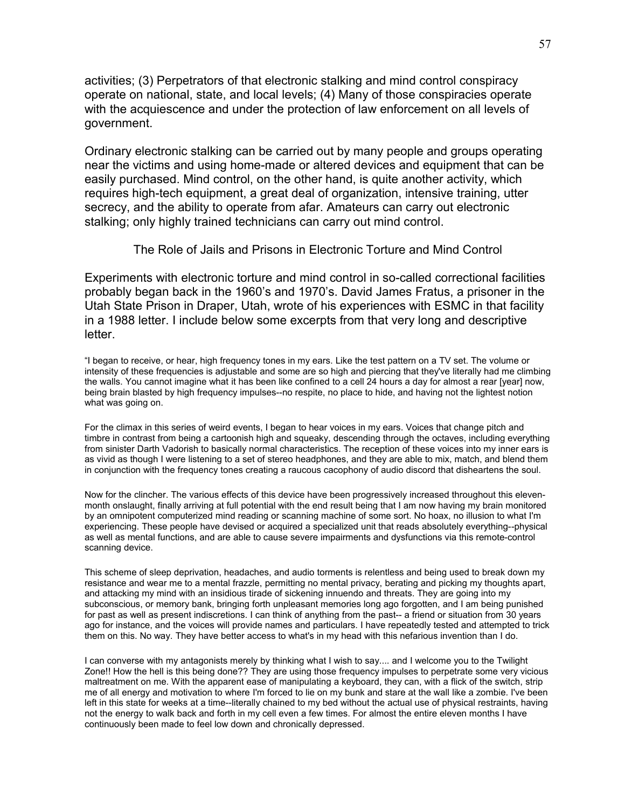activities; (3) Perpetrators of that electronic stalking and mind control conspiracy operate on national, state, and local levels; (4) Many of those conspiracies operate with the acquiescence and under the protection of law enforcement on all levels of government.

Ordinary electronic stalking can be carried out by many people and groups operating near the victims and using home-made or altered devices and equipment that can be easily purchased. Mind control, on the other hand, is quite another activity, which requires high-tech equipment, a great deal of organization, intensive training, utter secrecy, and the ability to operate from afar. Amateurs can carry out electronic stalking; only highly trained technicians can carry out mind control.

The Role of Jails and Prisons in Electronic Torture and Mind Control

Experiments with electronic torture and mind control in so-called correctional facilities probably began back in the 1960's and 1970's. David James Fratus, a prisoner in the Utah State Prison in Draper, Utah, wrote of his experiences with ESMC in that facility in a 1988 letter. I include below some excerpts from that very long and descriptive letter.

"I began to receive, or hear, high frequency tones in my ears. Like the test pattern on a TV set. The volume or intensity of these frequencies is adjustable and some are so high and piercing that they've literally had me climbing the walls. You cannot imagine what it has been like confined to a cell 24 hours a day for almost a rear [year] now, being brain blasted by high frequency impulses--no respite, no place to hide, and having not the lightest notion what was going on.

For the climax in this series of weird events, I began to hear voices in my ears. Voices that change pitch and timbre in contrast from being a cartoonish high and squeaky, descending through the octaves, including everything from sinister Darth Vadorish to basically normal characteristics. The reception of these voices into my inner ears is as vivid as though I were listening to a set of stereo headphones, and they are able to mix, match, and blend them in conjunction with the frequency tones creating a raucous cacophony of audio discord that disheartens the soul.

Now for the clincher. The various effects of this device have been progressively increased throughout this elevenmonth onslaught, finally arriving at full potential with the end result being that I am now having my brain monitored by an omnipotent computerized mind reading or scanning machine of some sort. No hoax, no illusion to what I'm experiencing. These people have devised or acquired a specialized unit that reads absolutely everything--physical as well as mental functions, and are able to cause severe impairments and dysfunctions via this remote-control scanning device.

This scheme of sleep deprivation, headaches, and audio torments is relentless and being used to break down my resistance and wear me to a mental frazzle, permitting no mental privacy, berating and picking my thoughts apart, and attacking my mind with an insidious tirade of sickening innuendo and threats. They are going into my subconscious, or memory bank, bringing forth unpleasant memories long ago forgotten, and I am being punished for past as well as present indiscretions. I can think of anything from the past-- a friend or situation from 30 years ago for instance, and the voices will provide names and particulars. I have repeatedly tested and attempted to trick them on this. No way. They have better access to what's in my head with this nefarious invention than I do.

I can converse with my antagonists merely by thinking what I wish to say.... and I welcome you to the Twilight Zone!! How the hell is this being done?? They are using those frequency impulses to perpetrate some very vicious maltreatment on me. With the apparent ease of manipulating a keyboard, they can, with a flick of the switch, strip me of all energy and motivation to where I'm forced to lie on my bunk and stare at the wall like a zombie. I've been left in this state for weeks at a time--literally chained to my bed without the actual use of physical restraints, having not the energy to walk back and forth in my cell even a few times. For almost the entire eleven months I have continuously been made to feel low down and chronically depressed.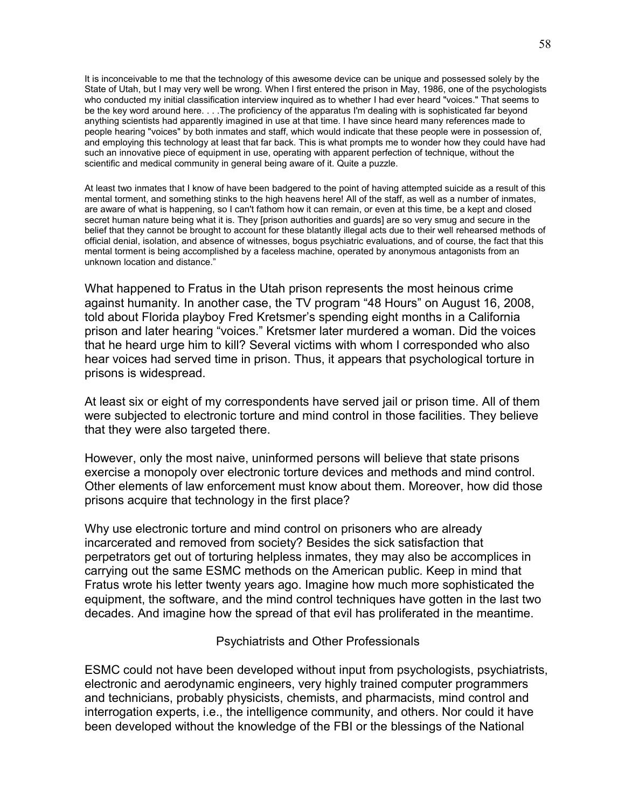It is inconceivable to me that the technology of this awesome device can be unique and possessed solely by the State of Utah, but I may very well be wrong. When I first entered the prison in May, 1986, one of the psychologists who conducted my initial classification interview inquired as to whether I had ever heard "voices." That seems to be the key word around here. . . .The proficiency of the apparatus I'm dealing with is sophisticated far beyond anything scientists had apparently imagined in use at that time. I have since heard many references made to people hearing "voices" by both inmates and staff, which would indicate that these people were in possession of, and employing this technology at least that far back. This is what prompts me to wonder how they could have had such an innovative piece of equipment in use, operating with apparent perfection of technique, without the scientific and medical community in general being aware of it. Quite a puzzle.

At least two inmates that I know of have been badgered to the point of having attempted suicide as a result of this mental torment, and something stinks to the high heavens here! All of the staff, as well as a number of inmates, are aware of what is happening, so I can't fathom how it can remain, or even at this time, be a kept and closed secret human nature being what it is. They [prison authorities and guards] are so very smug and secure in the belief that they cannot be brought to account for these blatantly illegal acts due to their well rehearsed methods of official denial, isolation, and absence of witnesses, bogus psychiatric evaluations, and of course, the fact that this mental torment is being accomplished by a faceless machine, operated by anonymous antagonists from an unknown location and distance."

What happened to Fratus in the Utah prison represents the most heinous crime against humanity. In another case, the TV program "48 Hours" on August 16, 2008, told about Florida playboy Fred Kretsmer's spending eight months in a California prison and later hearing "voices." Kretsmer later murdered a woman. Did the voices that he heard urge him to kill? Several victims with whom I corresponded who also hear voices had served time in prison. Thus, it appears that psychological torture in prisons is widespread.

At least six or eight of my correspondents have served jail or prison time. All of them were subjected to electronic torture and mind control in those facilities. They believe that they were also targeted there.

However, only the most naive, uninformed persons will believe that state prisons exercise a monopoly over electronic torture devices and methods and mind control. Other elements of law enforcement must know about them. Moreover, how did those prisons acquire that technology in the first place?

Why use electronic torture and mind control on prisoners who are already incarcerated and removed from society? Besides the sick satisfaction that perpetrators get out of torturing helpless inmates, they may also be accomplices in carrying out the same ESMC methods on the American public. Keep in mind that Fratus wrote his letter twenty years ago. Imagine how much more sophisticated the equipment, the software, and the mind control techniques have gotten in the last two decades. And imagine how the spread of that evil has proliferated in the meantime.

Psychiatrists and Other Professionals

ESMC could not have been developed without input from psychologists, psychiatrists, electronic and aerodynamic engineers, very highly trained computer programmers and technicians, probably physicists, chemists, and pharmacists, mind control and interrogation experts, i.e., the intelligence community, and others. Nor could it have been developed without the knowledge of the FBI or the blessings of the National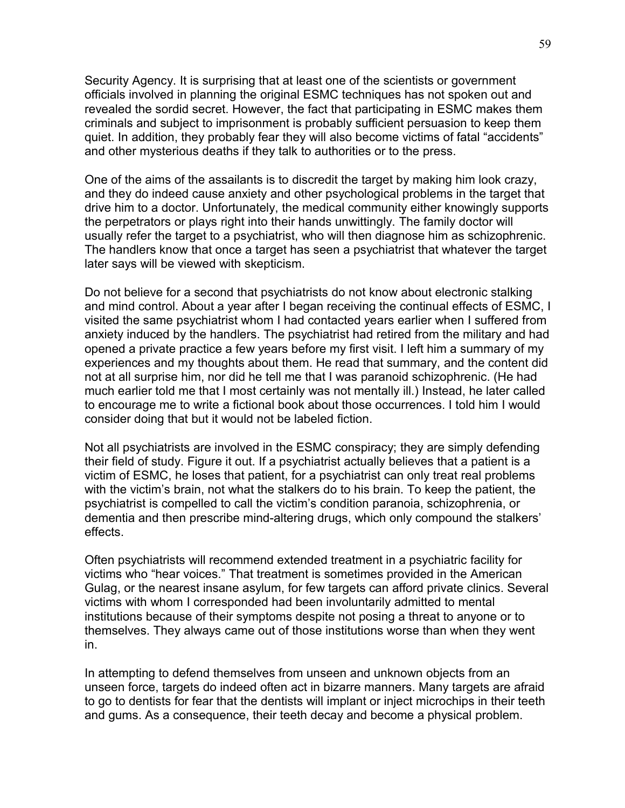Security Agency. It is surprising that at least one of the scientists or government officials involved in planning the original ESMC techniques has not spoken out and revealed the sordid secret. However, the fact that participating in ESMC makes them criminals and subject to imprisonment is probably sufficient persuasion to keep them quiet. In addition, they probably fear they will also become victims of fatal "accidents" and other mysterious deaths if they talk to authorities or to the press.

One of the aims of the assailants is to discredit the target by making him look crazy, and they do indeed cause anxiety and other psychological problems in the target that drive him to a doctor. Unfortunately, the medical community either knowingly supports the perpetrators or plays right into their hands unwittingly. The family doctor will usually refer the target to a psychiatrist, who will then diagnose him as schizophrenic. The handlers know that once a target has seen a psychiatrist that whatever the target later says will be viewed with skepticism.

Do not believe for a second that psychiatrists do not know about electronic stalking and mind control. About a year after I began receiving the continual effects of ESMC, I visited the same psychiatrist whom I had contacted years earlier when I suffered from anxiety induced by the handlers. The psychiatrist had retired from the military and had opened a private practice a few years before my first visit. I left him a summary of my experiences and my thoughts about them. He read that summary, and the content did not at all surprise him, nor did he tell me that I was paranoid schizophrenic. (He had much earlier told me that I most certainly was not mentally ill.) Instead, he later called to encourage me to write a fictional book about those occurrences. I told him I would consider doing that but it would not be labeled fiction.

Not all psychiatrists are involved in the ESMC conspiracy; they are simply defending their field of study. Figure it out. If a psychiatrist actually believes that a patient is a victim of ESMC, he loses that patient, for a psychiatrist can only treat real problems with the victim's brain, not what the stalkers do to his brain. To keep the patient, the psychiatrist is compelled to call the victim's condition paranoia, schizophrenia, or dementia and then prescribe mind-altering drugs, which only compound the stalkers' effects.

Often psychiatrists will recommend extended treatment in a psychiatric facility for victims who "hear voices." That treatment is sometimes provided in the American Gulag, or the nearest insane asylum, for few targets can afford private clinics. Several victims with whom I corresponded had been involuntarily admitted to mental institutions because of their symptoms despite not posing a threat to anyone or to themselves. They always came out of those institutions worse than when they went in.

In attempting to defend themselves from unseen and unknown objects from an unseen force, targets do indeed often act in bizarre manners. Many targets are afraid to go to dentists for fear that the dentists will implant or inject microchips in their teeth and gums. As a consequence, their teeth decay and become a physical problem.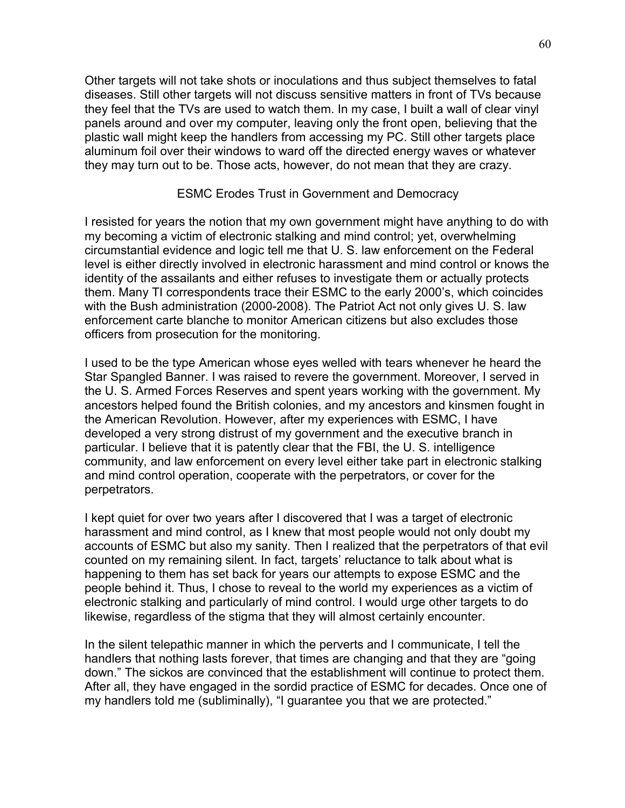Other targets will not take shots or inoculations and thus subject themselves to fatal diseases. Still other targets will not discuss sensitive matters in front of TVs because they feel that the TVs are used to watch them. In my case, I built a wall of clear vinyl panels around and over my computer, leaving only the front open, believing that the plastic wall might keep the handlers from accessing my PC. Still other targets place aluminum foil over their windows to ward off the directed energy waves or whatever they may turn out to be. Those acts, however, do not mean that they are crazy.

#### ESMC Erodes Trust in Government and Democracy

I resisted for years the notion that my own government might have anything to do with my becoming a victim of electronic stalking and mind control; yet, overwhelming circumstantial evidence and logic tell me that U. S. law enforcement on the Federal level is either directly involved in electronic harassment and mind control or knows the identity of the assailants and either refuses to investigate them or actually protects them. Many TI correspondents trace their ESMC to the early 2000's, which coincides with the Bush administration (2000-2008). The Patriot Act not only gives U. S. law enforcement carte blanche to monitor American citizens but also excludes those officers from prosecution for the monitoring.

I used to be the type American whose eyes welled with tears whenever he heard the Star Spangled Banner. I was raised to revere the government. Moreover, I served in the U. S. Armed Forces Reserves and spent years working with the government. My ancestors helped found the British colonies, and my ancestors and kinsmen fought in the American Revolution. However, after my experiences with ESMC, I have developed a very strong distrust of my government and the executive branch in particular. I believe that it is patently clear that the FBI, the U. S. intelligence community, and law enforcement on every level either take part in electronic stalking and mind control operation, cooperate with the perpetrators, or cover for the perpetrators.

I kept quiet for over two years after I discovered that I was a target of electronic harassment and mind control, as I knew that most people would not only doubt my accounts of ESMC but also my sanity. Then I realized that the perpetrators of that evil counted on my remaining silent. In fact, targets' reluctance to talk about what is happening to them has set back for years our attempts to expose ESMC and the people behind it. Thus, I chose to reveal to the world my experiences as a victim of electronic stalking and particularly of mind control. I would urge other targets to do likewise, regardless of the stigma that they will almost certainly encounter.

In the silent telepathic manner in which the perverts and I communicate, I tell the handlers that nothing lasts forever, that times are changing and that they are "going down." The sickos are convinced that the establishment will continue to protect them. After all, they have engaged in the sordid practice of ESMC for decades. Once one of my handlers told me (subliminally), "I guarantee you that we are protected."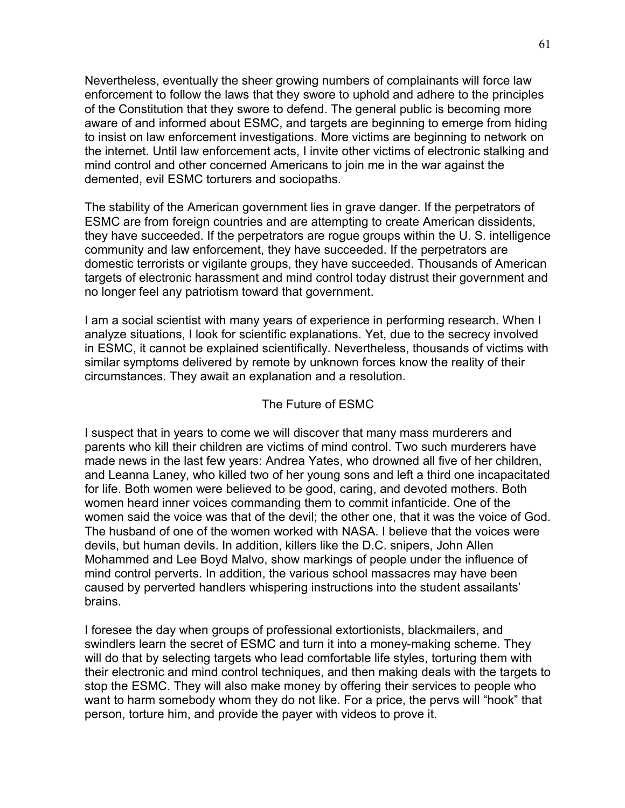Nevertheless, eventually the sheer growing numbers of complainants will force law enforcement to follow the laws that they swore to uphold and adhere to the principles of the Constitution that they swore to defend. The general public is becoming more aware of and informed about ESMC, and targets are beginning to emerge from hiding to insist on law enforcement investigations. More victims are beginning to network on the internet. Until law enforcement acts, I invite other victims of electronic stalking and mind control and other concerned Americans to join me in the war against the demented, evil ESMC torturers and sociopaths.

The stability of the American government lies in grave danger. If the perpetrators of ESMC are from foreign countries and are attempting to create American dissidents, they have succeeded. If the perpetrators are rogue groups within the U. S. intelligence community and law enforcement, they have succeeded. If the perpetrators are domestic terrorists or vigilante groups, they have succeeded. Thousands of American targets of electronic harassment and mind control today distrust their government and no longer feel any patriotism toward that government.

I am a social scientist with many years of experience in performing research. When I analyze situations, I look for scientific explanations. Yet, due to the secrecy involved in ESMC, it cannot be explained scientifically. Nevertheless, thousands of victims with similar symptoms delivered by remote by unknown forces know the reality of their circumstances. They await an explanation and a resolution.

### The Future of ESMC

I suspect that in years to come we will discover that many mass murderers and parents who kill their children are victims of mind control. Two such murderers have made news in the last few years: Andrea Yates, who drowned all five of her children, and Leanna Laney, who killed two of her young sons and left a third one incapacitated for life. Both women were believed to be good, caring, and devoted mothers. Both women heard inner voices commanding them to commit infanticide. One of the women said the voice was that of the devil; the other one, that it was the voice of God. The husband of one of the women worked with NASA. I believe that the voices were devils, but human devils. In addition, killers like the D.C. snipers, John Allen Mohammed and Lee Boyd Malvo, show markings of people under the influence of mind control perverts. In addition, the various school massacres may have been caused by perverted handlers whispering instructions into the student assailants' brains.

I foresee the day when groups of professional extortionists, blackmailers, and swindlers learn the secret of ESMC and turn it into a money-making scheme. They will do that by selecting targets who lead comfortable life styles, torturing them with their electronic and mind control techniques, and then making deals with the targets to stop the ESMC. They will also make money by offering their services to people who want to harm somebody whom they do not like. For a price, the pervs will "hook" that person, torture him, and provide the payer with videos to prove it.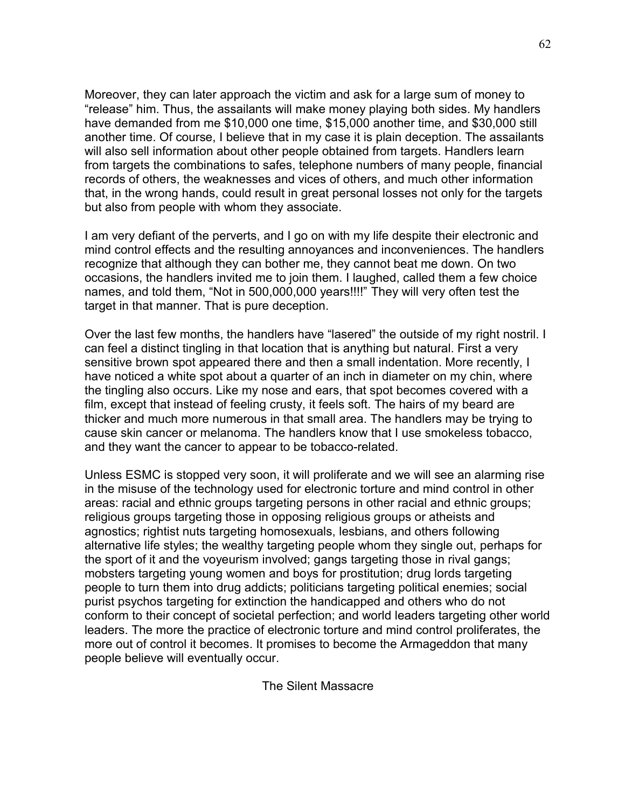Moreover, they can later approach the victim and ask for a large sum of money to "release" him. Thus, the assailants will make money playing both sides. My handlers have demanded from me \$10,000 one time, \$15,000 another time, and \$30,000 still another time. Of course, I believe that in my case it is plain deception. The assailants will also sell information about other people obtained from targets. Handlers learn from targets the combinations to safes, telephone numbers of many people, financial records of others, the weaknesses and vices of others, and much other information that, in the wrong hands, could result in great personal losses not only for the targets but also from people with whom they associate.

I am very defiant of the perverts, and I go on with my life despite their electronic and mind control effects and the resulting annoyances and inconveniences. The handlers recognize that although they can bother me, they cannot beat me down. On two occasions, the handlers invited me to join them. I laughed, called them a few choice names, and told them, "Not in 500,000,000 years!!!!" They will very often test the target in that manner. That is pure deception.

Over the last few months, the handlers have "lasered" the outside of my right nostril. I can feel a distinct tingling in that location that is anything but natural. First a very sensitive brown spot appeared there and then a small indentation. More recently, I have noticed a white spot about a quarter of an inch in diameter on my chin, where the tingling also occurs. Like my nose and ears, that spot becomes covered with a film, except that instead of feeling crusty, it feels soft. The hairs of my beard are thicker and much more numerous in that small area. The handlers may be trying to cause skin cancer or melanoma. The handlers know that I use smokeless tobacco, and they want the cancer to appear to be tobacco-related.

Unless ESMC is stopped very soon, it will proliferate and we will see an alarming rise in the misuse of the technology used for electronic torture and mind control in other areas: racial and ethnic groups targeting persons in other racial and ethnic groups; religious groups targeting those in opposing religious groups or atheists and agnostics; rightist nuts targeting homosexuals, lesbians, and others following alternative life styles; the wealthy targeting people whom they single out, perhaps for the sport of it and the voyeurism involved; gangs targeting those in rival gangs; mobsters targeting young women and boys for prostitution; drug lords targeting people to turn them into drug addicts; politicians targeting political enemies; social purist psychos targeting for extinction the handicapped and others who do not conform to their concept of societal perfection; and world leaders targeting other world leaders. The more the practice of electronic torture and mind control proliferates, the more out of control it becomes. It promises to become the Armageddon that many people believe will eventually occur.

The Silent Massacre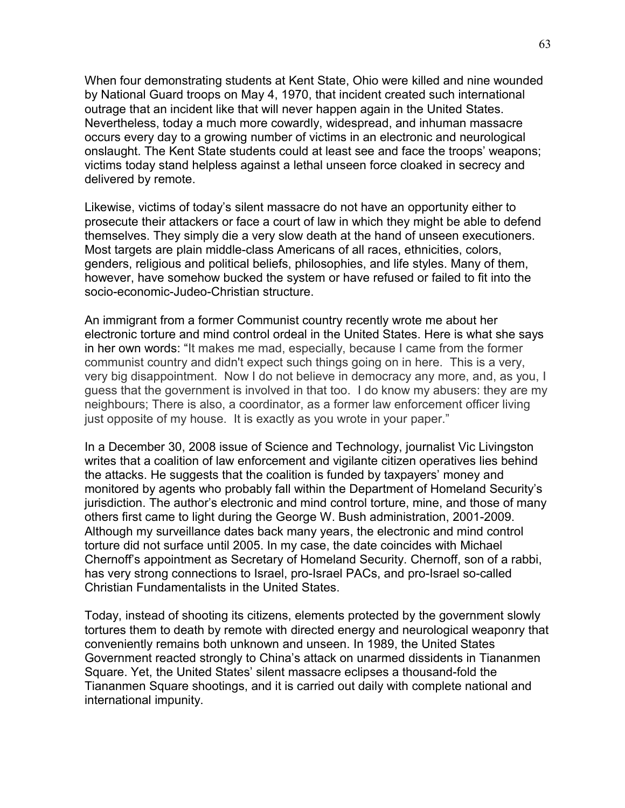When four demonstrating students at Kent State, Ohio were killed and nine wounded by National Guard troops on May 4, 1970, that incident created such international outrage that an incident like that will never happen again in the United States. Nevertheless, today a much more cowardly, widespread, and inhuman massacre occurs every day to a growing number of victims in an electronic and neurological onslaught. The Kent State students could at least see and face the troops' weapons; victims today stand helpless against a lethal unseen force cloaked in secrecy and delivered by remote.

Likewise, victims of today's silent massacre do not have an opportunity either to prosecute their attackers or face a court of law in which they might be able to defend themselves. They simply die a very slow death at the hand of unseen executioners. Most targets are plain middle-class Americans of all races, ethnicities, colors, genders, religious and political beliefs, philosophies, and life styles. Many of them, however, have somehow bucked the system or have refused or failed to fit into the socio-economic-Judeo-Christian structure.

An immigrant from a former Communist country recently wrote me about her electronic torture and mind control ordeal in the United States. Here is what she says in her own words: "It makes me mad, especially, because I came from the former communist country and didn't expect such things going on in here. This is a very, very big disappointment. Now I do not believe in democracy any more, and, as you, I guess that the government is involved in that too. I do know my abusers: they are my neighbours; There is also, a coordinator, as a former law enforcement officer living just opposite of my house. It is exactly as you wrote in your paper."

In a December 30, 2008 issue of Science and Technology, journalist Vic Livingston writes that a coalition of law enforcement and vigilante citizen operatives lies behind the attacks. He suggests that the coalition is funded by taxpayers' money and monitored by agents who probably fall within the Department of Homeland Security's jurisdiction. The author's electronic and mind control torture, mine, and those of many others first came to light during the George W. Bush administration, 2001-2009. Although my surveillance dates back many years, the electronic and mind control torture did not surface until 2005. In my case, the date coincides with Michael Chernoff's appointment as Secretary of Homeland Security. Chernoff, son of a rabbi, has very strong connections to Israel, pro-Israel PACs, and pro-Israel so-called Christian Fundamentalists in the United States.

Today, instead of shooting its citizens, elements protected by the government slowly tortures them to death by remote with directed energy and neurological weaponry that conveniently remains both unknown and unseen. In 1989, the United States Government reacted strongly to China's attack on unarmed dissidents in Tiananmen Square. Yet, the United States' silent massacre eclipses a thousand-fold the Tiananmen Square shootings, and it is carried out daily with complete national and international impunity.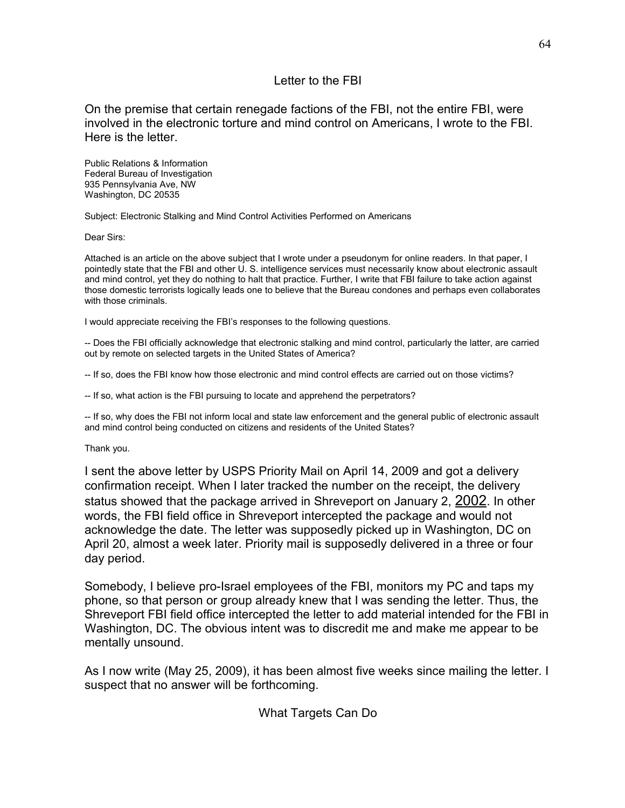## Letter to the FBI

On the premise that certain renegade factions of the FBI, not the entire FBI, were involved in the electronic torture and mind control on Americans, I wrote to the FBI. Here is the letter.

Public Relations & Information Federal Bureau of Investigation 935 Pennsylvania Ave, NW Washington, DC 20535

Subject: Electronic Stalking and Mind Control Activities Performed on Americans

Dear Sirs:

Attached is an article on the above subject that I wrote under a pseudonym for online readers. In that paper, I pointedly state that the FBI and other U. S. intelligence services must necessarily know about electronic assault and mind control, yet they do nothing to halt that practice. Further, I write that FBI failure to take action against those domestic terrorists logically leads one to believe that the Bureau condones and perhaps even collaborates with those criminals.

I would appreciate receiving the FBI's responses to the following questions.

-- Does the FBI officially acknowledge that electronic stalking and mind control, particularly the latter, are carried out by remote on selected targets in the United States of America?

-- If so, does the FBI know how those electronic and mind control effects are carried out on those victims?

-- If so, what action is the FBI pursuing to locate and apprehend the perpetrators?

-- If so, why does the FBI not inform local and state law enforcement and the general public of electronic assault and mind control being conducted on citizens and residents of the United States?

Thank you.

I sent the above letter by USPS Priority Mail on April 14, 2009 and got a delivery confirmation receipt. When I later tracked the number on the receipt, the delivery status showed that the package arrived in Shreveport on January 2, 2002. In other words, the FBI field office in Shreveport intercepted the package and would not acknowledge the date. The letter was supposedly picked up in Washington, DC on April 20, almost a week later. Priority mail is supposedly delivered in a three or four day period.

Somebody, I believe pro-Israel employees of the FBI, monitors my PC and taps my phone, so that person or group already knew that I was sending the letter. Thus, the Shreveport FBI field office intercepted the letter to add material intended for the FBI in Washington, DC. The obvious intent was to discredit me and make me appear to be mentally unsound.

As I now write (May 25, 2009), it has been almost five weeks since mailing the letter. I suspect that no answer will be forthcoming.

What Targets Can Do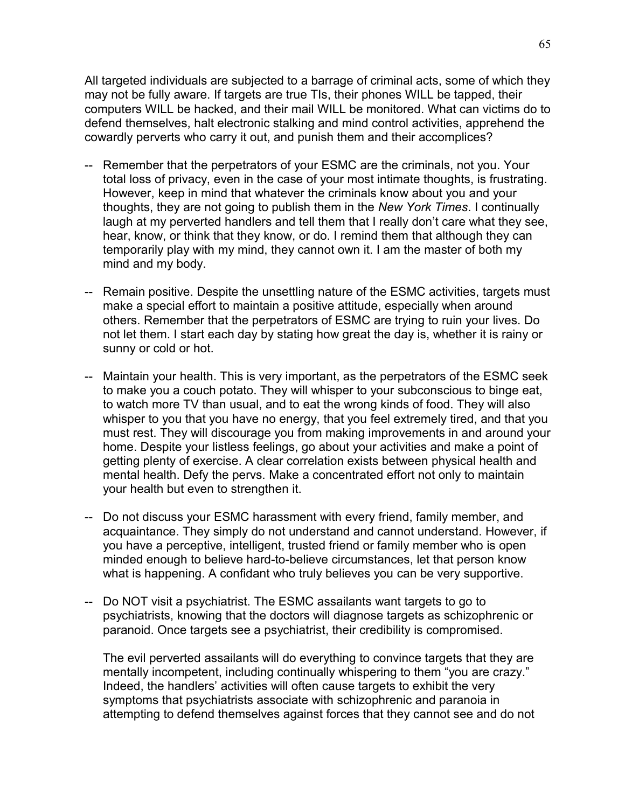All targeted individuals are subjected to a barrage of criminal acts, some of which they may not be fully aware. If targets are true TIs, their phones WILL be tapped, their computers WILL be hacked, and their mail WILL be monitored. What can victims do to defend themselves, halt electronic stalking and mind control activities, apprehend the cowardly perverts who carry it out, and punish them and their accomplices?

- -- Remember that the perpetrators of your ESMC are the criminals, not you. Your total loss of privacy, even in the case of your most intimate thoughts, is frustrating. However, keep in mind that whatever the criminals know about you and your thoughts, they are not going to publish them in the *New York Times*. I continually laugh at my perverted handlers and tell them that I really don't care what they see, hear, know, or think that they know, or do. I remind them that although they can temporarily play with my mind, they cannot own it. I am the master of both my mind and my body.
- -- Remain positive. Despite the unsettling nature of the ESMC activities, targets must make a special effort to maintain a positive attitude, especially when around others. Remember that the perpetrators of ESMC are trying to ruin your lives. Do not let them. I start each day by stating how great the day is, whether it is rainy or sunny or cold or hot.
- -- Maintain your health. This is very important, as the perpetrators of the ESMC seek to make you a couch potato. They will whisper to your subconscious to binge eat, to watch more TV than usual, and to eat the wrong kinds of food. They will also whisper to you that you have no energy, that you feel extremely tired, and that you must rest. They will discourage you from making improvements in and around your home. Despite your listless feelings, go about your activities and make a point of getting plenty of exercise. A clear correlation exists between physical health and mental health. Defy the pervs. Make a concentrated effort not only to maintain your health but even to strengthen it.
- -- Do not discuss your ESMC harassment with every friend, family member, and acquaintance. They simply do not understand and cannot understand. However, if you have a perceptive, intelligent, trusted friend or family member who is open minded enough to believe hard-to-believe circumstances, let that person know what is happening. A confidant who truly believes you can be very supportive.
- -- Do NOT visit a psychiatrist. The ESMC assailants want targets to go to psychiatrists, knowing that the doctors will diagnose targets as schizophrenic or paranoid. Once targets see a psychiatrist, their credibility is compromised.

The evil perverted assailants will do everything to convince targets that they are mentally incompetent, including continually whispering to them "you are crazy." Indeed, the handlers' activities will often cause targets to exhibit the very symptoms that psychiatrists associate with schizophrenic and paranoia in attempting to defend themselves against forces that they cannot see and do not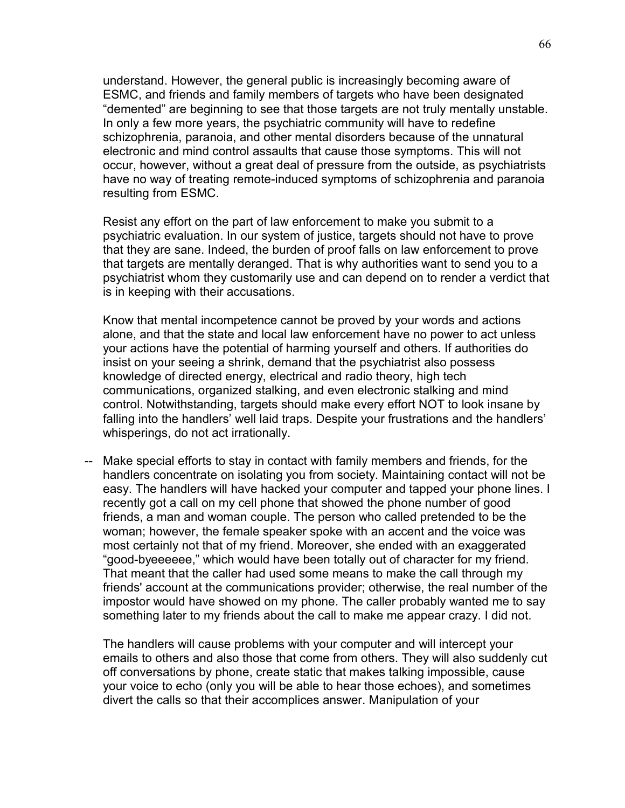understand. However, the general public is increasingly becoming aware of ESMC, and friends and family members of targets who have been designated "demented" are beginning to see that those targets are not truly mentally unstable. In only a few more years, the psychiatric community will have to redefine schizophrenia, paranoia, and other mental disorders because of the unnatural electronic and mind control assaults that cause those symptoms. This will not occur, however, without a great deal of pressure from the outside, as psychiatrists have no way of treating remote-induced symptoms of schizophrenia and paranoia resulting from ESMC.

Resist any effort on the part of law enforcement to make you submit to a psychiatric evaluation. In our system of justice, targets should not have to prove that they are sane. Indeed, the burden of proof falls on law enforcement to prove that targets are mentally deranged. That is why authorities want to send you to a psychiatrist whom they customarily use and can depend on to render a verdict that is in keeping with their accusations.

Know that mental incompetence cannot be proved by your words and actions alone, and that the state and local law enforcement have no power to act unless your actions have the potential of harming yourself and others. If authorities do insist on your seeing a shrink, demand that the psychiatrist also possess knowledge of directed energy, electrical and radio theory, high tech communications, organized stalking, and even electronic stalking and mind control. Notwithstanding, targets should make every effort NOT to look insane by falling into the handlers' well laid traps. Despite your frustrations and the handlers' whisperings, do not act irrationally.

-- Make special efforts to stay in contact with family members and friends, for the handlers concentrate on isolating you from society. Maintaining contact will not be easy. The handlers will have hacked your computer and tapped your phone lines. I recently got a call on my cell phone that showed the phone number of good friends, a man and woman couple. The person who called pretended to be the woman; however, the female speaker spoke with an accent and the voice was most certainly not that of my friend. Moreover, she ended with an exaggerated "good-byeeeeee," which would have been totally out of character for my friend. That meant that the caller had used some means to make the call through my friends' account at the communications provider; otherwise, the real number of the impostor would have showed on my phone. The caller probably wanted me to say something later to my friends about the call to make me appear crazy. I did not.

The handlers will cause problems with your computer and will intercept your emails to others and also those that come from others. They will also suddenly cut off conversations by phone, create static that makes talking impossible, cause your voice to echo (only you will be able to hear those echoes), and sometimes divert the calls so that their accomplices answer. Manipulation of your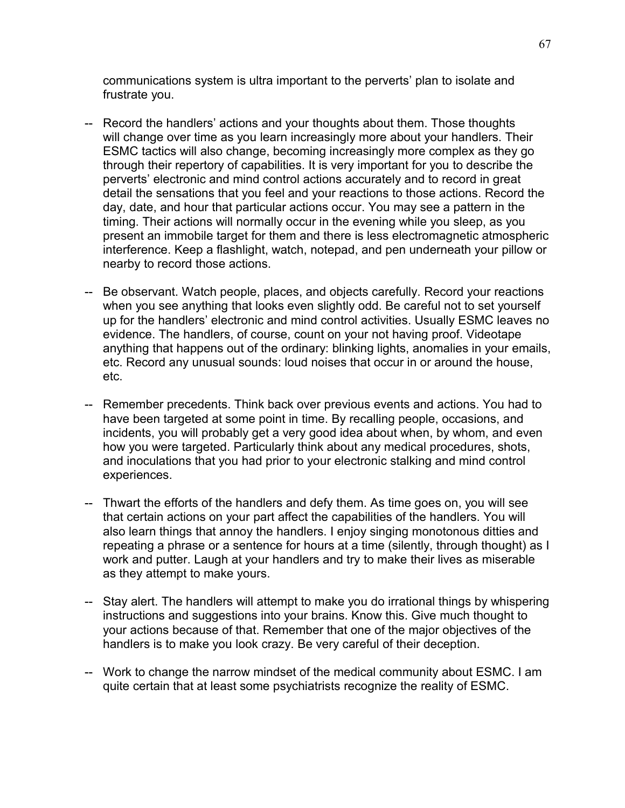communications system is ultra important to the perverts' plan to isolate and frustrate you.

- -- Record the handlers' actions and your thoughts about them. Those thoughts will change over time as you learn increasingly more about your handlers. Their ESMC tactics will also change, becoming increasingly more complex as they go through their repertory of capabilities. It is very important for you to describe the perverts' electronic and mind control actions accurately and to record in great detail the sensations that you feel and your reactions to those actions. Record the day, date, and hour that particular actions occur. You may see a pattern in the timing. Their actions will normally occur in the evening while you sleep, as you present an immobile target for them and there is less electromagnetic atmospheric interference. Keep a flashlight, watch, notepad, and pen underneath your pillow or nearby to record those actions.
- -- Be observant. Watch people, places, and objects carefully. Record your reactions when you see anything that looks even slightly odd. Be careful not to set yourself up for the handlers' electronic and mind control activities. Usually ESMC leaves no evidence. The handlers, of course, count on your not having proof. Videotape anything that happens out of the ordinary: blinking lights, anomalies in your emails, etc. Record any unusual sounds: loud noises that occur in or around the house, etc.
- -- Remember precedents. Think back over previous events and actions. You had to have been targeted at some point in time. By recalling people, occasions, and incidents, you will probably get a very good idea about when, by whom, and even how you were targeted. Particularly think about any medical procedures, shots, and inoculations that you had prior to your electronic stalking and mind control experiences.
- -- Thwart the efforts of the handlers and defy them. As time goes on, you will see that certain actions on your part affect the capabilities of the handlers. You will also learn things that annoy the handlers. I enjoy singing monotonous ditties and repeating a phrase or a sentence for hours at a time (silently, through thought) as I work and putter. Laugh at your handlers and try to make their lives as miserable as they attempt to make yours.
- -- Stay alert. The handlers will attempt to make you do irrational things by whispering instructions and suggestions into your brains. Know this. Give much thought to your actions because of that. Remember that one of the major objectives of the handlers is to make you look crazy. Be very careful of their deception.
- -- Work to change the narrow mindset of the medical community about ESMC. I am quite certain that at least some psychiatrists recognize the reality of ESMC.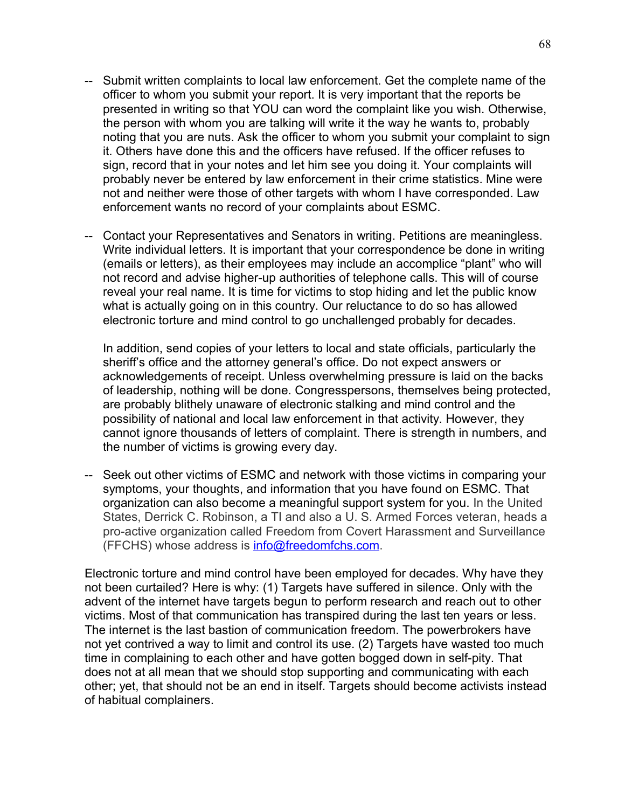- -- Submit written complaints to local law enforcement. Get the complete name of the officer to whom you submit your report. It is very important that the reports be presented in writing so that YOU can word the complaint like you wish. Otherwise, the person with whom you are talking will write it the way he wants to, probably noting that you are nuts. Ask the officer to whom you submit your complaint to sign it. Others have done this and the officers have refused. If the officer refuses to sign, record that in your notes and let him see you doing it. Your complaints will probably never be entered by law enforcement in their crime statistics. Mine were not and neither were those of other targets with whom I have corresponded. Law enforcement wants no record of your complaints about ESMC.
- -- Contact your Representatives and Senators in writing. Petitions are meaningless. Write individual letters. It is important that your correspondence be done in writing (emails or letters), as their employees may include an accomplice "plant" who will not record and advise higher-up authorities of telephone calls. This will of course reveal your real name. It is time for victims to stop hiding and let the public know what is actually going on in this country. Our reluctance to do so has allowed electronic torture and mind control to go unchallenged probably for decades.

In addition, send copies of your letters to local and state officials, particularly the sheriff's office and the attorney general's office. Do not expect answers or acknowledgements of receipt. Unless overwhelming pressure is laid on the backs of leadership, nothing will be done. Congresspersons, themselves being protected, are probably blithely unaware of electronic stalking and mind control and the possibility of national and local law enforcement in that activity. However, they cannot ignore thousands of letters of complaint. There is strength in numbers, and the number of victims is growing every day.

-- Seek out other victims of ESMC and network with those victims in comparing your symptoms, your thoughts, and information that you have found on ESMC. That organization can also become a meaningful support system for you. In the United States, Derrick C. Robinson, a TI and also a U. S. Armed Forces veteran, heads a pro-active organization called Freedom from Covert Harassment and Surveillance (FFCHS) whose address is [info@freedomfchs.com.](mailto:info@freedomfchs.com)

Electronic torture and mind control have been employed for decades. Why have they not been curtailed? Here is why: (1) Targets have suffered in silence. Only with the advent of the internet have targets begun to perform research and reach out to other victims. Most of that communication has transpired during the last ten years or less. The internet is the last bastion of communication freedom. The powerbrokers have not yet contrived a way to limit and control its use. (2) Targets have wasted too much time in complaining to each other and have gotten bogged down in self-pity. That does not at all mean that we should stop supporting and communicating with each other; yet, that should not be an end in itself. Targets should become activists instead of habitual complainers.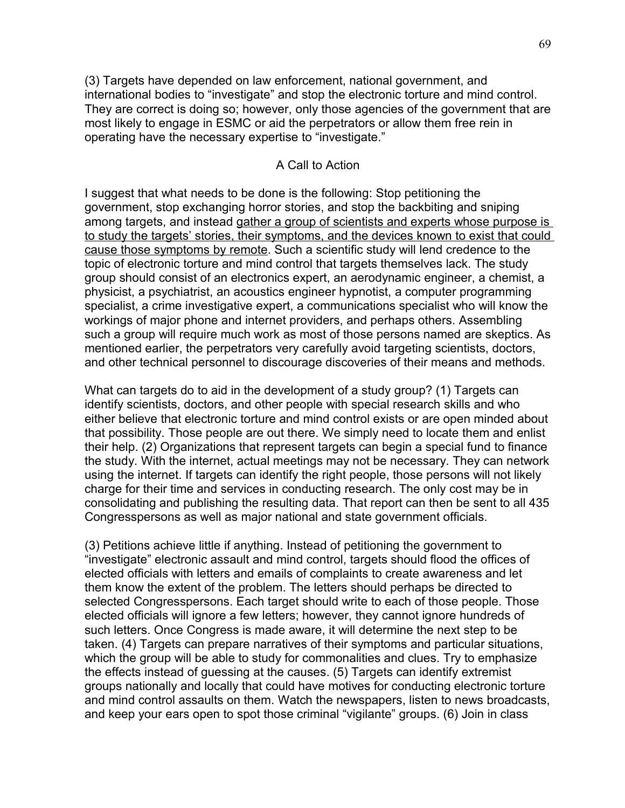(3) Targets have depended on law enforcement, national government, and international bodies to "investigate" and stop the electronic torture and mind control. They are correct is doing so; however, only those agencies of the government that are most likely to engage in ESMC or aid the perpetrators or allow them free rein in operating have the necessary expertise to "investigate."

## A Call to Action

I suggest that what needs to be done is the following: Stop petitioning the government, stop exchanging horror stories, and stop the backbiting and sniping among targets, and instead gather a group of scientists and experts whose purpose is to study the targets' stories, their symptoms, and the devices known to exist that could cause those symptoms by remote. Such a scientific study will lend credence to the topic of electronic torture and mind control that targets themselves lack. The study group should consist of an electronics expert, an aerodynamic engineer, a chemist, a physicist, a psychiatrist, an acoustics engineer hypnotist, a computer programming specialist, a crime investigative expert, a communications specialist who will know the workings of major phone and internet providers, and perhaps others. Assembling such a group will require much work as most of those persons named are skeptics. As mentioned earlier, the perpetrators very carefully avoid targeting scientists, doctors, and other technical personnel to discourage discoveries of their means and methods.

What can targets do to aid in the development of a study group? (1) Targets can identify scientists, doctors, and other people with special research skills and who either believe that electronic torture and mind control exists or are open minded about that possibility. Those people are out there. We simply need to locate them and enlist their help. (2) Organizations that represent targets can begin a special fund to finance the study. With the internet, actual meetings may not be necessary. They can network using the internet. If targets can identify the right people, those persons will not likely charge for their time and services in conducting research. The only cost may be in consolidating and publishing the resulting data. That report can then be sent to all 435 Congresspersons as well as major national and state government officials.

(3) Petitions achieve little if anything. Instead of petitioning the government to "investigate" electronic assault and mind control, targets should flood the offices of elected officials with letters and emails of complaints to create awareness and let them know the extent of the problem. The letters should perhaps be directed to selected Congresspersons. Each target should write to each of those people. Those elected officials will ignore a few letters; however, they cannot ignore hundreds of such letters. Once Congress is made aware, it will determine the next step to be taken. (4) Targets can prepare narratives of their symptoms and particular situations, which the group will be able to study for commonalities and clues. Try to emphasize the effects instead of guessing at the causes. (5) Targets can identify extremist groups nationally and locally that could have motives for conducting electronic torture and mind control assaults on them. Watch the newspapers, listen to news broadcasts, and keep your ears open to spot those criminal "vigilante" groups. (6) Join in class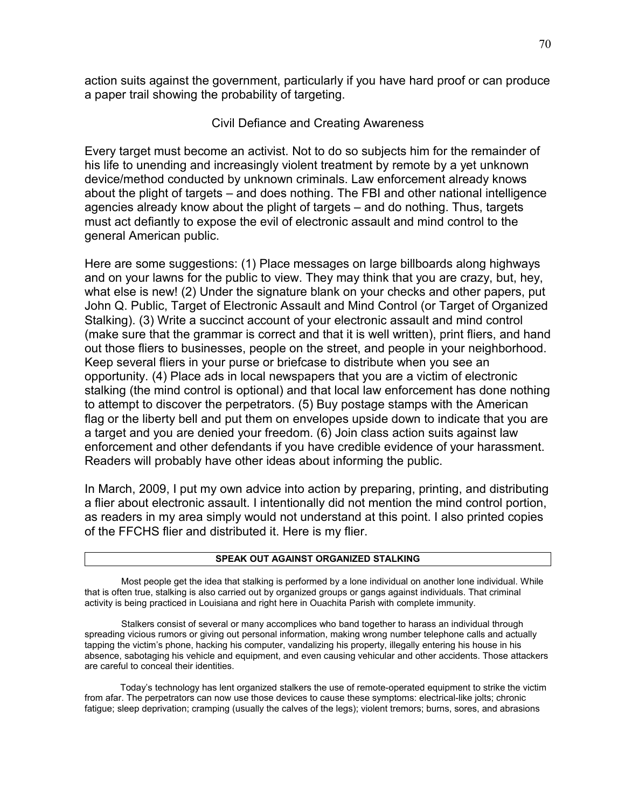action suits against the government, particularly if you have hard proof or can produce a paper trail showing the probability of targeting.

## Civil Defiance and Creating Awareness

Every target must become an activist. Not to do so subjects him for the remainder of his life to unending and increasingly violent treatment by remote by a yet unknown device/method conducted by unknown criminals. Law enforcement already knows about the plight of targets – and does nothing. The FBI and other national intelligence agencies already know about the plight of targets – and do nothing. Thus, targets must act defiantly to expose the evil of electronic assault and mind control to the general American public.

Here are some suggestions: (1) Place messages on large billboards along highways and on your lawns for the public to view. They may think that you are crazy, but, hey, what else is new! (2) Under the signature blank on your checks and other papers, put John Q. Public, Target of Electronic Assault and Mind Control (or Target of Organized Stalking). (3) Write a succinct account of your electronic assault and mind control (make sure that the grammar is correct and that it is well written), print fliers, and hand out those fliers to businesses, people on the street, and people in your neighborhood. Keep several fliers in your purse or briefcase to distribute when you see an opportunity. (4) Place ads in local newspapers that you are a victim of electronic stalking (the mind control is optional) and that local law enforcement has done nothing to attempt to discover the perpetrators. (5) Buy postage stamps with the American flag or the liberty bell and put them on envelopes upside down to indicate that you are a target and you are denied your freedom. (6) Join class action suits against law enforcement and other defendants if you have credible evidence of your harassment. Readers will probably have other ideas about informing the public.

In March, 2009, I put my own advice into action by preparing, printing, and distributing a flier about electronic assault. I intentionally did not mention the mind control portion, as readers in my area simply would not understand at this point. I also printed copies of the FFCHS flier and distributed it. Here is my flier.

#### **SPEAK OUT AGAINST ORGANIZED STALKING**

Most people get the idea that stalking is performed by a lone individual on another lone individual. While that is often true, stalking is also carried out by organized groups or gangs against individuals. That criminal activity is being practiced in Louisiana and right here in Ouachita Parish with complete immunity.

Stalkers consist of several or many accomplices who band together to harass an individual through spreading vicious rumors or giving out personal information, making wrong number telephone calls and actually tapping the victim's phone, hacking his computer, vandalizing his property, illegally entering his house in his absence, sabotaging his vehicle and equipment, and even causing vehicular and other accidents. Those attackers are careful to conceal their identities.

 Today's technology has lent organized stalkers the use of remote-operated equipment to strike the victim from afar. The perpetrators can now use those devices to cause these symptoms: electrical-like jolts; chronic fatigue; sleep deprivation; cramping (usually the calves of the legs); violent tremors; burns, sores, and abrasions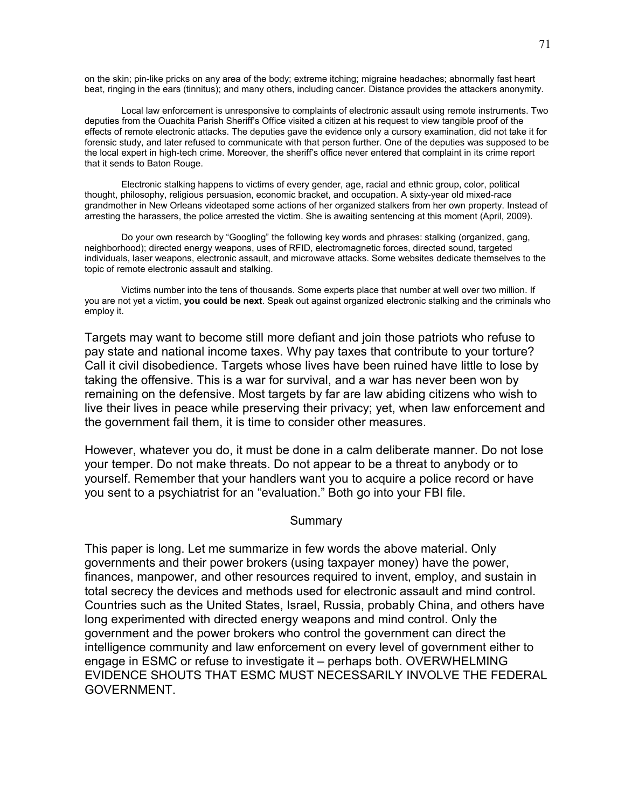on the skin; pin-like pricks on any area of the body; extreme itching; migraine headaches; abnormally fast heart beat, ringing in the ears (tinnitus); and many others, including cancer. Distance provides the attackers anonymity.

Local law enforcement is unresponsive to complaints of electronic assault using remote instruments. Two deputies from the Ouachita Parish Sheriff's Office visited a citizen at his request to view tangible proof of the effects of remote electronic attacks. The deputies gave the evidence only a cursory examination, did not take it for forensic study, and later refused to communicate with that person further. One of the deputies was supposed to be the local expert in high-tech crime. Moreover, the sheriff's office never entered that complaint in its crime report that it sends to Baton Rouge.

Electronic stalking happens to victims of every gender, age, racial and ethnic group, color, political thought, philosophy, religious persuasion, economic bracket, and occupation. A sixty-year old mixed-race grandmother in New Orleans videotaped some actions of her organized stalkers from her own property. Instead of arresting the harassers, the police arrested the victim. She is awaiting sentencing at this moment (April, 2009).

Do your own research by "Googling" the following key words and phrases: stalking (organized, gang, neighborhood); directed energy weapons, uses of RFID, electromagnetic forces, directed sound, targeted individuals, laser weapons, electronic assault, and microwave attacks. Some websites dedicate themselves to the topic of remote electronic assault and stalking.

Victims number into the tens of thousands. Some experts place that number at well over two million. If you are not yet a victim, **you could be next**. Speak out against organized electronic stalking and the criminals who employ it.

Targets may want to become still more defiant and join those patriots who refuse to pay state and national income taxes. Why pay taxes that contribute to your torture? Call it civil disobedience. Targets whose lives have been ruined have little to lose by taking the offensive. This is a war for survival, and a war has never been won by remaining on the defensive. Most targets by far are law abiding citizens who wish to live their lives in peace while preserving their privacy; yet, when law enforcement and the government fail them, it is time to consider other measures.

However, whatever you do, it must be done in a calm deliberate manner. Do not lose your temper. Do not make threats. Do not appear to be a threat to anybody or to yourself. Remember that your handlers want you to acquire a police record or have you sent to a psychiatrist for an "evaluation." Both go into your FBI file.

#### **Summary**

This paper is long. Let me summarize in few words the above material. Only governments and their power brokers (using taxpayer money) have the power, finances, manpower, and other resources required to invent, employ, and sustain in total secrecy the devices and methods used for electronic assault and mind control. Countries such as the United States, Israel, Russia, probably China, and others have long experimented with directed energy weapons and mind control. Only the government and the power brokers who control the government can direct the intelligence community and law enforcement on every level of government either to engage in ESMC or refuse to investigate it – perhaps both. OVERWHELMING EVIDENCE SHOUTS THAT ESMC MUST NECESSARILY INVOLVE THE FEDERAL GOVERNMENT.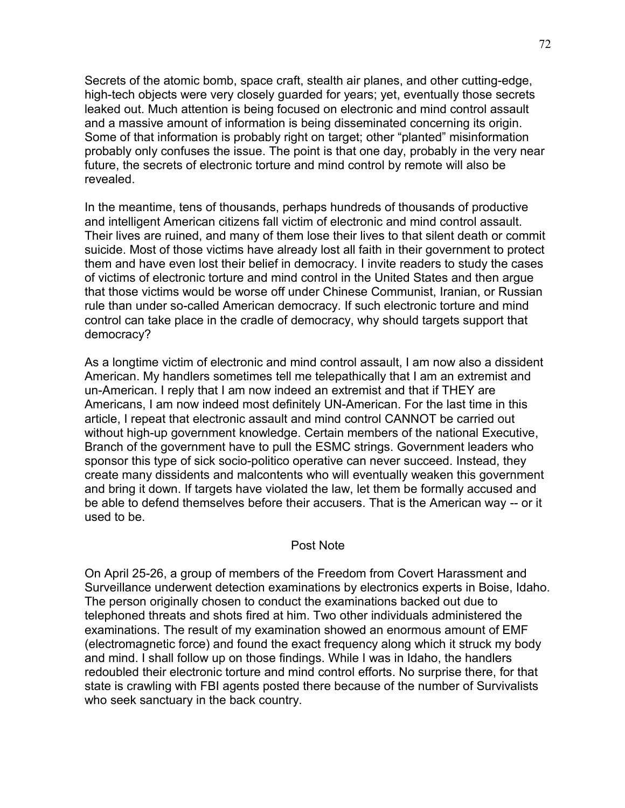Secrets of the atomic bomb, space craft, stealth air planes, and other cutting-edge, high-tech objects were very closely guarded for years; yet, eventually those secrets leaked out. Much attention is being focused on electronic and mind control assault and a massive amount of information is being disseminated concerning its origin. Some of that information is probably right on target; other "planted" misinformation probably only confuses the issue. The point is that one day, probably in the very near future, the secrets of electronic torture and mind control by remote will also be revealed.

In the meantime, tens of thousands, perhaps hundreds of thousands of productive and intelligent American citizens fall victim of electronic and mind control assault. Their lives are ruined, and many of them lose their lives to that silent death or commit suicide. Most of those victims have already lost all faith in their government to protect them and have even lost their belief in democracy. I invite readers to study the cases of victims of electronic torture and mind control in the United States and then argue that those victims would be worse off under Chinese Communist, Iranian, or Russian rule than under so-called American democracy. If such electronic torture and mind control can take place in the cradle of democracy, why should targets support that democracy?

As a longtime victim of electronic and mind control assault, I am now also a dissident American. My handlers sometimes tell me telepathically that I am an extremist and un-American. I reply that I am now indeed an extremist and that if THEY are Americans, I am now indeed most definitely UN-American. For the last time in this article, I repeat that electronic assault and mind control CANNOT be carried out without high-up government knowledge. Certain members of the national Executive, Branch of the government have to pull the ESMC strings. Government leaders who sponsor this type of sick socio-politico operative can never succeed. Instead, they create many dissidents and malcontents who will eventually weaken this government and bring it down. If targets have violated the law, let them be formally accused and be able to defend themselves before their accusers. That is the American way -- or it used to be.

### Post Note

On April 25-26, a group of members of the Freedom from Covert Harassment and Surveillance underwent detection examinations by electronics experts in Boise, Idaho. The person originally chosen to conduct the examinations backed out due to telephoned threats and shots fired at him. Two other individuals administered the examinations. The result of my examination showed an enormous amount of EMF (electromagnetic force) and found the exact frequency along which it struck my body and mind. I shall follow up on those findings. While I was in Idaho, the handlers redoubled their electronic torture and mind control efforts. No surprise there, for that state is crawling with FBI agents posted there because of the number of Survivalists who seek sanctuary in the back country.